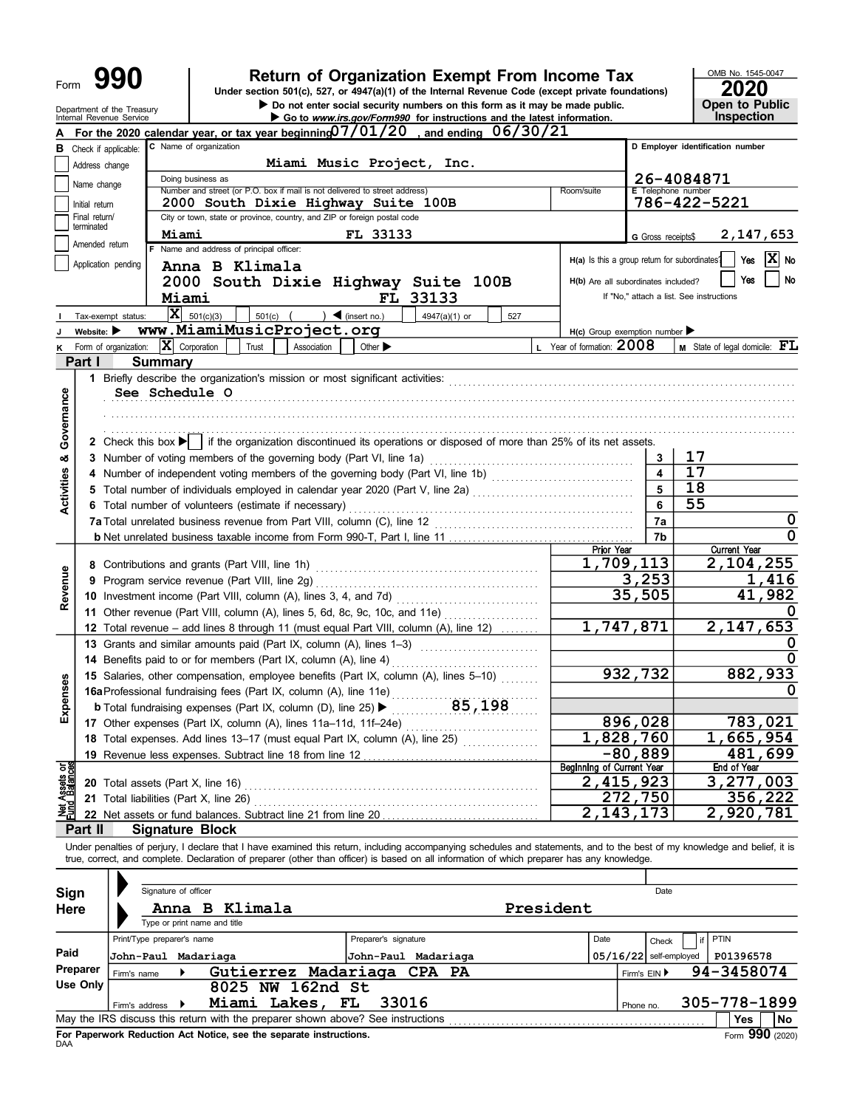# Form  $\left\{\begin{array}{r} \text{990} \\ \text{990} \end{array}\right\}$  Under section 501(c), 527, or 4947(a)(1) of the Internal Revenue Code (except private foundations)  $\left\{\begin{array}{r} \text{OMB No. 1545-0047} \\ \text{2020} \end{array}\right\}$

| Form                             | 990<br>Department of the Treasury |                                                                                                                                                             | <b>Return of Organization Exempt From Income Tax</b><br>Under section 501(c), 527, or 4947(a)(1) of the Internal Revenue Code (except private foundations)<br>Do not enter social security numbers on this form as it may be made public.                                                                           |                           |                                                                                 |                                                | OMB No. 1545-0047<br>2020<br>Open to Public     |
|----------------------------------|-----------------------------------|-------------------------------------------------------------------------------------------------------------------------------------------------------------|---------------------------------------------------------------------------------------------------------------------------------------------------------------------------------------------------------------------------------------------------------------------------------------------------------------------|---------------------------|---------------------------------------------------------------------------------|------------------------------------------------|-------------------------------------------------|
|                                  | Internal Revenue Service          | For the 2020 calendar year, or tax year beginning $07/01/20$                                                                                                | Go to www.irs.gov/Form990 for instructions and the latest information.<br>, and ending $06/30/21$                                                                                                                                                                                                                   |                           |                                                                                 |                                                | Inspection                                      |
| в                                | Check if applicable               | C Name of organization                                                                                                                                      |                                                                                                                                                                                                                                                                                                                     |                           | D Employer identification number                                                |                                                |                                                 |
|                                  | Address change                    |                                                                                                                                                             | Miami Music Project, Inc.                                                                                                                                                                                                                                                                                           |                           |                                                                                 |                                                |                                                 |
|                                  | Name change                       | Doing business as<br>Number and street (or P.O. box if mail is not delivered to street address)                                                             |                                                                                                                                                                                                                                                                                                                     | Room/suite                | 26-4084871<br>E Telephone number                                                |                                                |                                                 |
|                                  | Initial return                    | 2000 South Dixie Highway Suite 100B                                                                                                                         |                                                                                                                                                                                                                                                                                                                     |                           |                                                                                 | 786-422-5221                                   |                                                 |
|                                  | Final return<br>terminated        | City or town, state or province, country, and ZIP or foreign postal code                                                                                    |                                                                                                                                                                                                                                                                                                                     |                           |                                                                                 |                                                |                                                 |
|                                  | Amended return                    | Miami<br>F Name and address of principal officer:                                                                                                           | FL 33133                                                                                                                                                                                                                                                                                                            |                           | G Gross receipts\$                                                              |                                                | 2,147,653                                       |
|                                  | Application pending               | Anna B Klimala                                                                                                                                              |                                                                                                                                                                                                                                                                                                                     |                           | H(a) Is this a group return for subordinates?                                   |                                                | $ X $ No<br>Yes                                 |
|                                  |                                   | 2000 South Dixie Highway Suite 100B<br>Miami<br>$\overline{\mathbf{X}}$ 501(c)(3)                                                                           | FL 33133                                                                                                                                                                                                                                                                                                            |                           | H(b) Are all subordinates included?<br>If "No," attach a list. See instructions |                                                | Yes<br>l INo                                    |
|                                  | Tax-exempt status:<br>Website:    | 501(c)<br>www.MiamiMusicProject.org                                                                                                                         | $\blacktriangleleft$ (insert no.)<br>4947(a)(1) or<br>527                                                                                                                                                                                                                                                           |                           | $H(c)$ Group exemption number $\blacktriangleright$                             |                                                |                                                 |
| ĸ                                | Form of organization:             | X Corporation<br>Trust<br>Association                                                                                                                       | Other $\blacktriangleright$                                                                                                                                                                                                                                                                                         | Year of formation: 2008   |                                                                                 |                                                | <b>M</b> State of legal domicile: $\mathbf{FL}$ |
| ernance<br>Ğδ<br>ಯ<br>Activities |                                   | 1 Briefly describe the organization's mission or most significant activities:<br>See Schedule O<br>6 Total number of volunteers (estimate if necessary)     | 2 Check this box $\blacktriangleright$   if the organization discontinued its operations or disposed of more than 25% of its net assets.<br>4 Number of independent voting members of the governing body (Part VI, line 1b) [11] [11] Number of independent voting members of the governing body (Part VI, line 1b) |                           | 3 <sup>1</sup><br>$\overline{\mathbf{4}}$<br>5 <sup>1</sup><br>6<br>7a          | 17<br>$\overline{17}$<br>18<br>$\overline{55}$ | 0                                               |
|                                  |                                   |                                                                                                                                                             |                                                                                                                                                                                                                                                                                                                     |                           | 7 <sub>b</sub>                                                                  |                                                |                                                 |
| Revenue                          |                                   | 9 Program service revenue (Part VIII, line 2g)                                                                                                              | 11 Other revenue (Part VIII, column (A), lines 5, 6d, 8c, 9c, 10c, and 11e)                                                                                                                                                                                                                                         | Prior Year                | 1,709,113<br>3,253<br>35,505                                                    | <b>Current Year</b>                            | 2,104,255<br>1,416<br>41,982                    |
|                                  |                                   |                                                                                                                                                             | 12 Total revenue - add lines 8 through 11 (must equal Part VIII, column (A), line 12)<br>13 Grants and similar amounts paid (Part IX, column (A), lines 1-3)<br>15 Salaries, other compensation, employee benefits (Part IX, column (A), lines 5-10)                                                                |                           | 1,747,871<br>932,732                                                            |                                                | 2,147,653<br>882,933                            |
| Expenses                         |                                   |                                                                                                                                                             | 18 Total expenses. Add lines 13-17 (must equal Part IX, column (A), line 25)                                                                                                                                                                                                                                        |                           | 896,028<br>1,828,760                                                            |                                                | 783,021<br>1,665,954                            |
| Net Assets or                    |                                   | <b>20</b> Total assets (Part X, line 16)                                                                                                                    |                                                                                                                                                                                                                                                                                                                     | Beginning of Current Year | $-80,889$<br>2,415,923<br>272,750                                               |                                                | 481,699<br>End of Year<br>3,277,003<br>356,222  |
|                                  | Part II                           | 22 Net assets or fund balances. Subtract line 21 from line 20<br><b>Signature Block</b>                                                                     | Under penalties of perjury, I declare that I have examined this return, including accompanying schedules and statements, and to the best of my knowledge and belief, it is                                                                                                                                          |                           | $\overline{2,143,173}$                                                          |                                                | 2,920,781                                       |
| Sign<br>Here                     |                                   | Signature of officer<br>Anna B Klimala                                                                                                                      | true, correct, and complete. Declaration of preparer (other than officer) is based on all information of which preparer has any knowledge.<br>President                                                                                                                                                             |                           | Date                                                                            |                                                |                                                 |
|                                  |                                   | Type or print name and title<br>Print/Type preparer's name<br>John-Paul Madariaga                                                                           | Preparer's signature<br>John-Paul Madariaga                                                                                                                                                                                                                                                                         | Date                      | Check<br>05/16/22 self-employed   P01396578                                     | PTIN                                           |                                                 |
| Paid                             |                                   |                                                                                                                                                             |                                                                                                                                                                                                                                                                                                                     |                           |                                                                                 |                                                |                                                 |
|                                  | Preparer<br>Use Only              | Gutierrez Madariaga CPA PA<br>Firm's name $\qquad \blacktriangleright$<br>8025 NW 162nd St<br>Miami Lakes, FL 33016<br>Firm's address $\blacktriangleright$ |                                                                                                                                                                                                                                                                                                                     |                           | Firm's EIN ▶<br>Phone no.                                                       |                                                | 94-3458074<br>305-778-1899                      |

|          |                            | Type or print name and title                                                    |                        |      |                          |      |                             |
|----------|----------------------------|---------------------------------------------------------------------------------|------------------------|------|--------------------------|------|-----------------------------|
|          | Print/Type preparer's name |                                                                                 | Preparer's signature   | Date | Check                    | PTIN |                             |
| Paid     | John-Paul Madariaga        |                                                                                 | Madariaga<br>John-Paul |      | $05/16/22$ self-employed |      | P01396578                   |
| Preparer | Firm's name                | Gutierrez                                                                       | Madariaga<br>CPA PA    |      | Firm's EIN ▶             |      | 94-3458074                  |
| Use Only |                            | 162nd St<br>8025 NW                                                             |                        |      |                          |      |                             |
|          | Firm's address             | Lakes<br>Miami                                                                  | 33016<br>FL            |      | Phone no.                |      | 305-778-1899                |
|          |                            | May the IRS discuss this return with the preparer shown above? See instructions |                        |      |                          |      | l No<br><b>Yes</b>          |
|          |                            | For Panerwork Reduction Act Notice, see the senarate instructions               |                        |      |                          |      | $F_{\text{OCD}}$ 990 (2020) |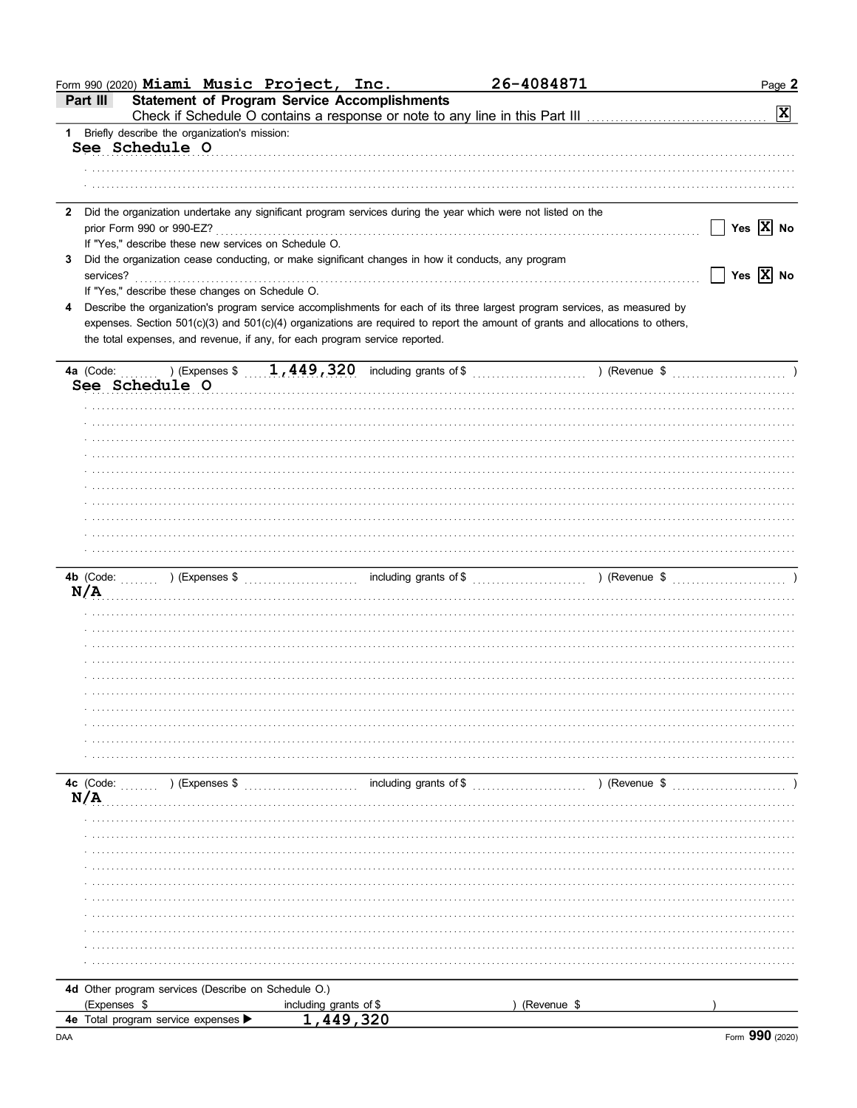|              | Form 990 (2020) Miami Music Project, Inc.                                                                                                                  |                                                                              | 26-4084871  |               | Page 2                       |
|--------------|------------------------------------------------------------------------------------------------------------------------------------------------------------|------------------------------------------------------------------------------|-------------|---------------|------------------------------|
| Part III     |                                                                                                                                                            | <b>Statement of Program Service Accomplishments</b>                          |             |               |                              |
|              |                                                                                                                                                            | Check if Schedule O contains a response or note to any line in this Part III |             |               | $\mathbf{x}$                 |
|              | 1 Briefly describe the organization's mission:<br>See Schedule O                                                                                           |                                                                              |             |               |                              |
|              |                                                                                                                                                            |                                                                              |             |               |                              |
|              |                                                                                                                                                            |                                                                              |             |               |                              |
|              |                                                                                                                                                            |                                                                              |             |               |                              |
| $\mathbf{2}$ | Did the organization undertake any significant program services during the year which were not listed on the                                               |                                                                              |             |               |                              |
|              | prior Form 990 or 990-EZ?                                                                                                                                  |                                                                              |             |               | Yes $\overline{X}$ No        |
| 3            | If "Yes," describe these new services on Schedule O.<br>Did the organization cease conducting, or make significant changes in how it conducts, any program |                                                                              |             |               |                              |
| services?    |                                                                                                                                                            |                                                                              |             |               | $\Box$ Yes $\overline{X}$ No |
|              | If "Yes," describe these changes on Schedule O.                                                                                                            |                                                                              |             |               |                              |
| 4            | Describe the organization's program service accomplishments for each of its three largest program services, as measured by                                 |                                                                              |             |               |                              |
|              | expenses. Section 501(c)(3) and 501(c)(4) organizations are required to report the amount of grants and allocations to others,                             |                                                                              |             |               |                              |
|              | the total expenses, and revenue, if any, for each program service reported.                                                                                |                                                                              |             |               |                              |
|              |                                                                                                                                                            |                                                                              |             |               |                              |
|              | 4a (Code: $\ldots$ ) (Expenses \$ 1,449,320 including grants of \$ $\ldots$ ) (Revenue \$ $\ldots$ )<br>See Schedule O                                     |                                                                              |             |               |                              |
|              |                                                                                                                                                            |                                                                              |             |               |                              |
|              |                                                                                                                                                            |                                                                              |             |               |                              |
|              |                                                                                                                                                            |                                                                              |             |               |                              |
|              |                                                                                                                                                            |                                                                              |             |               |                              |
|              |                                                                                                                                                            |                                                                              |             |               |                              |
|              |                                                                                                                                                            |                                                                              |             |               |                              |
|              |                                                                                                                                                            |                                                                              |             |               |                              |
|              |                                                                                                                                                            |                                                                              |             |               |                              |
|              |                                                                                                                                                            |                                                                              |             |               |                              |
|              |                                                                                                                                                            |                                                                              |             |               |                              |
|              |                                                                                                                                                            |                                                                              |             |               |                              |
| N/A          |                                                                                                                                                            |                                                                              |             |               |                              |
|              |                                                                                                                                                            |                                                                              |             |               |                              |
|              |                                                                                                                                                            |                                                                              |             |               |                              |
|              |                                                                                                                                                            |                                                                              |             |               |                              |
|              |                                                                                                                                                            |                                                                              |             |               |                              |
|              |                                                                                                                                                            |                                                                              |             |               |                              |
|              |                                                                                                                                                            |                                                                              |             |               |                              |
|              |                                                                                                                                                            |                                                                              |             |               |                              |
|              |                                                                                                                                                            |                                                                              |             |               |                              |
|              |                                                                                                                                                            |                                                                              |             |               |                              |
| 4c (Code:    | $(1, 1, 1, 1, 1)$ (Expenses \$                                                                                                                             | including grants of \$                                                       |             | ) (Revenue \$ |                              |
| N/A          |                                                                                                                                                            |                                                                              |             |               |                              |
|              |                                                                                                                                                            |                                                                              |             |               |                              |
|              |                                                                                                                                                            |                                                                              |             |               |                              |
|              |                                                                                                                                                            |                                                                              |             |               |                              |
|              |                                                                                                                                                            |                                                                              |             |               |                              |
|              |                                                                                                                                                            |                                                                              |             |               |                              |
|              |                                                                                                                                                            |                                                                              |             |               |                              |
|              |                                                                                                                                                            |                                                                              |             |               |                              |
|              |                                                                                                                                                            |                                                                              |             |               |                              |
|              |                                                                                                                                                            |                                                                              |             |               |                              |
|              |                                                                                                                                                            |                                                                              |             |               |                              |
|              |                                                                                                                                                            |                                                                              |             |               |                              |
| (Expenses \$ | 4d Other program services (Describe on Schedule O.)                                                                                                        | including grants of \$                                                       | (Revenue \$ |               |                              |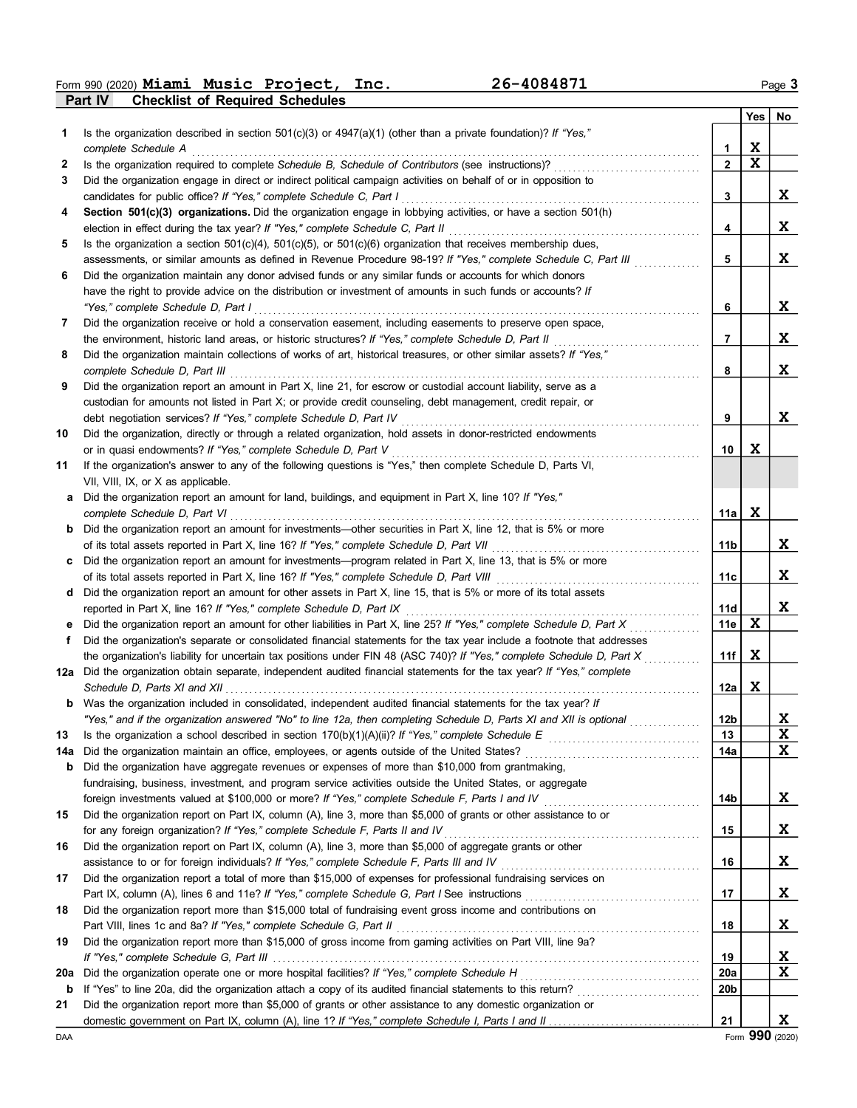|    | 26-4084871<br>Form 990 (2020) Miami Music Project, Inc.                                                                                                                                                                                     |                                           | Page 3                  |
|----|---------------------------------------------------------------------------------------------------------------------------------------------------------------------------------------------------------------------------------------------|-------------------------------------------|-------------------------|
|    | <b>Checklist of Required Schedules</b><br><b>Part IV</b>                                                                                                                                                                                    |                                           |                         |
|    | 1 Is the organization described in section $501(c)(3)$ or $4947(a)(1)$ (other than a private foundation)? If "Yes,"                                                                                                                         |                                           | Yes   No                |
|    | complete Schedule A                                                                                                                                                                                                                         | X<br>$\mathbf{1}$                         |                         |
|    |                                                                                                                                                                                                                                             | $\overline{\mathbf{x}}$<br>$\overline{2}$ |                         |
| 3  | Did the organization engage in direct or indirect political campaign activities on behalf of or in opposition to                                                                                                                            |                                           | X                       |
|    | candidates for public office? If "Yes," complete Schedule C, Part I<br>4 Section 501(c)(3) organizations. Did the organization engage in lobbying activities, or have a section 501(h)                                                      | $3^{\circ}$                               |                         |
|    | election in effect during the tax year? If "Yes," complete Schedule C, Part II                                                                                                                                                              | $\overline{4}$                            | X                       |
|    | 5 Is the organization a section $501(c)(4)$ , $501(c)(5)$ , or $501(c)(6)$ organization that receives membership dues,                                                                                                                      |                                           |                         |
|    | assessments, or similar amounts as defined in Revenue Procedure 98-19? If "Yes," complete Schedule C, Part III<br>6 Did the organization maintain any donor advised funds or any similar funds or accounts for which donors                 | 5                                         | X                       |
|    | have the right to provide advice on the distribution or investment of amounts in such funds or accounts? If                                                                                                                                 |                                           |                         |
|    | "Yes," complete Schedule D, Part I                                                                                                                                                                                                          | 6                                         | X                       |
|    | 7 Did the organization receive or hold a conservation easement, including easements to preserve open space,                                                                                                                                 |                                           |                         |
|    | the environment, historic land areas, or historic structures? If "Yes," complete Schedule D, Part II<br>8 Did the organization maintain collections of works of art, historical treasures, or other similar assets? If "Yes,"               | $\overline{7}$                            | X                       |
|    | complete Schedule D, Part III                                                                                                                                                                                                               | 8                                         | X                       |
|    | Did the organization report an amount in Part X, line 21, for escrow or custodial account liability, serve as a                                                                                                                             |                                           |                         |
|    | custodian for amounts not listed in Part X; or provide credit counseling, debt management, credit repair, or                                                                                                                                | 9                                         | X                       |
| 10 | debt negotiation services? If "Yes," complete Schedule D, Part IV<br>Did the organization, directly or through a related organization, hold assets in donor-restricted endowments                                                           |                                           |                         |
|    | or in quasi endowments? If "Yes," complete Schedule D, Part V                                                                                                                                                                               | $10 \mid X$                               |                         |
|    | 11 If the organization's answer to any of the following questions is "Yes," then complete Schedule D, Parts VI,                                                                                                                             |                                           |                         |
|    | VII, VIII, IX, or X as applicable.<br>a Did the organization report an amount for land, buildings, and equipment in Part X, line 10? If "Yes,"                                                                                              |                                           |                         |
|    | complete Schedule D, Part VI                                                                                                                                                                                                                | 11a $\mathbf{X}$                          |                         |
|    | <b>b</b> Did the organization report an amount for investments—other securities in Part X, line 12, that is 5% or more                                                                                                                      |                                           |                         |
|    | of its total assets reported in Part X, line 16? If "Yes," complete Schedule D, Part VII                                                                                                                                                    | 11b                                       | X                       |
|    | c Did the organization report an amount for investments—program related in Part X, line 13, that is 5% or more                                                                                                                              | 11c                                       | X                       |
|    | d Did the organization report an amount for other assets in Part X, line 15, that is 5% or more of its total assets                                                                                                                         |                                           |                         |
|    | reported in Part X, line 16? If "Yes," complete Schedule D, Part IX [[CODERCODER PART]                                                                                                                                                      | 11d                                       | X                       |
|    | Did the organization's separate or consolidated financial statements for the tax year include a footnote that addresses                                                                                                                     | 11e $\overline{X}$                        |                         |
|    | the organization's liability for uncertain tax positions under FIN 48 (ASC 740)? If "Yes," complete Schedule D, Part X                                                                                                                      | $11f$ X                                   |                         |
|    | 12a Did the organization obtain separate, independent audited financial statements for the tax year? If "Yes," complete                                                                                                                     |                                           |                         |
|    |                                                                                                                                                                                                                                             | $12a$ X                                   |                         |
|    | <b>b</b> Was the organization included in consolidated, independent audited financial statements for the tax year? If<br>"Yes," and if the organization answered "No" to line 12a, then completing Schedule D, Parts XI and XII is optional | 12 <sub>b</sub>                           | X                       |
|    |                                                                                                                                                                                                                                             | 13                                        | $\overline{\mathbf{x}}$ |
|    |                                                                                                                                                                                                                                             | 14a                                       | X                       |
|    | <b>b</b> Did the organization have aggregate revenues or expenses of more than \$10,000 from grantmaking,                                                                                                                                   |                                           |                         |
|    | fundraising, business, investment, and program service activities outside the United States, or aggregate<br>foreign investments valued at \$100,000 or more? If "Yes," complete Schedule F, Parts I and IV [[[[[[[[[[[[[[[                 | 14 <sub>b</sub>                           | X                       |
| 15 | Did the organization report on Part IX, column (A), line 3, more than \$5,000 of grants or other assistance to or                                                                                                                           |                                           |                         |
|    | for any foreign organization? If "Yes," complete Schedule F, Parts II and IV                                                                                                                                                                | 15                                        | X                       |
|    | 16 Did the organization report on Part IX, column (A), line 3, more than \$5,000 of aggregate grants or other                                                                                                                               | 16                                        | X                       |
|    | 17 Did the organization report a total of more than \$15,000 of expenses for professional fundraising services on                                                                                                                           |                                           |                         |
|    |                                                                                                                                                                                                                                             | 17                                        | X                       |
|    | 18 Did the organization report more than \$15,000 total of fundraising event gross income and contributions on                                                                                                                              |                                           |                         |
|    | 19 Did the organization report more than \$15,000 of gross income from gaming activities on Part VIII, line 9a?                                                                                                                             | 18                                        | X                       |
|    |                                                                                                                                                                                                                                             | 19                                        | X                       |
|    | <b>20a</b> Did the organization operate one or more hospital facilities? If "Yes," complete Schedule H                                                                                                                                      | <b>20a</b>                                | $\mathbf{x}$            |
|    |                                                                                                                                                                                                                                             | 20 <sub>b</sub>                           |                         |
|    | 21 Did the organization report more than \$5,000 of grants or other assistance to any domestic organization or<br>domestic government on Part IX, column (A), line 1? If "Yes," complete Schedule I, Parts I and II.                        | 21                                        | $\mathbf{x}$            |
|    | DAA                                                                                                                                                                                                                                         | Form 990 (2020)                           |                         |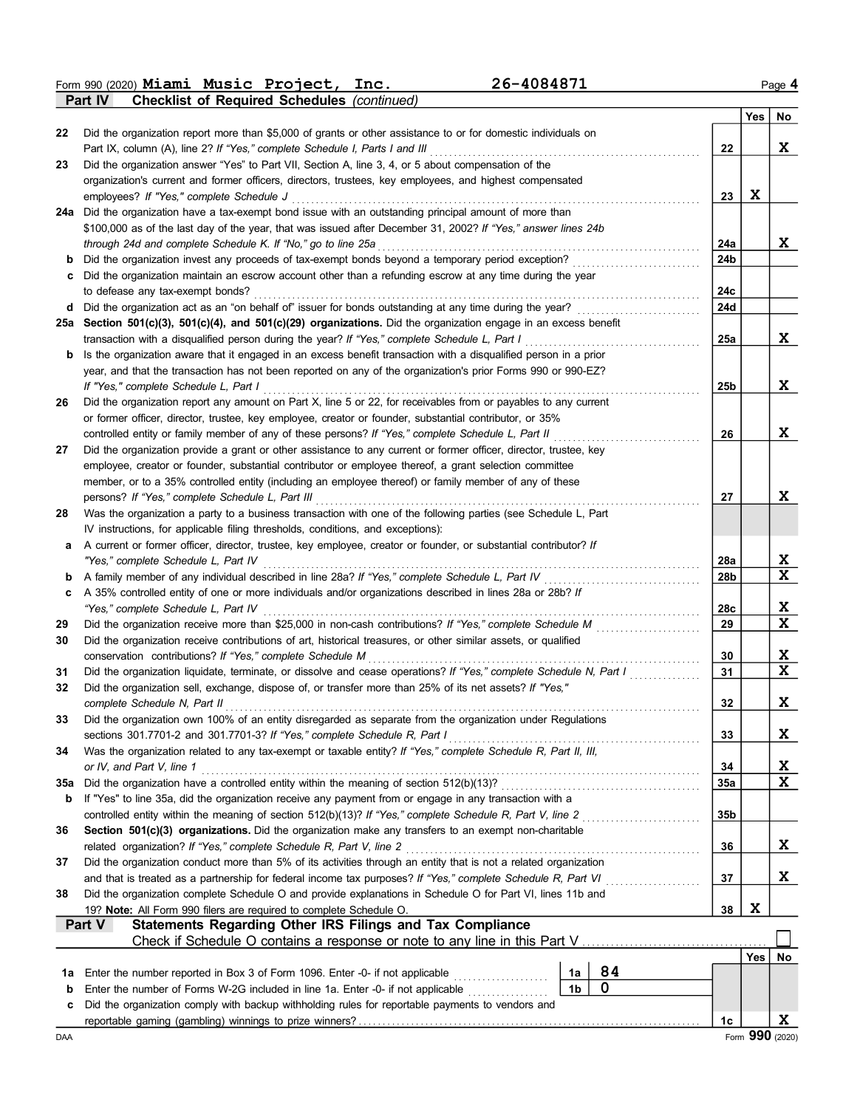|          | 26-4084871<br>Form 990 (2020) Miami Music Project,<br>Inc.                                                                                                                                                                                                                                                                                 |                        |              | Page 4                       |
|----------|--------------------------------------------------------------------------------------------------------------------------------------------------------------------------------------------------------------------------------------------------------------------------------------------------------------------------------------------|------------------------|--------------|------------------------------|
|          | <b>Checklist of Required Schedules (continued)</b><br><b>Part IV</b>                                                                                                                                                                                                                                                                       |                        | Yes          | <b>No</b>                    |
| 23       | 22 Did the organization report more than \$5,000 of grants or other assistance to or for domestic individuals on<br>Did the organization answer "Yes" to Part VII, Section A, line 3, 4, or 5 about compensation of the                                                                                                                    | 22                     |              | X                            |
|          | organization's current and former officers, directors, trustees, key employees, and highest compensated<br>employees? If "Yes," complete Schedule J                                                                                                                                                                                        | 23                     | $\mathbf{x}$ |                              |
|          | 24a Did the organization have a tax-exempt bond issue with an outstanding principal amount of more than<br>\$100,000 as of the last day of the year, that was issued after December 31, 2002? If "Yes," answer lines 24b<br>through 24d and complete Schedule K. If "No," go to line 25a                                                   | 24a                    |              | X                            |
|          | c Did the organization maintain an escrow account other than a refunding escrow at any time during the year<br>to defease any tax-exempt bonds?                                                                                                                                                                                            | 24 <sub>b</sub><br>24c |              |                              |
|          | d Did the organization act as an "on behalf of" issuer for bonds outstanding at any time during the year?<br>25a Section 501(c)(3), 501(c)(4), and 501(c)(29) organizations. Did the organization engage in an excess benefit                                                                                                              | 24d                    |              |                              |
|          | transaction with a disqualified person during the year? If "Yes," complete Schedule L, Part I<br><b>b</b> Is the organization aware that it engaged in an excess benefit transaction with a disgualified person in a prior<br>year, and that the transaction has not been reported on any of the organization's prior Forms 990 or 990-EZ? | 25a                    |              | X                            |
| 26       | If "Yes," complete Schedule L, Part I<br>Did the organization report any amount on Part X, line 5 or 22, for receivables from or payables to any current<br>or former officer, director, trustee, key employee, creator or founder, substantial contributor, or 35%                                                                        | 25b                    |              | X                            |
| 27       | controlled entity or family member of any of these persons? If "Yes," complete Schedule L, Part II<br>Did the organization provide a grant or other assistance to any current or former officer, director, trustee, key<br>employee, creator or founder, substantial contributor or employee thereof, a grant selection committee          | 26                     |              | X                            |
|          | member, or to a 35% controlled entity (including an employee thereof) or family member of any of these<br>persons? If "Yes," complete Schedule L, Part III                                                                                                                                                                                 | 27                     |              | X                            |
|          | 28 Was the organization a party to a business transaction with one of the following parties (see Schedule L, Part<br>IV instructions, for applicable filing thresholds, conditions, and exceptions):<br>a A current or former officer, director, trustee, key employee, creator or founder, or substantial contributor? If                 |                        |              |                              |
|          |                                                                                                                                                                                                                                                                                                                                            | 28a<br>28 <sub>b</sub> |              | X<br>$\overline{\mathbf{x}}$ |
|          | c A 35% controlled entity of one or more individuals and/or organizations described in lines 28a or 28b? If<br>"Yes," complete Schedule L, Part IV                                                                                                                                                                                         | 28c                    |              | $\mathbf{X}$                 |
| 29<br>30 | Did the organization receive contributions of art, historical treasures, or other similar assets, or qualified<br>conservation contributions? If "Yes," complete Schedule M                                                                                                                                                                | 29<br>30               |              | $\mathbf{x}$<br>X            |
| 31<br>32 | Did the organization liquidate, terminate, or dissolve and cease operations? If "Yes," complete Schedule N, Part I<br>Did the organization sell, exchange, dispose of, or transfer more than 25% of its net assets? If "Yes,"                                                                                                              | 31<br>32               |              | $\overline{\mathbf{x}}$<br>X |
|          | 33 Did the organization own 100% of an entity disregarded as separate from the organization under Regulations<br>sections 301.7701-2 and 301.7701-3? If "Yes," complete Schedule R, Part I<br>34 Was the organization related to any tax-exempt or taxable entity? If "Yes," complete Schedule R, Part II, III,                            | 33                     |              | X                            |
|          | or IV, and Part V, line 1<br>35a Did the organization have a controlled entity within the meaning of section 512(b)(13)?                                                                                                                                                                                                                   | 34<br><b>35a</b>       |              | X<br>$\mathbf{x}$            |
|          | b If "Yes" to line 35a, did the organization receive any payment from or engage in any transaction with a<br>controlled entity within the meaning of section 512(b)(13)? If "Yes," complete Schedule R, Part V, line 2<br>36 Section 501(c)(3) organizations. Did the organization make any transfers to an exempt non-charitable          | 35b                    |              |                              |
| 37       | Did the organization conduct more than 5% of its activities through an entity that is not a related organization<br>and that is treated as a partnership for federal income tax purposes? If "Yes," complete Schedule R, Part VI                                                                                                           | 36<br>37               |              | X<br>X                       |
|          | 38 Did the organization complete Schedule O and provide explanations in Schedule O for Part VI, lines 11b and<br>19? Note: All Form 990 filers are required to complete Schedule O.                                                                                                                                                        | 38                     | $\mathbf{x}$ |                              |
|          | Statements Regarding Other IRS Filings and Tax Compliance<br><b>Part V</b><br>Check if Schedule O contains a response or note to any line in this Part V                                                                                                                                                                                   |                        |              | Yes   No                     |
|          | 84<br><b>1a</b> Enter the number reported in Box 3 of Form 1096. Enter -0- if not applicable<br>$1b$ 0<br><b>b</b> Enter the number of Forms W-2G included in line 1a. Enter -0- if not applicable<br>c Did the organization comply with backup withholding rules for reportable payments to vendors and                                   |                        |              |                              |
|          |                                                                                                                                                                                                                                                                                                                                            | 1с                     |              | $\mathbf x$                  |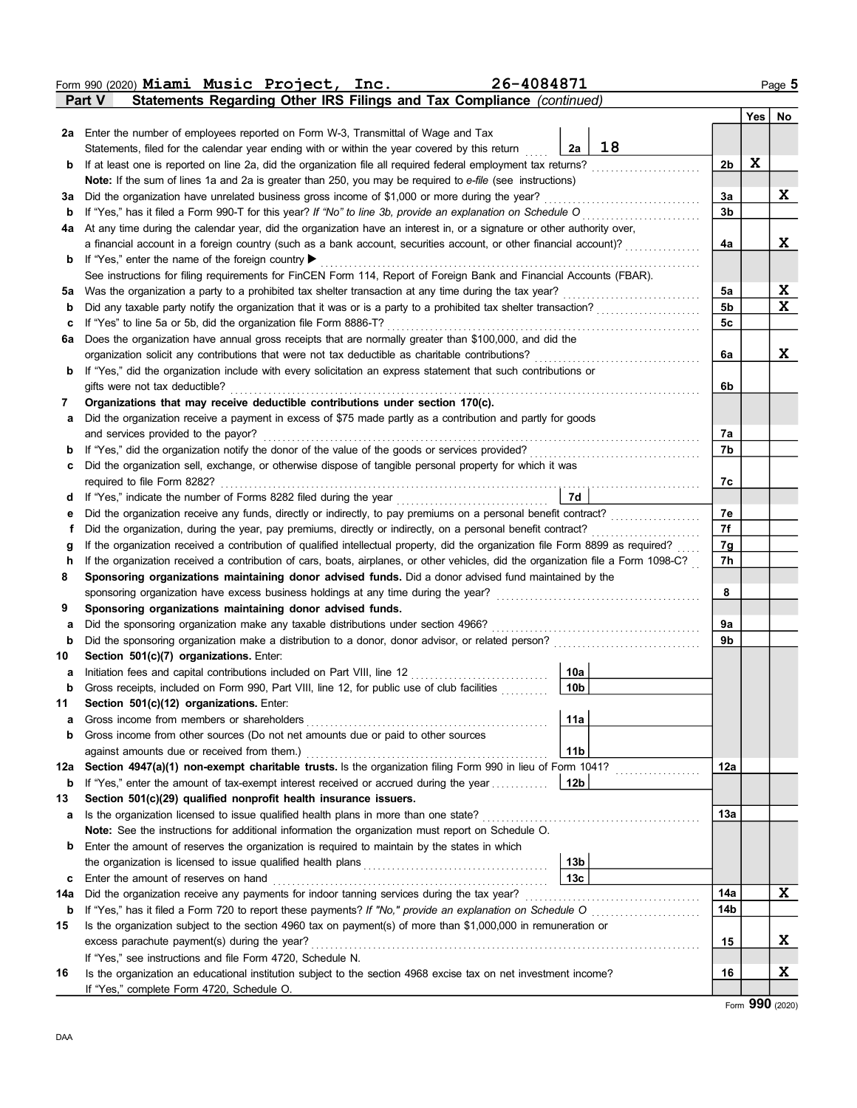|          | 26-4084871<br>Form 990 (2020) Miami Music Project, Inc.                                                                                                                                                                                    |                   |   | Page 5      |
|----------|--------------------------------------------------------------------------------------------------------------------------------------------------------------------------------------------------------------------------------------------|-------------------|---|-------------|
|          | Statements Regarding Other IRS Filings and Tax Compliance (continued)<br><b>Part V</b>                                                                                                                                                     |                   |   | Yes   No    |
|          | 2a Enter the number of employees reported on Form W-3, Transmittal of Wage and Tax                                                                                                                                                         |                   |   |             |
|          | 18<br>Statements, filed for the calendar year ending with or within the year covered by this return<br>2a                                                                                                                                  |                   |   |             |
|          | <b>b</b> If at least one is reported on line 2a, did the organization file all required federal employment tax returns?                                                                                                                    | 2 <sub>b</sub>    | X |             |
|          | Note: If the sum of lines 1a and 2a is greater than 250, you may be required to e-file (see instructions)                                                                                                                                  |                   |   |             |
|          | 3a Did the organization have unrelated business gross income of \$1,000 or more during the year?                                                                                                                                           | За                |   | X           |
| b        | If "Yes," has it filed a Form 990-T for this year? If "No" to line 3b, provide an explanation on Schedule O<br>4a At any time during the calendar year, did the organization have an interest in, or a signature or other authority over,  | 3 <sub>b</sub>    |   |             |
|          | a financial account in a foreign country (such as a bank account, securities account, or other financial account)?                                                                                                                         | 4a                |   | x           |
|          | <b>b</b> If "Yes," enter the name of the foreign country $\blacktriangleright$                                                                                                                                                             |                   |   |             |
|          | See instructions for filing requirements for FinCEN Form 114, Report of Foreign Bank and Financial Accounts (FBAR).                                                                                                                        |                   |   |             |
|          | 5a Was the organization a party to a prohibited tax shelter transaction at any time during the tax year?                                                                                                                                   | 5а                |   | X           |
| b        |                                                                                                                                                                                                                                            | 5 <sub>b</sub>    |   | X           |
| c        | If "Yes" to line 5a or 5b, did the organization file Form 8886-T?<br>6a Does the organization have annual gross receipts that are normally greater than \$100,000, and did the                                                             | 5с                |   |             |
|          | organization solicit any contributions that were not tax deductible as charitable contributions?                                                                                                                                           | 6a                |   | x           |
|          | <b>b</b> If "Yes," did the organization include with every solicitation an express statement that such contributions or                                                                                                                    |                   |   |             |
|          | gifts were not tax deductible?                                                                                                                                                                                                             | 6b                |   |             |
|          | Organizations that may receive deductible contributions under section 170(c).                                                                                                                                                              |                   |   |             |
|          | Did the organization receive a payment in excess of \$75 made partly as a contribution and partly for goods                                                                                                                                |                   |   |             |
|          | and services provided to the payor?                                                                                                                                                                                                        | 7а<br>7b          |   |             |
|          | c Did the organization sell, exchange, or otherwise dispose of tangible personal property for which it was                                                                                                                                 |                   |   |             |
|          | required to file Form 8282?                                                                                                                                                                                                                | 7c                |   |             |
| d        | 7d                                                                                                                                                                                                                                         |                   |   |             |
|          |                                                                                                                                                                                                                                            | 7е                |   |             |
|          | Did the organization, during the year, pay premiums, directly or indirectly, on a personal benefit contract?                                                                                                                               | 7f                |   |             |
|          | If the organization received a contribution of qualified intellectual property, did the organization file Form 8899 as required?                                                                                                           | 7g                |   |             |
| h<br>8   | If the organization received a contribution of cars, boats, airplanes, or other vehicles, did the organization file a Form 1098-C?<br>Sponsoring organizations maintaining donor advised funds. Did a donor advised fund maintained by the | 7h                |   |             |
|          |                                                                                                                                                                                                                                            | 8                 |   |             |
| 9        | Sponsoring organizations maintaining donor advised funds.                                                                                                                                                                                  |                   |   |             |
|          |                                                                                                                                                                                                                                            | 9а                |   |             |
|          | Did the sponsoring organization make a distribution to a donor, donor advisor, or related person?                                                                                                                                          | 9 <sub>b</sub>    |   |             |
| 10       | Section 501(c)(7) organizations. Enter:                                                                                                                                                                                                    |                   |   |             |
| а        | 10a<br>Initiation fees and capital contributions included on Part VIII, line 12<br>Gross receipts, included on Form 990, Part VIII, line 12, for public use of club facilities<br>10b                                                      |                   |   |             |
|          | Section 501(c)(12) organizations. Enter:                                                                                                                                                                                                   |                   |   |             |
|          | Gross income from members or shareholders<br>11a                                                                                                                                                                                           |                   |   |             |
|          | <b>b</b> Gross income from other sources (Do not net amounts due or paid to other sources                                                                                                                                                  |                   |   |             |
|          | 11b<br>against amounts due or received from them.)                                                                                                                                                                                         |                   |   |             |
|          | 12a Section 4947(a)(1) non-exempt charitable trusts. Is the organization filing Form 990 in lieu of Form 1041?                                                                                                                             | 12a               |   |             |
| b<br>13. | If "Yes," enter the amount of tax-exempt interest received or accrued during the year<br>  12b  <br>Section 501(c)(29) qualified nonprofit health insurance issuers.                                                                       |                   |   |             |
|          | a Is the organization licensed to issue qualified health plans in more than one state?                                                                                                                                                     | 13a               |   |             |
|          | Note: See the instructions for additional information the organization must report on Schedule O.                                                                                                                                          |                   |   |             |
|          | <b>b</b> Enter the amount of reserves the organization is required to maintain by the states in which                                                                                                                                      |                   |   |             |
|          | 13 <sub>b</sub>                                                                                                                                                                                                                            |                   |   |             |
|          | 13 <sub>c</sub><br>c Enter the amount of reserves on hand                                                                                                                                                                                  |                   |   |             |
|          |                                                                                                                                                                                                                                            | 14a<br><b>14b</b> |   | $\mathbf x$ |
| 15       | <b>b</b> If "Yes," has it filed a Form 720 to report these payments? If "No," provide an explanation on Schedule O<br>Is the organization subject to the section 4960 tax on payment(s) of more than \$1,000,000 in remuneration or        |                   |   |             |
|          | excess parachute payment(s) during the year?                                                                                                                                                                                               | 15                |   | x           |
|          | If "Yes," see instructions and file Form 4720, Schedule N.                                                                                                                                                                                 |                   |   |             |
| 16       | Is the organization an educational institution subject to the section 4968 excise tax on net investment income?                                                                                                                            | 16                |   | x           |
|          | If "Yes," complete Form 4720, Schedule O.                                                                                                                                                                                                  |                   |   |             |

Form 990 (2020)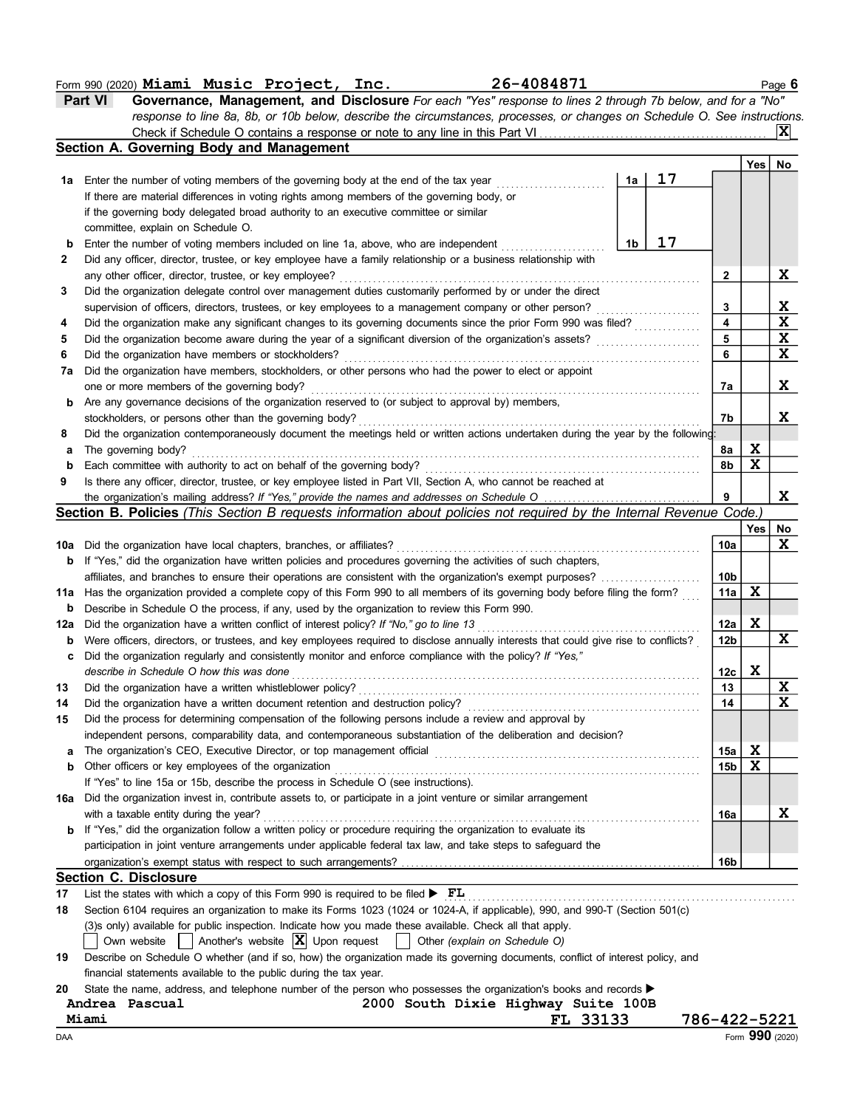| 26-4084871<br>Form 990 (2020) Miami Music Project, Inc.<br>Governance, Management, and Disclosure For each "Yes" response to lines 2 through 7b below, and for a "No"<br><b>Part VI</b><br>Check if Schedule O contains a response or note to any line in this Part VI<br>Section A. Governing Body and Management<br>17<br>1a Enter the number of voting members of the governing body at the end of the tax year<br>1a<br>If there are material differences in voting rights among members of the governing body, or<br>if the governing body delegated broad authority to an executive committee or similar<br>committee, explain on Schedule O.<br>17<br>Enter the number of voting members included on line 1a, above, who are independent<br>1 <sub>b</sub><br>b<br>Did any officer, director, trustee, or key employee have a family relationship or a business relationship with<br>$\mathbf{2}$<br>$\overline{2}$<br>any other officer, director, trustee, or key employee?<br>3 Did the organization delegate control over management duties customarily performed by or under the direct<br>supervision of officers, directors, trustees, or key employees to a management company or other person?<br>3<br>Did the organization make any significant changes to its governing documents since the prior Form 990 was filed?<br>$\overline{4}$<br>5<br>Did the organization become aware during the year of a significant diversion of the organization's assets?<br>Did the organization have members or stockholders?<br>6<br>7a Did the organization have members, stockholders, or other persons who had the power to elect or appoint<br>one or more members of the governing body?<br>7а<br><b>b</b> Are any governance decisions of the organization reserved to (or subject to approval by) members,<br>7b<br>Did the organization contemporaneously document the meetings held or written actions undertaken during the year by the following:<br>8<br>X<br>The governing body?<br>8а<br>$\mathbf{x}$<br>Each committee with authority to act on behalf of the governing body?<br>8b<br>Is there any officer, director, trustee, or key employee listed in Part VII, Section A, who cannot be reached at<br>9<br>9<br>Section B. Policies (This Section B requests information about policies not required by the Internal Revenue Code.)<br>10a<br><b>b</b> If "Yes," did the organization have written policies and procedures governing the activities of such chapters,<br>affiliates, and branches to ensure their operations are consistent with the organization's exempt purposes?<br>10b<br>$\mathbf{x}$<br>11a Has the organization provided a complete copy of this Form 990 to all members of its governing body before filing the form?<br>11a  <br><b>b</b> Describe in Schedule O the process, if any, used by the organization to review this Form 990.<br>$\mathbf{x}$<br>12a Did the organization have a written conflict of interest policy? If "No," go to line 13<br>12a l<br><b>b</b> Were officers, directors, or trustees, and key employees required to disclose annually interests that could give rise to conflicts?<br>12b<br>c Did the organization regularly and consistently monitor and enforce compliance with the policy? If "Yes,"<br>$\mathbf{x}$<br>describe in Schedule O how this was done<br>12c l<br>13<br>13<br>14<br>14<br>Did the process for determining compensation of the following persons include a review and approval by<br>15<br>independent persons, comparability data, and contemporaneous substantiation of the deliberation and decision?<br>X<br>The organization's CEO, Executive Director, or top management official<br>15a l<br>X<br><b>b</b> Other officers or key employees of the organization<br>15b l<br>If "Yes" to line 15a or 15b, describe the process in Schedule O (see instructions).<br>16a Did the organization invest in, contribute assets to, or participate in a joint venture or similar arrangement<br>with a taxable entity during the year?<br>16a<br><b>b</b> If "Yes," did the organization follow a written policy or procedure requiring the organization to evaluate its<br>participation in joint venture arrangements under applicable federal tax law, and take steps to safeguard the<br>16 <sub>b</sub><br><b>Section C. Disclosure</b><br>List the states with which a copy of this Form 990 is required to be filed $\blacktriangleright$ $\blacktriangleright$ $\blacktriangleright$ $\blacktriangleright$<br>17<br>Section 6104 requires an organization to make its Forms 1023 (1024 or 1024-A, if applicable), 990, and 990-T (Section 501(c)<br>18<br>(3) sonly) available for public inspection. Indicate how you made these available. Check all that apply.<br>Own website $\vert$   Another's website $\vert \mathbf{X} \vert$ Upon request<br>Other (explain on Schedule O)<br>Describe on Schedule O whether (and if so, how) the organization made its governing documents, conflict of interest policy, and<br>19.<br>financial statements available to the public during the tax vear.<br>20 State the name, address, and telephone number of the person who possesses the organization's books and records ▶<br>Andrea Pascual<br>2000 South Dixie Highway Suite 100B<br>FL 33133<br>Miami<br>DAA |  |  |  |  |  |
|---------------------------------------------------------------------------------------------------------------------------------------------------------------------------------------------------------------------------------------------------------------------------------------------------------------------------------------------------------------------------------------------------------------------------------------------------------------------------------------------------------------------------------------------------------------------------------------------------------------------------------------------------------------------------------------------------------------------------------------------------------------------------------------------------------------------------------------------------------------------------------------------------------------------------------------------------------------------------------------------------------------------------------------------------------------------------------------------------------------------------------------------------------------------------------------------------------------------------------------------------------------------------------------------------------------------------------------------------------------------------------------------------------------------------------------------------------------------------------------------------------------------------------------------------------------------------------------------------------------------------------------------------------------------------------------------------------------------------------------------------------------------------------------------------------------------------------------------------------------------------------------------------------------------------------------------------------------------------------------------------------------------------------------------------------------------------------------------------------------------------------------------------------------------------------------------------------------------------------------------------------------------------------------------------------------------------------------------------------------------------------------------------------------------------------------------------------------------------------------------------------------------------------------------------------------------------------------------------------------------------------------------------------------------------------------------------------------------------------------------------------------------------------------------------------------------------------------------------------------------------------------------------------------------------------------------------------------------------------------------------------------------------------------------------------------------------------------------------------------------------------------------------------------------------------------------------------------------------------------------------------------------------------------------------------------------------------------------------------------------------------------------------------------------------------------------------------------------------------------------------------------------------------------------------------------------------------------------------------------------------------------------------------------------------------------------------------------------------------------------------------------------------------------------------------------------------------------------------------------------------------------------------------------------------------------------------------------------------------------------------------------------------------------------------------------------------------------------------------------------------------------------------------------------------------------------------------------------------------------------------------------------------------------------------------------------------------------------------------------------------------------------------------------------------------------------------------------------------------------------------------------------------------------------------------------------------------------------------------------------------------------------------------------------------------------------------------------------------------------------------------------------------------------------------------------------------------------------------------------------------------------------------------------------------------------------------------------------------------------------------------------------------------------------------------------------------------------------------------------------------------------------------------------------------------------------------------------------------------------------------------------------------------------------------------------------------------------|--|--|--|--|--|
| X <br>X<br>X<br>X<br>X<br>x<br>X                                                                                                                                                                                                                                                                                                                                                                                                                                                                                                                                                                                                                                                                                                                                                                                                                                                                                                                                                                                                                                                                                                                                                                                                                                                                                                                                                                                                                                                                                                                                                                                                                                                                                                                                                                                                                                                                                                                                                                                                                                                                                                                                                                                                                                                                                                                                                                                                                                                                                                                                                                                                                                                                                                                                                                                                                                                                                                                                                                                                                                                                                                                                                                                                                                                                                                                                                                                                                                                                                                                                                                                                                                                                                                                                                                                                                                                                                                                                                                                                                                                                                                                                                                                                                                                                                                                                                                                                                                                                                                                                                                                                                                                                                                                                                                                                                                                                                                                                                                                                                                                                                                                                                                                                                                                                                                      |  |  |  |  |  |
|                                                                                                                                                                                                                                                                                                                                                                                                                                                                                                                                                                                                                                                                                                                                                                                                                                                                                                                                                                                                                                                                                                                                                                                                                                                                                                                                                                                                                                                                                                                                                                                                                                                                                                                                                                                                                                                                                                                                                                                                                                                                                                                                                                                                                                                                                                                                                                                                                                                                                                                                                                                                                                                                                                                                                                                                                                                                                                                                                                                                                                                                                                                                                                                                                                                                                                                                                                                                                                                                                                                                                                                                                                                                                                                                                                                                                                                                                                                                                                                                                                                                                                                                                                                                                                                                                                                                                                                                                                                                                                                                                                                                                                                                                                                                                                                                                                                                                                                                                                                                                                                                                                                                                                                                                                                                                                                                       |  |  |  |  |  |
| Yes   No<br>X<br>X<br>X<br>X<br>$\mathbf{x}$<br>$\mathbf x$                                                                                                                                                                                                                                                                                                                                                                                                                                                                                                                                                                                                                                                                                                                                                                                                                                                                                                                                                                                                                                                                                                                                                                                                                                                                                                                                                                                                                                                                                                                                                                                                                                                                                                                                                                                                                                                                                                                                                                                                                                                                                                                                                                                                                                                                                                                                                                                                                                                                                                                                                                                                                                                                                                                                                                                                                                                                                                                                                                                                                                                                                                                                                                                                                                                                                                                                                                                                                                                                                                                                                                                                                                                                                                                                                                                                                                                                                                                                                                                                                                                                                                                                                                                                                                                                                                                                                                                                                                                                                                                                                                                                                                                                                                                                                                                                                                                                                                                                                                                                                                                                                                                                                                                                                                                                           |  |  |  |  |  |
| Page $6$<br>response to line 8a, 8b, or 10b below, describe the circumstances, processes, or changes on Schedule O. See instructions.<br>Yes   No<br>786-422-5221<br>Form 990 (2020)                                                                                                                                                                                                                                                                                                                                                                                                                                                                                                                                                                                                                                                                                                                                                                                                                                                                                                                                                                                                                                                                                                                                                                                                                                                                                                                                                                                                                                                                                                                                                                                                                                                                                                                                                                                                                                                                                                                                                                                                                                                                                                                                                                                                                                                                                                                                                                                                                                                                                                                                                                                                                                                                                                                                                                                                                                                                                                                                                                                                                                                                                                                                                                                                                                                                                                                                                                                                                                                                                                                                                                                                                                                                                                                                                                                                                                                                                                                                                                                                                                                                                                                                                                                                                                                                                                                                                                                                                                                                                                                                                                                                                                                                                                                                                                                                                                                                                                                                                                                                                                                                                                                                                  |  |  |  |  |  |
|                                                                                                                                                                                                                                                                                                                                                                                                                                                                                                                                                                                                                                                                                                                                                                                                                                                                                                                                                                                                                                                                                                                                                                                                                                                                                                                                                                                                                                                                                                                                                                                                                                                                                                                                                                                                                                                                                                                                                                                                                                                                                                                                                                                                                                                                                                                                                                                                                                                                                                                                                                                                                                                                                                                                                                                                                                                                                                                                                                                                                                                                                                                                                                                                                                                                                                                                                                                                                                                                                                                                                                                                                                                                                                                                                                                                                                                                                                                                                                                                                                                                                                                                                                                                                                                                                                                                                                                                                                                                                                                                                                                                                                                                                                                                                                                                                                                                                                                                                                                                                                                                                                                                                                                                                                                                                                                                       |  |  |  |  |  |
|                                                                                                                                                                                                                                                                                                                                                                                                                                                                                                                                                                                                                                                                                                                                                                                                                                                                                                                                                                                                                                                                                                                                                                                                                                                                                                                                                                                                                                                                                                                                                                                                                                                                                                                                                                                                                                                                                                                                                                                                                                                                                                                                                                                                                                                                                                                                                                                                                                                                                                                                                                                                                                                                                                                                                                                                                                                                                                                                                                                                                                                                                                                                                                                                                                                                                                                                                                                                                                                                                                                                                                                                                                                                                                                                                                                                                                                                                                                                                                                                                                                                                                                                                                                                                                                                                                                                                                                                                                                                                                                                                                                                                                                                                                                                                                                                                                                                                                                                                                                                                                                                                                                                                                                                                                                                                                                                       |  |  |  |  |  |
|                                                                                                                                                                                                                                                                                                                                                                                                                                                                                                                                                                                                                                                                                                                                                                                                                                                                                                                                                                                                                                                                                                                                                                                                                                                                                                                                                                                                                                                                                                                                                                                                                                                                                                                                                                                                                                                                                                                                                                                                                                                                                                                                                                                                                                                                                                                                                                                                                                                                                                                                                                                                                                                                                                                                                                                                                                                                                                                                                                                                                                                                                                                                                                                                                                                                                                                                                                                                                                                                                                                                                                                                                                                                                                                                                                                                                                                                                                                                                                                                                                                                                                                                                                                                                                                                                                                                                                                                                                                                                                                                                                                                                                                                                                                                                                                                                                                                                                                                                                                                                                                                                                                                                                                                                                                                                                                                       |  |  |  |  |  |
|                                                                                                                                                                                                                                                                                                                                                                                                                                                                                                                                                                                                                                                                                                                                                                                                                                                                                                                                                                                                                                                                                                                                                                                                                                                                                                                                                                                                                                                                                                                                                                                                                                                                                                                                                                                                                                                                                                                                                                                                                                                                                                                                                                                                                                                                                                                                                                                                                                                                                                                                                                                                                                                                                                                                                                                                                                                                                                                                                                                                                                                                                                                                                                                                                                                                                                                                                                                                                                                                                                                                                                                                                                                                                                                                                                                                                                                                                                                                                                                                                                                                                                                                                                                                                                                                                                                                                                                                                                                                                                                                                                                                                                                                                                                                                                                                                                                                                                                                                                                                                                                                                                                                                                                                                                                                                                                                       |  |  |  |  |  |
|                                                                                                                                                                                                                                                                                                                                                                                                                                                                                                                                                                                                                                                                                                                                                                                                                                                                                                                                                                                                                                                                                                                                                                                                                                                                                                                                                                                                                                                                                                                                                                                                                                                                                                                                                                                                                                                                                                                                                                                                                                                                                                                                                                                                                                                                                                                                                                                                                                                                                                                                                                                                                                                                                                                                                                                                                                                                                                                                                                                                                                                                                                                                                                                                                                                                                                                                                                                                                                                                                                                                                                                                                                                                                                                                                                                                                                                                                                                                                                                                                                                                                                                                                                                                                                                                                                                                                                                                                                                                                                                                                                                                                                                                                                                                                                                                                                                                                                                                                                                                                                                                                                                                                                                                                                                                                                                                       |  |  |  |  |  |
|                                                                                                                                                                                                                                                                                                                                                                                                                                                                                                                                                                                                                                                                                                                                                                                                                                                                                                                                                                                                                                                                                                                                                                                                                                                                                                                                                                                                                                                                                                                                                                                                                                                                                                                                                                                                                                                                                                                                                                                                                                                                                                                                                                                                                                                                                                                                                                                                                                                                                                                                                                                                                                                                                                                                                                                                                                                                                                                                                                                                                                                                                                                                                                                                                                                                                                                                                                                                                                                                                                                                                                                                                                                                                                                                                                                                                                                                                                                                                                                                                                                                                                                                                                                                                                                                                                                                                                                                                                                                                                                                                                                                                                                                                                                                                                                                                                                                                                                                                                                                                                                                                                                                                                                                                                                                                                                                       |  |  |  |  |  |
|                                                                                                                                                                                                                                                                                                                                                                                                                                                                                                                                                                                                                                                                                                                                                                                                                                                                                                                                                                                                                                                                                                                                                                                                                                                                                                                                                                                                                                                                                                                                                                                                                                                                                                                                                                                                                                                                                                                                                                                                                                                                                                                                                                                                                                                                                                                                                                                                                                                                                                                                                                                                                                                                                                                                                                                                                                                                                                                                                                                                                                                                                                                                                                                                                                                                                                                                                                                                                                                                                                                                                                                                                                                                                                                                                                                                                                                                                                                                                                                                                                                                                                                                                                                                                                                                                                                                                                                                                                                                                                                                                                                                                                                                                                                                                                                                                                                                                                                                                                                                                                                                                                                                                                                                                                                                                                                                       |  |  |  |  |  |
|                                                                                                                                                                                                                                                                                                                                                                                                                                                                                                                                                                                                                                                                                                                                                                                                                                                                                                                                                                                                                                                                                                                                                                                                                                                                                                                                                                                                                                                                                                                                                                                                                                                                                                                                                                                                                                                                                                                                                                                                                                                                                                                                                                                                                                                                                                                                                                                                                                                                                                                                                                                                                                                                                                                                                                                                                                                                                                                                                                                                                                                                                                                                                                                                                                                                                                                                                                                                                                                                                                                                                                                                                                                                                                                                                                                                                                                                                                                                                                                                                                                                                                                                                                                                                                                                                                                                                                                                                                                                                                                                                                                                                                                                                                                                                                                                                                                                                                                                                                                                                                                                                                                                                                                                                                                                                                                                       |  |  |  |  |  |
|                                                                                                                                                                                                                                                                                                                                                                                                                                                                                                                                                                                                                                                                                                                                                                                                                                                                                                                                                                                                                                                                                                                                                                                                                                                                                                                                                                                                                                                                                                                                                                                                                                                                                                                                                                                                                                                                                                                                                                                                                                                                                                                                                                                                                                                                                                                                                                                                                                                                                                                                                                                                                                                                                                                                                                                                                                                                                                                                                                                                                                                                                                                                                                                                                                                                                                                                                                                                                                                                                                                                                                                                                                                                                                                                                                                                                                                                                                                                                                                                                                                                                                                                                                                                                                                                                                                                                                                                                                                                                                                                                                                                                                                                                                                                                                                                                                                                                                                                                                                                                                                                                                                                                                                                                                                                                                                                       |  |  |  |  |  |
|                                                                                                                                                                                                                                                                                                                                                                                                                                                                                                                                                                                                                                                                                                                                                                                                                                                                                                                                                                                                                                                                                                                                                                                                                                                                                                                                                                                                                                                                                                                                                                                                                                                                                                                                                                                                                                                                                                                                                                                                                                                                                                                                                                                                                                                                                                                                                                                                                                                                                                                                                                                                                                                                                                                                                                                                                                                                                                                                                                                                                                                                                                                                                                                                                                                                                                                                                                                                                                                                                                                                                                                                                                                                                                                                                                                                                                                                                                                                                                                                                                                                                                                                                                                                                                                                                                                                                                                                                                                                                                                                                                                                                                                                                                                                                                                                                                                                                                                                                                                                                                                                                                                                                                                                                                                                                                                                       |  |  |  |  |  |
|                                                                                                                                                                                                                                                                                                                                                                                                                                                                                                                                                                                                                                                                                                                                                                                                                                                                                                                                                                                                                                                                                                                                                                                                                                                                                                                                                                                                                                                                                                                                                                                                                                                                                                                                                                                                                                                                                                                                                                                                                                                                                                                                                                                                                                                                                                                                                                                                                                                                                                                                                                                                                                                                                                                                                                                                                                                                                                                                                                                                                                                                                                                                                                                                                                                                                                                                                                                                                                                                                                                                                                                                                                                                                                                                                                                                                                                                                                                                                                                                                                                                                                                                                                                                                                                                                                                                                                                                                                                                                                                                                                                                                                                                                                                                                                                                                                                                                                                                                                                                                                                                                                                                                                                                                                                                                                                                       |  |  |  |  |  |
|                                                                                                                                                                                                                                                                                                                                                                                                                                                                                                                                                                                                                                                                                                                                                                                                                                                                                                                                                                                                                                                                                                                                                                                                                                                                                                                                                                                                                                                                                                                                                                                                                                                                                                                                                                                                                                                                                                                                                                                                                                                                                                                                                                                                                                                                                                                                                                                                                                                                                                                                                                                                                                                                                                                                                                                                                                                                                                                                                                                                                                                                                                                                                                                                                                                                                                                                                                                                                                                                                                                                                                                                                                                                                                                                                                                                                                                                                                                                                                                                                                                                                                                                                                                                                                                                                                                                                                                                                                                                                                                                                                                                                                                                                                                                                                                                                                                                                                                                                                                                                                                                                                                                                                                                                                                                                                                                       |  |  |  |  |  |
|                                                                                                                                                                                                                                                                                                                                                                                                                                                                                                                                                                                                                                                                                                                                                                                                                                                                                                                                                                                                                                                                                                                                                                                                                                                                                                                                                                                                                                                                                                                                                                                                                                                                                                                                                                                                                                                                                                                                                                                                                                                                                                                                                                                                                                                                                                                                                                                                                                                                                                                                                                                                                                                                                                                                                                                                                                                                                                                                                                                                                                                                                                                                                                                                                                                                                                                                                                                                                                                                                                                                                                                                                                                                                                                                                                                                                                                                                                                                                                                                                                                                                                                                                                                                                                                                                                                                                                                                                                                                                                                                                                                                                                                                                                                                                                                                                                                                                                                                                                                                                                                                                                                                                                                                                                                                                                                                       |  |  |  |  |  |
|                                                                                                                                                                                                                                                                                                                                                                                                                                                                                                                                                                                                                                                                                                                                                                                                                                                                                                                                                                                                                                                                                                                                                                                                                                                                                                                                                                                                                                                                                                                                                                                                                                                                                                                                                                                                                                                                                                                                                                                                                                                                                                                                                                                                                                                                                                                                                                                                                                                                                                                                                                                                                                                                                                                                                                                                                                                                                                                                                                                                                                                                                                                                                                                                                                                                                                                                                                                                                                                                                                                                                                                                                                                                                                                                                                                                                                                                                                                                                                                                                                                                                                                                                                                                                                                                                                                                                                                                                                                                                                                                                                                                                                                                                                                                                                                                                                                                                                                                                                                                                                                                                                                                                                                                                                                                                                                                       |  |  |  |  |  |
|                                                                                                                                                                                                                                                                                                                                                                                                                                                                                                                                                                                                                                                                                                                                                                                                                                                                                                                                                                                                                                                                                                                                                                                                                                                                                                                                                                                                                                                                                                                                                                                                                                                                                                                                                                                                                                                                                                                                                                                                                                                                                                                                                                                                                                                                                                                                                                                                                                                                                                                                                                                                                                                                                                                                                                                                                                                                                                                                                                                                                                                                                                                                                                                                                                                                                                                                                                                                                                                                                                                                                                                                                                                                                                                                                                                                                                                                                                                                                                                                                                                                                                                                                                                                                                                                                                                                                                                                                                                                                                                                                                                                                                                                                                                                                                                                                                                                                                                                                                                                                                                                                                                                                                                                                                                                                                                                       |  |  |  |  |  |
|                                                                                                                                                                                                                                                                                                                                                                                                                                                                                                                                                                                                                                                                                                                                                                                                                                                                                                                                                                                                                                                                                                                                                                                                                                                                                                                                                                                                                                                                                                                                                                                                                                                                                                                                                                                                                                                                                                                                                                                                                                                                                                                                                                                                                                                                                                                                                                                                                                                                                                                                                                                                                                                                                                                                                                                                                                                                                                                                                                                                                                                                                                                                                                                                                                                                                                                                                                                                                                                                                                                                                                                                                                                                                                                                                                                                                                                                                                                                                                                                                                                                                                                                                                                                                                                                                                                                                                                                                                                                                                                                                                                                                                                                                                                                                                                                                                                                                                                                                                                                                                                                                                                                                                                                                                                                                                                                       |  |  |  |  |  |
|                                                                                                                                                                                                                                                                                                                                                                                                                                                                                                                                                                                                                                                                                                                                                                                                                                                                                                                                                                                                                                                                                                                                                                                                                                                                                                                                                                                                                                                                                                                                                                                                                                                                                                                                                                                                                                                                                                                                                                                                                                                                                                                                                                                                                                                                                                                                                                                                                                                                                                                                                                                                                                                                                                                                                                                                                                                                                                                                                                                                                                                                                                                                                                                                                                                                                                                                                                                                                                                                                                                                                                                                                                                                                                                                                                                                                                                                                                                                                                                                                                                                                                                                                                                                                                                                                                                                                                                                                                                                                                                                                                                                                                                                                                                                                                                                                                                                                                                                                                                                                                                                                                                                                                                                                                                                                                                                       |  |  |  |  |  |
|                                                                                                                                                                                                                                                                                                                                                                                                                                                                                                                                                                                                                                                                                                                                                                                                                                                                                                                                                                                                                                                                                                                                                                                                                                                                                                                                                                                                                                                                                                                                                                                                                                                                                                                                                                                                                                                                                                                                                                                                                                                                                                                                                                                                                                                                                                                                                                                                                                                                                                                                                                                                                                                                                                                                                                                                                                                                                                                                                                                                                                                                                                                                                                                                                                                                                                                                                                                                                                                                                                                                                                                                                                                                                                                                                                                                                                                                                                                                                                                                                                                                                                                                                                                                                                                                                                                                                                                                                                                                                                                                                                                                                                                                                                                                                                                                                                                                                                                                                                                                                                                                                                                                                                                                                                                                                                                                       |  |  |  |  |  |
|                                                                                                                                                                                                                                                                                                                                                                                                                                                                                                                                                                                                                                                                                                                                                                                                                                                                                                                                                                                                                                                                                                                                                                                                                                                                                                                                                                                                                                                                                                                                                                                                                                                                                                                                                                                                                                                                                                                                                                                                                                                                                                                                                                                                                                                                                                                                                                                                                                                                                                                                                                                                                                                                                                                                                                                                                                                                                                                                                                                                                                                                                                                                                                                                                                                                                                                                                                                                                                                                                                                                                                                                                                                                                                                                                                                                                                                                                                                                                                                                                                                                                                                                                                                                                                                                                                                                                                                                                                                                                                                                                                                                                                                                                                                                                                                                                                                                                                                                                                                                                                                                                                                                                                                                                                                                                                                                       |  |  |  |  |  |
|                                                                                                                                                                                                                                                                                                                                                                                                                                                                                                                                                                                                                                                                                                                                                                                                                                                                                                                                                                                                                                                                                                                                                                                                                                                                                                                                                                                                                                                                                                                                                                                                                                                                                                                                                                                                                                                                                                                                                                                                                                                                                                                                                                                                                                                                                                                                                                                                                                                                                                                                                                                                                                                                                                                                                                                                                                                                                                                                                                                                                                                                                                                                                                                                                                                                                                                                                                                                                                                                                                                                                                                                                                                                                                                                                                                                                                                                                                                                                                                                                                                                                                                                                                                                                                                                                                                                                                                                                                                                                                                                                                                                                                                                                                                                                                                                                                                                                                                                                                                                                                                                                                                                                                                                                                                                                                                                       |  |  |  |  |  |
|                                                                                                                                                                                                                                                                                                                                                                                                                                                                                                                                                                                                                                                                                                                                                                                                                                                                                                                                                                                                                                                                                                                                                                                                                                                                                                                                                                                                                                                                                                                                                                                                                                                                                                                                                                                                                                                                                                                                                                                                                                                                                                                                                                                                                                                                                                                                                                                                                                                                                                                                                                                                                                                                                                                                                                                                                                                                                                                                                                                                                                                                                                                                                                                                                                                                                                                                                                                                                                                                                                                                                                                                                                                                                                                                                                                                                                                                                                                                                                                                                                                                                                                                                                                                                                                                                                                                                                                                                                                                                                                                                                                                                                                                                                                                                                                                                                                                                                                                                                                                                                                                                                                                                                                                                                                                                                                                       |  |  |  |  |  |
|                                                                                                                                                                                                                                                                                                                                                                                                                                                                                                                                                                                                                                                                                                                                                                                                                                                                                                                                                                                                                                                                                                                                                                                                                                                                                                                                                                                                                                                                                                                                                                                                                                                                                                                                                                                                                                                                                                                                                                                                                                                                                                                                                                                                                                                                                                                                                                                                                                                                                                                                                                                                                                                                                                                                                                                                                                                                                                                                                                                                                                                                                                                                                                                                                                                                                                                                                                                                                                                                                                                                                                                                                                                                                                                                                                                                                                                                                                                                                                                                                                                                                                                                                                                                                                                                                                                                                                                                                                                                                                                                                                                                                                                                                                                                                                                                                                                                                                                                                                                                                                                                                                                                                                                                                                                                                                                                       |  |  |  |  |  |
|                                                                                                                                                                                                                                                                                                                                                                                                                                                                                                                                                                                                                                                                                                                                                                                                                                                                                                                                                                                                                                                                                                                                                                                                                                                                                                                                                                                                                                                                                                                                                                                                                                                                                                                                                                                                                                                                                                                                                                                                                                                                                                                                                                                                                                                                                                                                                                                                                                                                                                                                                                                                                                                                                                                                                                                                                                                                                                                                                                                                                                                                                                                                                                                                                                                                                                                                                                                                                                                                                                                                                                                                                                                                                                                                                                                                                                                                                                                                                                                                                                                                                                                                                                                                                                                                                                                                                                                                                                                                                                                                                                                                                                                                                                                                                                                                                                                                                                                                                                                                                                                                                                                                                                                                                                                                                                                                       |  |  |  |  |  |
|                                                                                                                                                                                                                                                                                                                                                                                                                                                                                                                                                                                                                                                                                                                                                                                                                                                                                                                                                                                                                                                                                                                                                                                                                                                                                                                                                                                                                                                                                                                                                                                                                                                                                                                                                                                                                                                                                                                                                                                                                                                                                                                                                                                                                                                                                                                                                                                                                                                                                                                                                                                                                                                                                                                                                                                                                                                                                                                                                                                                                                                                                                                                                                                                                                                                                                                                                                                                                                                                                                                                                                                                                                                                                                                                                                                                                                                                                                                                                                                                                                                                                                                                                                                                                                                                                                                                                                                                                                                                                                                                                                                                                                                                                                                                                                                                                                                                                                                                                                                                                                                                                                                                                                                                                                                                                                                                       |  |  |  |  |  |
|                                                                                                                                                                                                                                                                                                                                                                                                                                                                                                                                                                                                                                                                                                                                                                                                                                                                                                                                                                                                                                                                                                                                                                                                                                                                                                                                                                                                                                                                                                                                                                                                                                                                                                                                                                                                                                                                                                                                                                                                                                                                                                                                                                                                                                                                                                                                                                                                                                                                                                                                                                                                                                                                                                                                                                                                                                                                                                                                                                                                                                                                                                                                                                                                                                                                                                                                                                                                                                                                                                                                                                                                                                                                                                                                                                                                                                                                                                                                                                                                                                                                                                                                                                                                                                                                                                                                                                                                                                                                                                                                                                                                                                                                                                                                                                                                                                                                                                                                                                                                                                                                                                                                                                                                                                                                                                                                       |  |  |  |  |  |
|                                                                                                                                                                                                                                                                                                                                                                                                                                                                                                                                                                                                                                                                                                                                                                                                                                                                                                                                                                                                                                                                                                                                                                                                                                                                                                                                                                                                                                                                                                                                                                                                                                                                                                                                                                                                                                                                                                                                                                                                                                                                                                                                                                                                                                                                                                                                                                                                                                                                                                                                                                                                                                                                                                                                                                                                                                                                                                                                                                                                                                                                                                                                                                                                                                                                                                                                                                                                                                                                                                                                                                                                                                                                                                                                                                                                                                                                                                                                                                                                                                                                                                                                                                                                                                                                                                                                                                                                                                                                                                                                                                                                                                                                                                                                                                                                                                                                                                                                                                                                                                                                                                                                                                                                                                                                                                                                       |  |  |  |  |  |
|                                                                                                                                                                                                                                                                                                                                                                                                                                                                                                                                                                                                                                                                                                                                                                                                                                                                                                                                                                                                                                                                                                                                                                                                                                                                                                                                                                                                                                                                                                                                                                                                                                                                                                                                                                                                                                                                                                                                                                                                                                                                                                                                                                                                                                                                                                                                                                                                                                                                                                                                                                                                                                                                                                                                                                                                                                                                                                                                                                                                                                                                                                                                                                                                                                                                                                                                                                                                                                                                                                                                                                                                                                                                                                                                                                                                                                                                                                                                                                                                                                                                                                                                                                                                                                                                                                                                                                                                                                                                                                                                                                                                                                                                                                                                                                                                                                                                                                                                                                                                                                                                                                                                                                                                                                                                                                                                       |  |  |  |  |  |
|                                                                                                                                                                                                                                                                                                                                                                                                                                                                                                                                                                                                                                                                                                                                                                                                                                                                                                                                                                                                                                                                                                                                                                                                                                                                                                                                                                                                                                                                                                                                                                                                                                                                                                                                                                                                                                                                                                                                                                                                                                                                                                                                                                                                                                                                                                                                                                                                                                                                                                                                                                                                                                                                                                                                                                                                                                                                                                                                                                                                                                                                                                                                                                                                                                                                                                                                                                                                                                                                                                                                                                                                                                                                                                                                                                                                                                                                                                                                                                                                                                                                                                                                                                                                                                                                                                                                                                                                                                                                                                                                                                                                                                                                                                                                                                                                                                                                                                                                                                                                                                                                                                                                                                                                                                                                                                                                       |  |  |  |  |  |
|                                                                                                                                                                                                                                                                                                                                                                                                                                                                                                                                                                                                                                                                                                                                                                                                                                                                                                                                                                                                                                                                                                                                                                                                                                                                                                                                                                                                                                                                                                                                                                                                                                                                                                                                                                                                                                                                                                                                                                                                                                                                                                                                                                                                                                                                                                                                                                                                                                                                                                                                                                                                                                                                                                                                                                                                                                                                                                                                                                                                                                                                                                                                                                                                                                                                                                                                                                                                                                                                                                                                                                                                                                                                                                                                                                                                                                                                                                                                                                                                                                                                                                                                                                                                                                                                                                                                                                                                                                                                                                                                                                                                                                                                                                                                                                                                                                                                                                                                                                                                                                                                                                                                                                                                                                                                                                                                       |  |  |  |  |  |
|                                                                                                                                                                                                                                                                                                                                                                                                                                                                                                                                                                                                                                                                                                                                                                                                                                                                                                                                                                                                                                                                                                                                                                                                                                                                                                                                                                                                                                                                                                                                                                                                                                                                                                                                                                                                                                                                                                                                                                                                                                                                                                                                                                                                                                                                                                                                                                                                                                                                                                                                                                                                                                                                                                                                                                                                                                                                                                                                                                                                                                                                                                                                                                                                                                                                                                                                                                                                                                                                                                                                                                                                                                                                                                                                                                                                                                                                                                                                                                                                                                                                                                                                                                                                                                                                                                                                                                                                                                                                                                                                                                                                                                                                                                                                                                                                                                                                                                                                                                                                                                                                                                                                                                                                                                                                                                                                       |  |  |  |  |  |
|                                                                                                                                                                                                                                                                                                                                                                                                                                                                                                                                                                                                                                                                                                                                                                                                                                                                                                                                                                                                                                                                                                                                                                                                                                                                                                                                                                                                                                                                                                                                                                                                                                                                                                                                                                                                                                                                                                                                                                                                                                                                                                                                                                                                                                                                                                                                                                                                                                                                                                                                                                                                                                                                                                                                                                                                                                                                                                                                                                                                                                                                                                                                                                                                                                                                                                                                                                                                                                                                                                                                                                                                                                                                                                                                                                                                                                                                                                                                                                                                                                                                                                                                                                                                                                                                                                                                                                                                                                                                                                                                                                                                                                                                                                                                                                                                                                                                                                                                                                                                                                                                                                                                                                                                                                                                                                                                       |  |  |  |  |  |
|                                                                                                                                                                                                                                                                                                                                                                                                                                                                                                                                                                                                                                                                                                                                                                                                                                                                                                                                                                                                                                                                                                                                                                                                                                                                                                                                                                                                                                                                                                                                                                                                                                                                                                                                                                                                                                                                                                                                                                                                                                                                                                                                                                                                                                                                                                                                                                                                                                                                                                                                                                                                                                                                                                                                                                                                                                                                                                                                                                                                                                                                                                                                                                                                                                                                                                                                                                                                                                                                                                                                                                                                                                                                                                                                                                                                                                                                                                                                                                                                                                                                                                                                                                                                                                                                                                                                                                                                                                                                                                                                                                                                                                                                                                                                                                                                                                                                                                                                                                                                                                                                                                                                                                                                                                                                                                                                       |  |  |  |  |  |
|                                                                                                                                                                                                                                                                                                                                                                                                                                                                                                                                                                                                                                                                                                                                                                                                                                                                                                                                                                                                                                                                                                                                                                                                                                                                                                                                                                                                                                                                                                                                                                                                                                                                                                                                                                                                                                                                                                                                                                                                                                                                                                                                                                                                                                                                                                                                                                                                                                                                                                                                                                                                                                                                                                                                                                                                                                                                                                                                                                                                                                                                                                                                                                                                                                                                                                                                                                                                                                                                                                                                                                                                                                                                                                                                                                                                                                                                                                                                                                                                                                                                                                                                                                                                                                                                                                                                                                                                                                                                                                                                                                                                                                                                                                                                                                                                                                                                                                                                                                                                                                                                                                                                                                                                                                                                                                                                       |  |  |  |  |  |
|                                                                                                                                                                                                                                                                                                                                                                                                                                                                                                                                                                                                                                                                                                                                                                                                                                                                                                                                                                                                                                                                                                                                                                                                                                                                                                                                                                                                                                                                                                                                                                                                                                                                                                                                                                                                                                                                                                                                                                                                                                                                                                                                                                                                                                                                                                                                                                                                                                                                                                                                                                                                                                                                                                                                                                                                                                                                                                                                                                                                                                                                                                                                                                                                                                                                                                                                                                                                                                                                                                                                                                                                                                                                                                                                                                                                                                                                                                                                                                                                                                                                                                                                                                                                                                                                                                                                                                                                                                                                                                                                                                                                                                                                                                                                                                                                                                                                                                                                                                                                                                                                                                                                                                                                                                                                                                                                       |  |  |  |  |  |
|                                                                                                                                                                                                                                                                                                                                                                                                                                                                                                                                                                                                                                                                                                                                                                                                                                                                                                                                                                                                                                                                                                                                                                                                                                                                                                                                                                                                                                                                                                                                                                                                                                                                                                                                                                                                                                                                                                                                                                                                                                                                                                                                                                                                                                                                                                                                                                                                                                                                                                                                                                                                                                                                                                                                                                                                                                                                                                                                                                                                                                                                                                                                                                                                                                                                                                                                                                                                                                                                                                                                                                                                                                                                                                                                                                                                                                                                                                                                                                                                                                                                                                                                                                                                                                                                                                                                                                                                                                                                                                                                                                                                                                                                                                                                                                                                                                                                                                                                                                                                                                                                                                                                                                                                                                                                                                                                       |  |  |  |  |  |
|                                                                                                                                                                                                                                                                                                                                                                                                                                                                                                                                                                                                                                                                                                                                                                                                                                                                                                                                                                                                                                                                                                                                                                                                                                                                                                                                                                                                                                                                                                                                                                                                                                                                                                                                                                                                                                                                                                                                                                                                                                                                                                                                                                                                                                                                                                                                                                                                                                                                                                                                                                                                                                                                                                                                                                                                                                                                                                                                                                                                                                                                                                                                                                                                                                                                                                                                                                                                                                                                                                                                                                                                                                                                                                                                                                                                                                                                                                                                                                                                                                                                                                                                                                                                                                                                                                                                                                                                                                                                                                                                                                                                                                                                                                                                                                                                                                                                                                                                                                                                                                                                                                                                                                                                                                                                                                                                       |  |  |  |  |  |
|                                                                                                                                                                                                                                                                                                                                                                                                                                                                                                                                                                                                                                                                                                                                                                                                                                                                                                                                                                                                                                                                                                                                                                                                                                                                                                                                                                                                                                                                                                                                                                                                                                                                                                                                                                                                                                                                                                                                                                                                                                                                                                                                                                                                                                                                                                                                                                                                                                                                                                                                                                                                                                                                                                                                                                                                                                                                                                                                                                                                                                                                                                                                                                                                                                                                                                                                                                                                                                                                                                                                                                                                                                                                                                                                                                                                                                                                                                                                                                                                                                                                                                                                                                                                                                                                                                                                                                                                                                                                                                                                                                                                                                                                                                                                                                                                                                                                                                                                                                                                                                                                                                                                                                                                                                                                                                                                       |  |  |  |  |  |
|                                                                                                                                                                                                                                                                                                                                                                                                                                                                                                                                                                                                                                                                                                                                                                                                                                                                                                                                                                                                                                                                                                                                                                                                                                                                                                                                                                                                                                                                                                                                                                                                                                                                                                                                                                                                                                                                                                                                                                                                                                                                                                                                                                                                                                                                                                                                                                                                                                                                                                                                                                                                                                                                                                                                                                                                                                                                                                                                                                                                                                                                                                                                                                                                                                                                                                                                                                                                                                                                                                                                                                                                                                                                                                                                                                                                                                                                                                                                                                                                                                                                                                                                                                                                                                                                                                                                                                                                                                                                                                                                                                                                                                                                                                                                                                                                                                                                                                                                                                                                                                                                                                                                                                                                                                                                                                                                       |  |  |  |  |  |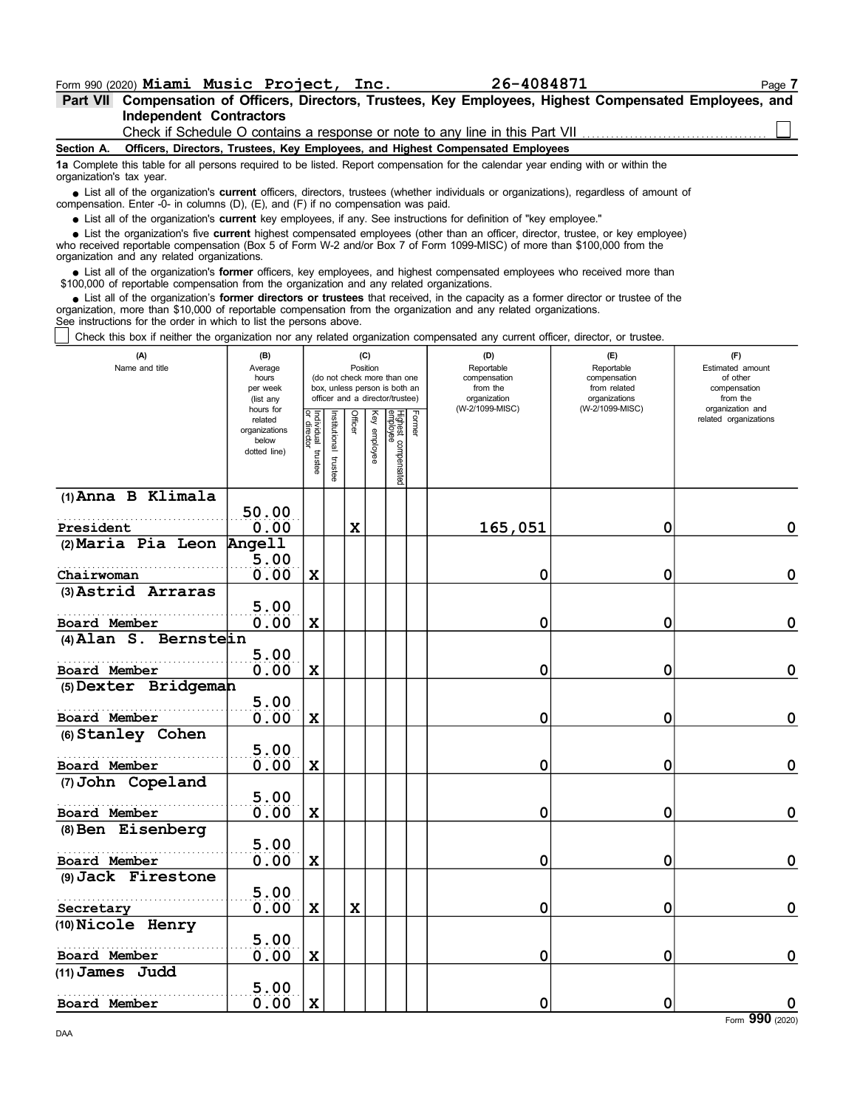| 26-4084871<br>Form 990 (2020) Miami Music Project, Inc.<br>Page 7<br>Part VII Compensation of Officers, Directors, Trustees, Key Employees, Highest Compensated Employees, and<br><b>Independent Contractors</b><br>Check if Schedule O contains a response or note to any line in this Part VII<br>Officers, Directors, Trustees, Key Employees, and Highest Compensated Employees<br>Section A.<br>1a Complete this table for all persons required to be listed. Report compensation for the calendar year ending with or within the<br>organization's tax year.<br>• List all of the organization's current officers, directors, trustees (whether individuals or organizations), regardless of amount of<br>compensation. Enter -0- in columns (D), (E), and (F) if no compensation was paid.<br>• List all of the organization's current key employees, if any. See instructions for definition of "key employee."<br>• List the organization's five <b>current</b> highest compensated employees (other than an officer, director, trustee, or key employee)<br>who received reportable compensation (Box 5 of Form W-2 and/or Box 7 of Form 1099-MISC) of more than \$100,000 from the<br>organization and any related organizations.<br>List all of the organization's former officers, key employees, and highest compensated employees who received more than<br>\$100,000 of reportable compensation from the organization and any related organizations.<br>• List all of the organization's former directors or trustees that received, in the capacity as a former director or trustee of the<br>organization, more than \$10,000 of reportable compensation from the organization and any related organizations.<br>See instructions for the order in which to list the persons above.<br>Check this box if neither the organization nor any related organization compensated any current officer, director, or trustee.<br>(A)<br>(C)<br>(B)<br>(D)<br>(E)<br>(F)<br>Name and title<br>Average<br>Position<br>Reportable<br>Reportable<br>Estimated amount<br>(do not check more than one<br>compensation<br>of other<br>hours<br>compensation<br>box, unless person is both an<br>from related<br>from the<br>compensation<br>per week<br>organization<br>organizations<br>officer and a director/trustee)<br>from the<br>(list any<br>(W-2/1099-MISC)<br>(W-2/1099-MISC)<br>organization and<br>hours for<br>Individual trustee<br>or director<br>nstitutional trustee<br>key employee<br>Highest compensated<br>amployee<br>-ormer<br>related organizations<br>)fficer<br>related<br>organizations<br>below<br>dotted line)<br>(1) Anna B Klimala<br>50.00<br>$\mathbf x$<br>165,051<br>President<br>0.00<br>0<br>0<br>(2) Maria Pia Leon<br>Angell<br>5.00<br>0.00<br>$\mathbf x$<br>$\mathbf 0$<br>0<br>Chairwoman<br>0<br>(3) Astrid Arraras<br>5.00<br>0.00<br>$\mathbf x$<br>$\mathbf 0$<br>Board Member<br>0<br>0<br>(4) Alan S. Bernstein<br>5.00<br>0.00<br>$\mathbf 0$<br>Board Member<br>$\mathbf x$<br>0<br>0<br>(5) Dexter Bridgeman<br>5.00<br>0.00<br>$\mathbf x$<br>$\mathbf 0$<br>0<br>Board Member<br>0<br>(6) Stanley Cohen<br>5.00<br>0.00<br>$\mathbf x$<br>0<br>0<br>0<br>Board Member<br>(7) John Copeland<br>5.00<br>0.00<br>Board Member<br>$\mathbf x$<br>0<br>0<br>0<br>(8) Ben Eisenberg<br>5.00<br>0.00<br>$\mathbf x$<br>$\mathbf 0$<br>0<br>0<br>Board Member<br>(9) Jack Firestone<br>5.00<br>0.00<br>$\mathbf x$<br>$\mathbf x$<br>$\mathbf 0$<br>0<br>0<br>Secretary<br>(10) Nicole Henry<br>5.00<br>$\mathbf x$<br>$\mathbf 0$<br>0<br>0<br>Board Member<br>0.00<br>(11) James Judd<br>5.00<br>Board Member<br>0 |  |      |             |  |   |   |  |
|-----------------------------------------------------------------------------------------------------------------------------------------------------------------------------------------------------------------------------------------------------------------------------------------------------------------------------------------------------------------------------------------------------------------------------------------------------------------------------------------------------------------------------------------------------------------------------------------------------------------------------------------------------------------------------------------------------------------------------------------------------------------------------------------------------------------------------------------------------------------------------------------------------------------------------------------------------------------------------------------------------------------------------------------------------------------------------------------------------------------------------------------------------------------------------------------------------------------------------------------------------------------------------------------------------------------------------------------------------------------------------------------------------------------------------------------------------------------------------------------------------------------------------------------------------------------------------------------------------------------------------------------------------------------------------------------------------------------------------------------------------------------------------------------------------------------------------------------------------------------------------------------------------------------------------------------------------------------------------------------------------------------------------------------------------------------------------------------------------------------------------------------------------------------------------------------------------------------------------------------------------------------------------------------------------------------------------------------------------------------------------------------------------------------------------------------------------------------------------------------------------------------------------------------------------------------------------------------------------------------------------------------------------------------------------------------------------------------------------------------------------------------------------------------------------------------------------------------------------------------------------------------------------------------------------------------------------------------------------------------------------------------------------------------------------------------------------------------------------------------------------------------------------------------------------------------------------------------------------------------------------------------------------------------------------------------------------------------------------------------------------------------------------------------------------------------------------------------------------------------------------------------------------------------------------------------------------------------------------------------------------------------------------------------------|--|------|-------------|--|---|---|--|
|                                                                                                                                                                                                                                                                                                                                                                                                                                                                                                                                                                                                                                                                                                                                                                                                                                                                                                                                                                                                                                                                                                                                                                                                                                                                                                                                                                                                                                                                                                                                                                                                                                                                                                                                                                                                                                                                                                                                                                                                                                                                                                                                                                                                                                                                                                                                                                                                                                                                                                                                                                                                                                                                                                                                                                                                                                                                                                                                                                                                                                                                                                                                                                                                                                                                                                                                                                                                                                                                                                                                                                                                                                                                       |  |      |             |  |   |   |  |
|                                                                                                                                                                                                                                                                                                                                                                                                                                                                                                                                                                                                                                                                                                                                                                                                                                                                                                                                                                                                                                                                                                                                                                                                                                                                                                                                                                                                                                                                                                                                                                                                                                                                                                                                                                                                                                                                                                                                                                                                                                                                                                                                                                                                                                                                                                                                                                                                                                                                                                                                                                                                                                                                                                                                                                                                                                                                                                                                                                                                                                                                                                                                                                                                                                                                                                                                                                                                                                                                                                                                                                                                                                                                       |  |      |             |  |   |   |  |
|                                                                                                                                                                                                                                                                                                                                                                                                                                                                                                                                                                                                                                                                                                                                                                                                                                                                                                                                                                                                                                                                                                                                                                                                                                                                                                                                                                                                                                                                                                                                                                                                                                                                                                                                                                                                                                                                                                                                                                                                                                                                                                                                                                                                                                                                                                                                                                                                                                                                                                                                                                                                                                                                                                                                                                                                                                                                                                                                                                                                                                                                                                                                                                                                                                                                                                                                                                                                                                                                                                                                                                                                                                                                       |  |      |             |  |   |   |  |
|                                                                                                                                                                                                                                                                                                                                                                                                                                                                                                                                                                                                                                                                                                                                                                                                                                                                                                                                                                                                                                                                                                                                                                                                                                                                                                                                                                                                                                                                                                                                                                                                                                                                                                                                                                                                                                                                                                                                                                                                                                                                                                                                                                                                                                                                                                                                                                                                                                                                                                                                                                                                                                                                                                                                                                                                                                                                                                                                                                                                                                                                                                                                                                                                                                                                                                                                                                                                                                                                                                                                                                                                                                                                       |  |      |             |  |   |   |  |
|                                                                                                                                                                                                                                                                                                                                                                                                                                                                                                                                                                                                                                                                                                                                                                                                                                                                                                                                                                                                                                                                                                                                                                                                                                                                                                                                                                                                                                                                                                                                                                                                                                                                                                                                                                                                                                                                                                                                                                                                                                                                                                                                                                                                                                                                                                                                                                                                                                                                                                                                                                                                                                                                                                                                                                                                                                                                                                                                                                                                                                                                                                                                                                                                                                                                                                                                                                                                                                                                                                                                                                                                                                                                       |  |      |             |  |   |   |  |
|                                                                                                                                                                                                                                                                                                                                                                                                                                                                                                                                                                                                                                                                                                                                                                                                                                                                                                                                                                                                                                                                                                                                                                                                                                                                                                                                                                                                                                                                                                                                                                                                                                                                                                                                                                                                                                                                                                                                                                                                                                                                                                                                                                                                                                                                                                                                                                                                                                                                                                                                                                                                                                                                                                                                                                                                                                                                                                                                                                                                                                                                                                                                                                                                                                                                                                                                                                                                                                                                                                                                                                                                                                                                       |  |      |             |  |   |   |  |
|                                                                                                                                                                                                                                                                                                                                                                                                                                                                                                                                                                                                                                                                                                                                                                                                                                                                                                                                                                                                                                                                                                                                                                                                                                                                                                                                                                                                                                                                                                                                                                                                                                                                                                                                                                                                                                                                                                                                                                                                                                                                                                                                                                                                                                                                                                                                                                                                                                                                                                                                                                                                                                                                                                                                                                                                                                                                                                                                                                                                                                                                                                                                                                                                                                                                                                                                                                                                                                                                                                                                                                                                                                                                       |  |      |             |  |   |   |  |
|                                                                                                                                                                                                                                                                                                                                                                                                                                                                                                                                                                                                                                                                                                                                                                                                                                                                                                                                                                                                                                                                                                                                                                                                                                                                                                                                                                                                                                                                                                                                                                                                                                                                                                                                                                                                                                                                                                                                                                                                                                                                                                                                                                                                                                                                                                                                                                                                                                                                                                                                                                                                                                                                                                                                                                                                                                                                                                                                                                                                                                                                                                                                                                                                                                                                                                                                                                                                                                                                                                                                                                                                                                                                       |  |      |             |  |   |   |  |
|                                                                                                                                                                                                                                                                                                                                                                                                                                                                                                                                                                                                                                                                                                                                                                                                                                                                                                                                                                                                                                                                                                                                                                                                                                                                                                                                                                                                                                                                                                                                                                                                                                                                                                                                                                                                                                                                                                                                                                                                                                                                                                                                                                                                                                                                                                                                                                                                                                                                                                                                                                                                                                                                                                                                                                                                                                                                                                                                                                                                                                                                                                                                                                                                                                                                                                                                                                                                                                                                                                                                                                                                                                                                       |  |      |             |  |   |   |  |
|                                                                                                                                                                                                                                                                                                                                                                                                                                                                                                                                                                                                                                                                                                                                                                                                                                                                                                                                                                                                                                                                                                                                                                                                                                                                                                                                                                                                                                                                                                                                                                                                                                                                                                                                                                                                                                                                                                                                                                                                                                                                                                                                                                                                                                                                                                                                                                                                                                                                                                                                                                                                                                                                                                                                                                                                                                                                                                                                                                                                                                                                                                                                                                                                                                                                                                                                                                                                                                                                                                                                                                                                                                                                       |  |      |             |  |   |   |  |
|                                                                                                                                                                                                                                                                                                                                                                                                                                                                                                                                                                                                                                                                                                                                                                                                                                                                                                                                                                                                                                                                                                                                                                                                                                                                                                                                                                                                                                                                                                                                                                                                                                                                                                                                                                                                                                                                                                                                                                                                                                                                                                                                                                                                                                                                                                                                                                                                                                                                                                                                                                                                                                                                                                                                                                                                                                                                                                                                                                                                                                                                                                                                                                                                                                                                                                                                                                                                                                                                                                                                                                                                                                                                       |  |      |             |  |   |   |  |
|                                                                                                                                                                                                                                                                                                                                                                                                                                                                                                                                                                                                                                                                                                                                                                                                                                                                                                                                                                                                                                                                                                                                                                                                                                                                                                                                                                                                                                                                                                                                                                                                                                                                                                                                                                                                                                                                                                                                                                                                                                                                                                                                                                                                                                                                                                                                                                                                                                                                                                                                                                                                                                                                                                                                                                                                                                                                                                                                                                                                                                                                                                                                                                                                                                                                                                                                                                                                                                                                                                                                                                                                                                                                       |  |      |             |  |   |   |  |
|                                                                                                                                                                                                                                                                                                                                                                                                                                                                                                                                                                                                                                                                                                                                                                                                                                                                                                                                                                                                                                                                                                                                                                                                                                                                                                                                                                                                                                                                                                                                                                                                                                                                                                                                                                                                                                                                                                                                                                                                                                                                                                                                                                                                                                                                                                                                                                                                                                                                                                                                                                                                                                                                                                                                                                                                                                                                                                                                                                                                                                                                                                                                                                                                                                                                                                                                                                                                                                                                                                                                                                                                                                                                       |  |      |             |  |   |   |  |
|                                                                                                                                                                                                                                                                                                                                                                                                                                                                                                                                                                                                                                                                                                                                                                                                                                                                                                                                                                                                                                                                                                                                                                                                                                                                                                                                                                                                                                                                                                                                                                                                                                                                                                                                                                                                                                                                                                                                                                                                                                                                                                                                                                                                                                                                                                                                                                                                                                                                                                                                                                                                                                                                                                                                                                                                                                                                                                                                                                                                                                                                                                                                                                                                                                                                                                                                                                                                                                                                                                                                                                                                                                                                       |  |      |             |  |   |   |  |
|                                                                                                                                                                                                                                                                                                                                                                                                                                                                                                                                                                                                                                                                                                                                                                                                                                                                                                                                                                                                                                                                                                                                                                                                                                                                                                                                                                                                                                                                                                                                                                                                                                                                                                                                                                                                                                                                                                                                                                                                                                                                                                                                                                                                                                                                                                                                                                                                                                                                                                                                                                                                                                                                                                                                                                                                                                                                                                                                                                                                                                                                                                                                                                                                                                                                                                                                                                                                                                                                                                                                                                                                                                                                       |  |      |             |  |   |   |  |
|                                                                                                                                                                                                                                                                                                                                                                                                                                                                                                                                                                                                                                                                                                                                                                                                                                                                                                                                                                                                                                                                                                                                                                                                                                                                                                                                                                                                                                                                                                                                                                                                                                                                                                                                                                                                                                                                                                                                                                                                                                                                                                                                                                                                                                                                                                                                                                                                                                                                                                                                                                                                                                                                                                                                                                                                                                                                                                                                                                                                                                                                                                                                                                                                                                                                                                                                                                                                                                                                                                                                                                                                                                                                       |  |      |             |  |   |   |  |
|                                                                                                                                                                                                                                                                                                                                                                                                                                                                                                                                                                                                                                                                                                                                                                                                                                                                                                                                                                                                                                                                                                                                                                                                                                                                                                                                                                                                                                                                                                                                                                                                                                                                                                                                                                                                                                                                                                                                                                                                                                                                                                                                                                                                                                                                                                                                                                                                                                                                                                                                                                                                                                                                                                                                                                                                                                                                                                                                                                                                                                                                                                                                                                                                                                                                                                                                                                                                                                                                                                                                                                                                                                                                       |  |      |             |  |   |   |  |
|                                                                                                                                                                                                                                                                                                                                                                                                                                                                                                                                                                                                                                                                                                                                                                                                                                                                                                                                                                                                                                                                                                                                                                                                                                                                                                                                                                                                                                                                                                                                                                                                                                                                                                                                                                                                                                                                                                                                                                                                                                                                                                                                                                                                                                                                                                                                                                                                                                                                                                                                                                                                                                                                                                                                                                                                                                                                                                                                                                                                                                                                                                                                                                                                                                                                                                                                                                                                                                                                                                                                                                                                                                                                       |  |      |             |  |   |   |  |
|                                                                                                                                                                                                                                                                                                                                                                                                                                                                                                                                                                                                                                                                                                                                                                                                                                                                                                                                                                                                                                                                                                                                                                                                                                                                                                                                                                                                                                                                                                                                                                                                                                                                                                                                                                                                                                                                                                                                                                                                                                                                                                                                                                                                                                                                                                                                                                                                                                                                                                                                                                                                                                                                                                                                                                                                                                                                                                                                                                                                                                                                                                                                                                                                                                                                                                                                                                                                                                                                                                                                                                                                                                                                       |  |      |             |  |   |   |  |
|                                                                                                                                                                                                                                                                                                                                                                                                                                                                                                                                                                                                                                                                                                                                                                                                                                                                                                                                                                                                                                                                                                                                                                                                                                                                                                                                                                                                                                                                                                                                                                                                                                                                                                                                                                                                                                                                                                                                                                                                                                                                                                                                                                                                                                                                                                                                                                                                                                                                                                                                                                                                                                                                                                                                                                                                                                                                                                                                                                                                                                                                                                                                                                                                                                                                                                                                                                                                                                                                                                                                                                                                                                                                       |  |      |             |  |   |   |  |
| Form 990 (2020)                                                                                                                                                                                                                                                                                                                                                                                                                                                                                                                                                                                                                                                                                                                                                                                                                                                                                                                                                                                                                                                                                                                                                                                                                                                                                                                                                                                                                                                                                                                                                                                                                                                                                                                                                                                                                                                                                                                                                                                                                                                                                                                                                                                                                                                                                                                                                                                                                                                                                                                                                                                                                                                                                                                                                                                                                                                                                                                                                                                                                                                                                                                                                                                                                                                                                                                                                                                                                                                                                                                                                                                                                                                       |  | 0.00 | $\mathbf x$ |  | 0 | 0 |  |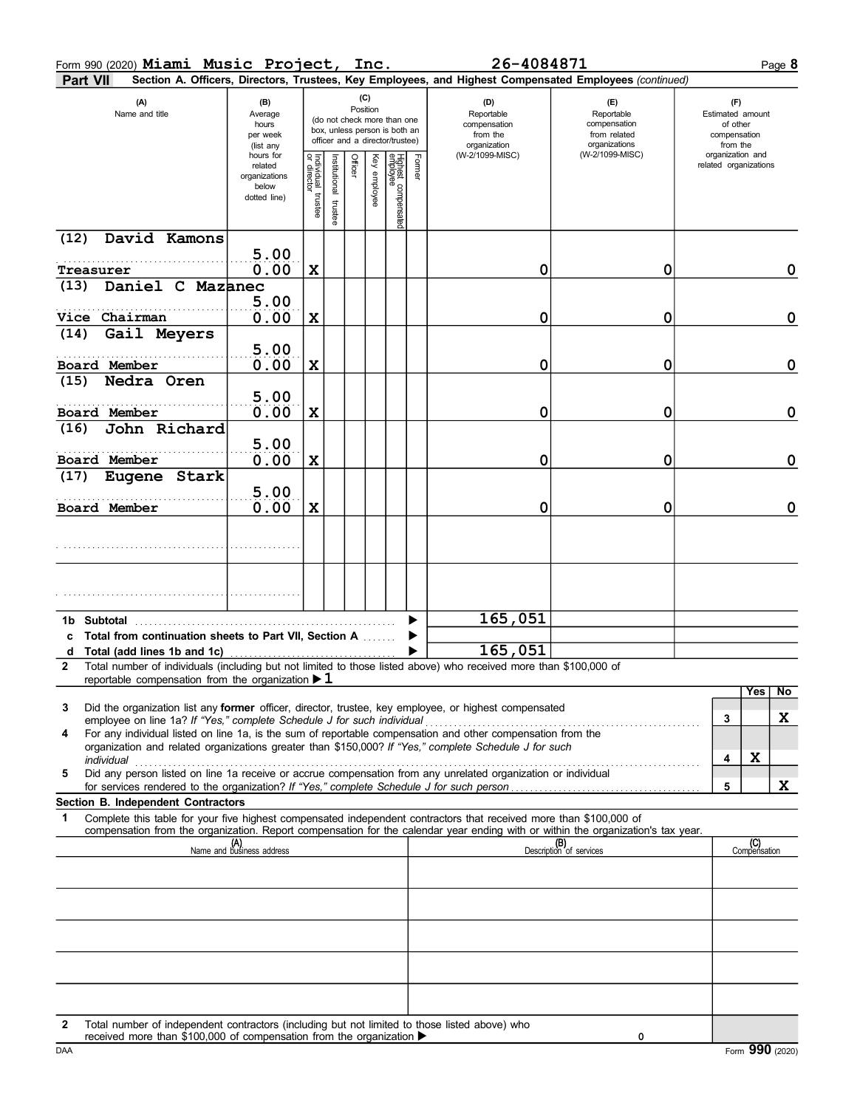| Form 990 (2020) Miami Music Project, Inc |                                                  |  |  |
|------------------------------------------|--------------------------------------------------|--|--|
| <b>Part VII</b>                          | Section A. Officers, Directors, Trustees, Key Em |  |  |

| Form 990 (2020) Miami Music Project, Inc.<br><b>Part VII</b> |                                                                                                                    |                                   |                       |                                                                                                                               |                                                 |               | 26-4084871                                                                       |   | Section A. Officers, Directors, Trustees, Key Employees, and Highest Compensated Employees (continued) |                                                                                                              | Page 8      |  |
|--------------------------------------------------------------|--------------------------------------------------------------------------------------------------------------------|-----------------------------------|-----------------------|-------------------------------------------------------------------------------------------------------------------------------|-------------------------------------------------|---------------|----------------------------------------------------------------------------------|---|--------------------------------------------------------------------------------------------------------|--------------------------------------------------------------------------------------------------------------|-------------|--|
| (A)<br>Name and title                                        | (B)<br>Average<br>hours<br>per week<br>(list any<br>hours for<br>related<br>organizations<br>below<br>dotted line) | Individual trustee<br>or director | Institutional trustee | (C)<br>Position<br>(do not check more than one<br>box, unless person is both an<br>officer and a director/trustee)<br>Officer | Highest compensated<br>employee<br>Key employee | <b>Former</b> | (D)<br>Reportable<br>compensation<br>from the<br>organization<br>(W-2/1099-MISC) |   | (E)<br>Reportable<br>compensation<br>from related<br>organizations<br>(W-2/1099-MISC)                  | (F)<br>Estimated amount<br>of other<br>compensation<br>from the<br>organization and<br>related organizations |             |  |
| (12)<br>David Kamons<br>Treasurer                            | 5.00<br>0.00                                                                                                       | $\mathbf{x}$                      |                       |                                                                                                                               |                                                 |               |                                                                                  | 0 | 0                                                                                                      |                                                                                                              | $\mathbf 0$ |  |
| (13)<br>Daniel C Mazanec                                     |                                                                                                                    |                                   |                       |                                                                                                                               |                                                 |               |                                                                                  |   |                                                                                                        |                                                                                                              |             |  |

| Form 990 (2020) Miami Music Project, Inc.                                                                                                                                                                                                                                                                                               |                                                                                                                    |                             |                  |                             |                                                                                                                                            | 26-4084871                                                                                             |                                                                                       |                                                                                                              | Page 8              |
|-----------------------------------------------------------------------------------------------------------------------------------------------------------------------------------------------------------------------------------------------------------------------------------------------------------------------------------------|--------------------------------------------------------------------------------------------------------------------|-----------------------------|------------------|-----------------------------|--------------------------------------------------------------------------------------------------------------------------------------------|--------------------------------------------------------------------------------------------------------|---------------------------------------------------------------------------------------|--------------------------------------------------------------------------------------------------------------|---------------------|
| <b>Part VII</b>                                                                                                                                                                                                                                                                                                                         |                                                                                                                    |                             |                  | (C)                         |                                                                                                                                            | Section A. Officers, Directors, Trustees, Key Employees, and Highest Compensated Employees (continued) |                                                                                       |                                                                                                              |                     |
| (A)<br>Name and title                                                                                                                                                                                                                                                                                                                   | (B)<br>Average<br>hours<br>per week<br>(list any<br>hours for<br>related<br>organizations<br>below<br>dotted line) | vidual<br>Liecto<br>trustee | tutional trustee | Position<br>Key<br>employee | (do not check more than one<br>box, unless person is both an<br>officer and a director/trustee)<br>Highest compensate<br>employee<br>ormer | (D)<br>Reportable<br>compensation<br>from the<br>organization<br>(W-2/1099-MISC)                       | (E)<br>Reportable<br>compensation<br>from related<br>organizations<br>(W-2/1099-MISC) | (F)<br>Estimated amount<br>of other<br>compensation<br>from the<br>organization and<br>related organizations |                     |
| David Kamons<br>(12)                                                                                                                                                                                                                                                                                                                    | 5.00                                                                                                               |                             |                  |                             |                                                                                                                                            |                                                                                                        |                                                                                       |                                                                                                              |                     |
| Treasurer                                                                                                                                                                                                                                                                                                                               | 0.00                                                                                                               | $\mathbf x$                 |                  |                             |                                                                                                                                            | 0                                                                                                      | $\mathbf{O}$                                                                          |                                                                                                              | ი                   |
| (13) Daniel C Mazanec                                                                                                                                                                                                                                                                                                                   |                                                                                                                    |                             |                  |                             |                                                                                                                                            |                                                                                                        |                                                                                       |                                                                                                              |                     |
| Vice Chairman                                                                                                                                                                                                                                                                                                                           | 5.00<br>0.00                                                                                                       | $\mathbf x$                 |                  |                             |                                                                                                                                            | 0                                                                                                      | 0                                                                                     |                                                                                                              | 0                   |
| Gail Meyers<br>(14)                                                                                                                                                                                                                                                                                                                     |                                                                                                                    |                             |                  |                             |                                                                                                                                            |                                                                                                        |                                                                                       |                                                                                                              |                     |
| Board Member                                                                                                                                                                                                                                                                                                                            | 5.00<br>0.00                                                                                                       | $\mathbf x$                 |                  |                             |                                                                                                                                            | 0                                                                                                      | 0                                                                                     |                                                                                                              | 0                   |
| Nedra Oren<br>(15)                                                                                                                                                                                                                                                                                                                      |                                                                                                                    |                             |                  |                             |                                                                                                                                            |                                                                                                        |                                                                                       |                                                                                                              |                     |
| Board Member                                                                                                                                                                                                                                                                                                                            | 5.00<br>0.00                                                                                                       | $\mathbf x$                 |                  |                             |                                                                                                                                            | 0                                                                                                      | $\Omega$                                                                              |                                                                                                              | 0                   |
| John Richard<br>(16)                                                                                                                                                                                                                                                                                                                    |                                                                                                                    |                             |                  |                             |                                                                                                                                            |                                                                                                        |                                                                                       |                                                                                                              |                     |
|                                                                                                                                                                                                                                                                                                                                         | 5.00                                                                                                               |                             |                  |                             |                                                                                                                                            |                                                                                                        |                                                                                       |                                                                                                              |                     |
| Board Member                                                                                                                                                                                                                                                                                                                            | 0.00                                                                                                               | $\mathbf x$                 |                  |                             |                                                                                                                                            | 0                                                                                                      | $\overline{0}$                                                                        |                                                                                                              | 0                   |
| Eugene Stark<br>(17)                                                                                                                                                                                                                                                                                                                    | 5.00                                                                                                               |                             |                  |                             |                                                                                                                                            |                                                                                                        |                                                                                       |                                                                                                              |                     |
| Board Member                                                                                                                                                                                                                                                                                                                            | 0.00                                                                                                               | X                           |                  |                             |                                                                                                                                            | $\Omega$                                                                                               | $\Omega$                                                                              |                                                                                                              | O                   |
|                                                                                                                                                                                                                                                                                                                                         |                                                                                                                    |                             |                  |                             |                                                                                                                                            |                                                                                                        |                                                                                       |                                                                                                              |                     |
|                                                                                                                                                                                                                                                                                                                                         | .<br>.                                                                                                             |                             |                  |                             |                                                                                                                                            |                                                                                                        |                                                                                       |                                                                                                              |                     |
|                                                                                                                                                                                                                                                                                                                                         |                                                                                                                    |                             |                  |                             |                                                                                                                                            | 165,051                                                                                                |                                                                                       |                                                                                                              |                     |
| c Total from continuation sheets to Part VII, Section A                                                                                                                                                                                                                                                                                 |                                                                                                                    |                             |                  |                             |                                                                                                                                            |                                                                                                        |                                                                                       |                                                                                                              |                     |
|                                                                                                                                                                                                                                                                                                                                         |                                                                                                                    |                             |                  |                             | ▶                                                                                                                                          | 165,051                                                                                                |                                                                                       |                                                                                                              |                     |
| Total number of individuals (including but not limited to those listed above) who received more than \$100,000 of<br>$\mathbf{2}$<br>reportable compensation from the organization $\blacktriangleright$ 1                                                                                                                              |                                                                                                                    |                             |                  |                             |                                                                                                                                            |                                                                                                        |                                                                                       |                                                                                                              |                     |
|                                                                                                                                                                                                                                                                                                                                         |                                                                                                                    |                             |                  |                             |                                                                                                                                            |                                                                                                        |                                                                                       |                                                                                                              | Yes   No            |
| Did the organization list any former officer, director, trustee, key employee, or highest compensated<br>3<br>employee on line 1a? If "Yes," complete Schedule J for such individual                                                                                                                                                    |                                                                                                                    |                             |                  |                             |                                                                                                                                            |                                                                                                        |                                                                                       | $\mathbf{3}$                                                                                                 | X                   |
| For any individual listed on line 1a, is the sum of reportable compensation and other compensation from the<br>4                                                                                                                                                                                                                        |                                                                                                                    |                             |                  |                             |                                                                                                                                            |                                                                                                        |                                                                                       |                                                                                                              |                     |
| organization and related organizations greater than \$150,000? If "Yes," complete Schedule J for such<br>individual with a construction of the construction of the construction of the construction of the construction of the construction of the construction of the construction of the construction of the construction of the cons |                                                                                                                    |                             |                  |                             |                                                                                                                                            |                                                                                                        |                                                                                       | 4                                                                                                            | $\mathbf{x}$        |
| Did any person listed on line 1a receive or accrue compensation from any unrelated organization or individual<br>5                                                                                                                                                                                                                      |                                                                                                                    |                             |                  |                             |                                                                                                                                            |                                                                                                        |                                                                                       | 5                                                                                                            | X                   |
| Section B. Independent Contractors                                                                                                                                                                                                                                                                                                      |                                                                                                                    |                             |                  |                             |                                                                                                                                            |                                                                                                        |                                                                                       |                                                                                                              |                     |
| Complete this table for your five highest compensated independent contractors that received more than \$100,000 of<br>$\mathbf{1}$<br>compensation from the organization. Report compensation for the calendar year ending with or within the organization's tax year.                                                                  |                                                                                                                    |                             |                  |                             |                                                                                                                                            |                                                                                                        |                                                                                       |                                                                                                              |                     |
|                                                                                                                                                                                                                                                                                                                                         | (A)<br>Name and business address                                                                                   |                             |                  |                             |                                                                                                                                            |                                                                                                        | (B)<br>Description of services                                                        |                                                                                                              | (C)<br>Compensation |
|                                                                                                                                                                                                                                                                                                                                         |                                                                                                                    |                             |                  |                             |                                                                                                                                            |                                                                                                        |                                                                                       |                                                                                                              |                     |
|                                                                                                                                                                                                                                                                                                                                         |                                                                                                                    |                             |                  |                             |                                                                                                                                            |                                                                                                        |                                                                                       |                                                                                                              |                     |
|                                                                                                                                                                                                                                                                                                                                         |                                                                                                                    |                             |                  |                             |                                                                                                                                            |                                                                                                        |                                                                                       |                                                                                                              |                     |
|                                                                                                                                                                                                                                                                                                                                         |                                                                                                                    |                             |                  |                             |                                                                                                                                            |                                                                                                        |                                                                                       |                                                                                                              |                     |
|                                                                                                                                                                                                                                                                                                                                         |                                                                                                                    |                             |                  |                             |                                                                                                                                            |                                                                                                        |                                                                                       |                                                                                                              |                     |

|     | Total number of independent contractors (including but not limited to those listed above) who<br>received more than \$100,000 of compensation from the organization ▶ |  |                           |  |
|-----|-----------------------------------------------------------------------------------------------------------------------------------------------------------------------|--|---------------------------|--|
| DAA |                                                                                                                                                                       |  | (2020)<br>Form <b>YYU</b> |  |

Τ

⊺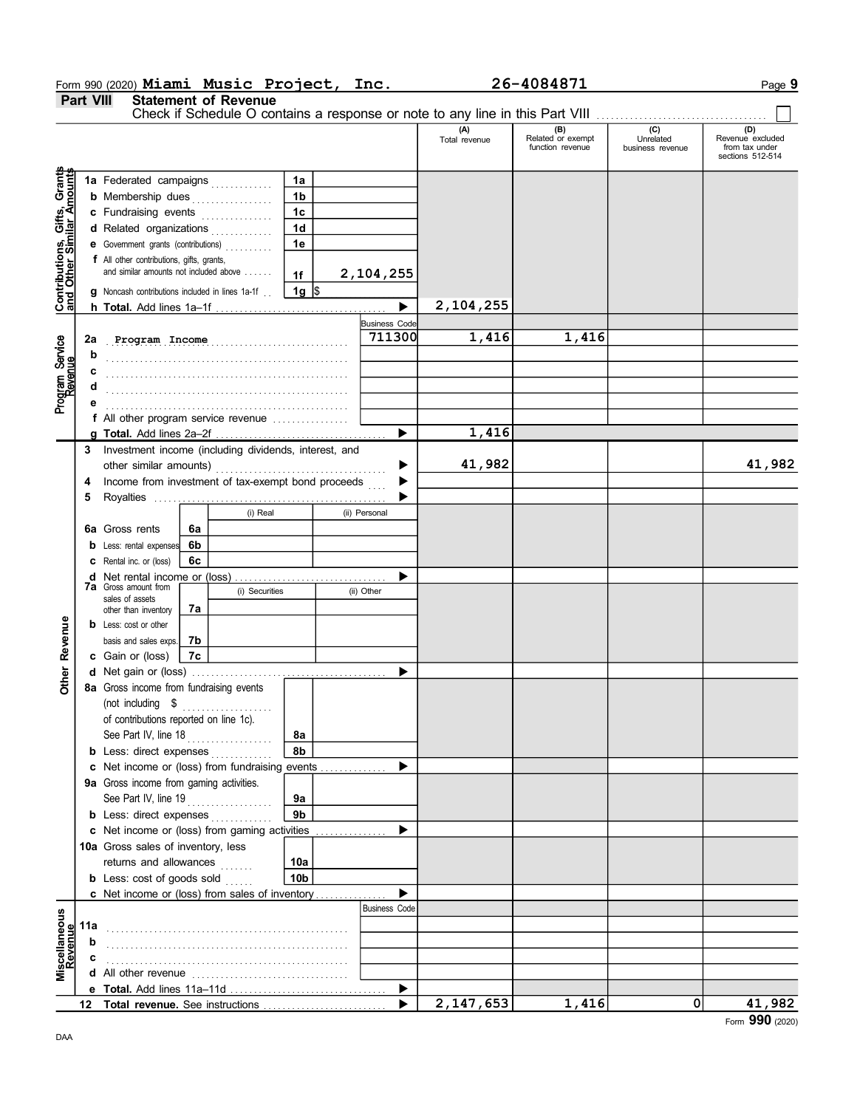|                                                                  |                  | Form 990 (2020) Miami Music Project, Inc.                                                                                                                                                                                                                                                                                                                                                                                       |                                        |                      | 26-4084871                                     |                                      | Page 9                                                        |
|------------------------------------------------------------------|------------------|---------------------------------------------------------------------------------------------------------------------------------------------------------------------------------------------------------------------------------------------------------------------------------------------------------------------------------------------------------------------------------------------------------------------------------|----------------------------------------|----------------------|------------------------------------------------|--------------------------------------|---------------------------------------------------------------|
|                                                                  | <b>Part VIII</b> | <b>Statement of Revenue</b>                                                                                                                                                                                                                                                                                                                                                                                                     |                                        |                      |                                                |                                      |                                                               |
|                                                                  |                  | Check if Schedule O contains a response or note to any line in this Part VIII                                                                                                                                                                                                                                                                                                                                                   |                                        | (A)<br>Total revenue | $(B)$<br>Related or exempt<br>function revenue | (C)<br>Unrelated<br>business revenue | (D)<br>Revenue excluded<br>from tax under<br>sections 512-514 |
| <b>Contributions, Gifts, Grants</b><br>and Other Similar Amounts |                  | 1a Federated campaigns<br>1a<br>1 <sub>b</sub><br><b>b</b> Membership dues<br>.<br>1 <sub>c</sub><br>c Fundraising events<br>.<br>1 <sub>d</sub><br>d Related organizations<br>.<br>1e<br>e Government grants (contributions)<br>.<br>f All other contributions, gifts, grants,<br>and similar amounts not included above<br>1f<br>1g $\sqrt{3}$<br>g Noncash contributions included in lines 1a-1f<br>h Total. Add lines 1a-1f | 2,104,255<br>▶<br><b>Business Code</b> | 2,104,255            |                                                |                                      |                                                               |
| ஃ                                                                | 2a               | Program Income                                                                                                                                                                                                                                                                                                                                                                                                                  | 711300                                 | 1,416                | 1,416                                          |                                      |                                                               |
|                                                                  |                  |                                                                                                                                                                                                                                                                                                                                                                                                                                 |                                        |                      |                                                |                                      |                                                               |
| Program Servic<br>Revenue                                        | c<br>d           |                                                                                                                                                                                                                                                                                                                                                                                                                                 |                                        |                      |                                                |                                      |                                                               |
|                                                                  | е                |                                                                                                                                                                                                                                                                                                                                                                                                                                 |                                        |                      |                                                |                                      |                                                               |
|                                                                  |                  | f All other program service revenue                                                                                                                                                                                                                                                                                                                                                                                             | $\blacktriangleright$                  | 1,416                |                                                |                                      |                                                               |
|                                                                  |                  | 3 Investment income (including dividends, interest, and                                                                                                                                                                                                                                                                                                                                                                         |                                        |                      |                                                |                                      |                                                               |
|                                                                  |                  | other similar amounts)<br>4 Income from investment of tax-exempt bond proceeds                                                                                                                                                                                                                                                                                                                                                  | ▶                                      | 41,982               |                                                |                                      | 41,982                                                        |
|                                                                  | 5                |                                                                                                                                                                                                                                                                                                                                                                                                                                 | ▶<br>.<br>▶                            |                      |                                                |                                      |                                                               |
|                                                                  |                  | (i) Real<br>(ii) Personal                                                                                                                                                                                                                                                                                                                                                                                                       |                                        |                      |                                                |                                      |                                                               |
|                                                                  |                  | 6a Gross rents<br>6а<br>6b<br><b>b</b> Less: rental expenses                                                                                                                                                                                                                                                                                                                                                                    |                                        |                      |                                                |                                      |                                                               |
|                                                                  |                  | 6c<br>C Rental inc. or (loss)                                                                                                                                                                                                                                                                                                                                                                                                   |                                        |                      |                                                |                                      |                                                               |
|                                                                  |                  | <b>d</b> Net rental income or (loss)<br><b>7a</b> Gross amount from [<br>(i) Securities<br>(ii) Other                                                                                                                                                                                                                                                                                                                           |                                        |                      |                                                |                                      |                                                               |
|                                                                  |                  | sales of assets<br>7а<br>other than inventory                                                                                                                                                                                                                                                                                                                                                                                   |                                        |                      |                                                |                                      |                                                               |
|                                                                  |                  | <b>b</b> Less: cost or other                                                                                                                                                                                                                                                                                                                                                                                                    |                                        |                      |                                                |                                      |                                                               |
|                                                                  |                  | 7b<br>basis and sales exps.<br>c Gain or (loss)<br>7c                                                                                                                                                                                                                                                                                                                                                                           |                                        |                      |                                                |                                      |                                                               |
| Other Revenue                                                    |                  |                                                                                                                                                                                                                                                                                                                                                                                                                                 | ▶                                      |                      |                                                |                                      |                                                               |
|                                                                  |                  | 8a Gross income from fundraising events<br>$(not including \$$                                                                                                                                                                                                                                                                                                                                                                  |                                        |                      |                                                |                                      |                                                               |
|                                                                  |                  | of contributions reported on line 1c).                                                                                                                                                                                                                                                                                                                                                                                          |                                        |                      |                                                |                                      |                                                               |
|                                                                  |                  | See Part IV, line 18<br>8а<br>.<br><b>8b</b><br><b>b</b> Less: direct expenses                                                                                                                                                                                                                                                                                                                                                  |                                        |                      |                                                |                                      |                                                               |
|                                                                  |                  | c Net income or (loss) from fundraising events                                                                                                                                                                                                                                                                                                                                                                                  | ▶                                      |                      |                                                |                                      |                                                               |
|                                                                  |                  | 9a Gross income from gaming activities.<br>See Part IV, line 19<br>9a<br>.                                                                                                                                                                                                                                                                                                                                                      |                                        |                      |                                                |                                      |                                                               |
|                                                                  |                  | 9 <sub>b</sub><br><b>b</b> Less: direct expenses                                                                                                                                                                                                                                                                                                                                                                                |                                        |                      |                                                |                                      |                                                               |
|                                                                  |                  | c Net income or (loss) from gaming activities<br>.<br>10a Gross sales of inventory, less                                                                                                                                                                                                                                                                                                                                        | ▶                                      |                      |                                                |                                      |                                                               |
|                                                                  |                  | returns and allowances<br>10a<br>.                                                                                                                                                                                                                                                                                                                                                                                              |                                        |                      |                                                |                                      |                                                               |
|                                                                  |                  | 10 <sub>b</sub><br><b>b</b> Less: cost of goods sold<br>.<br>c Net income or (loss) from sales of inventory                                                                                                                                                                                                                                                                                                                     | ▶                                      |                      |                                                |                                      |                                                               |
|                                                                  |                  |                                                                                                                                                                                                                                                                                                                                                                                                                                 | <b>Business Code</b>                   |                      |                                                |                                      |                                                               |
| Miscellaneous<br>Revenue                                         | 11a<br>b         |                                                                                                                                                                                                                                                                                                                                                                                                                                 |                                        |                      |                                                |                                      |                                                               |
|                                                                  | c                |                                                                                                                                                                                                                                                                                                                                                                                                                                 |                                        |                      |                                                |                                      |                                                               |
|                                                                  |                  | <b>d</b> All other revenue                                                                                                                                                                                                                                                                                                                                                                                                      | $\blacktriangleright$                  |                      |                                                |                                      |                                                               |
|                                                                  |                  | 12 Total revenue. See instructions                                                                                                                                                                                                                                                                                                                                                                                              |                                        |                      |                                                |                                      |                                                               |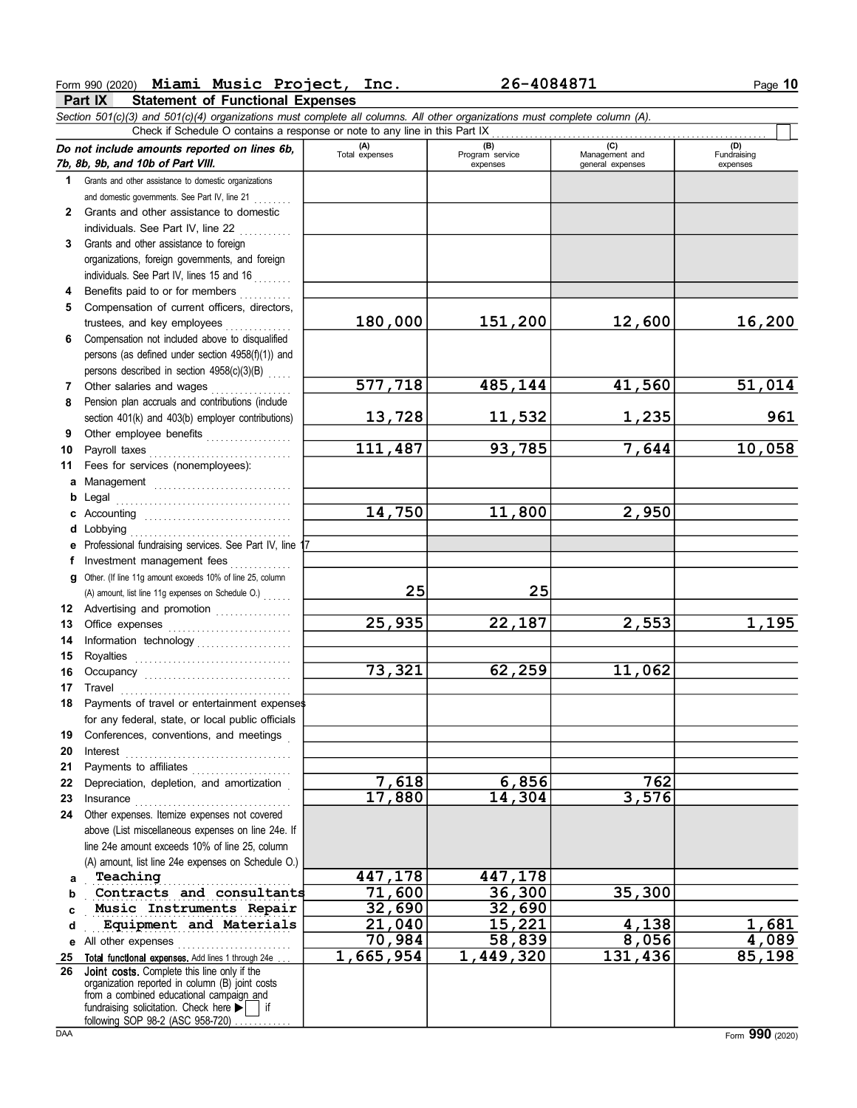## Form 990 (2020) Page 10

|    | Miami Music Project,<br>Form 990 (2020)<br><b>Statement of Functional Expenses</b><br><b>Part IX</b>                                                                                                      | Inc.                  | 26-4084871             |                       | Page 10            |
|----|-----------------------------------------------------------------------------------------------------------------------------------------------------------------------------------------------------------|-----------------------|------------------------|-----------------------|--------------------|
|    | Section 501(c)(3) and 501(c)(4) organizations must complete all columns. All other organizations must complete column (A).<br>Check if Schedule O contains a response or note to any line in this Part IX |                       |                        |                       |                    |
|    | Do not include amounts reported on lines 6b,                                                                                                                                                              | (A)<br>Total expenses | (B)<br>Program service | (C)<br>Management and | (D)<br>Fundraising |
|    | 7b, 8b, 9b, and 10b of Part VIII.<br>1 Grants and other assistance to domestic organizations                                                                                                              |                       | expenses               | general expenses      | expenses           |
|    | and domestic governments. See Part IV, line 21                                                                                                                                                            |                       |                        |                       |                    |
|    | 2 Grants and other assistance to domestic<br>individuals. See Part IV, line 22                                                                                                                            |                       |                        |                       |                    |
|    | $\ldots$<br>3 Grants and other assistance to foreign                                                                                                                                                      |                       |                        |                       |                    |
|    | organizations, foreign governments, and foreign<br>individuals. See Part IV, lines 15 and 16                                                                                                              |                       |                        |                       |                    |
| 4  | Benefits paid to or for members                                                                                                                                                                           |                       |                        |                       |                    |
|    | 5 Compensation of current officers, directors,<br>trustees, and key employees                                                                                                                             | 180,000               | 151,200                | 12,600                | 16,200             |
|    | 6 Compensation not included above to disqualified                                                                                                                                                         |                       |                        |                       |                    |
|    | persons (as defined under section 4958(f)(1)) and                                                                                                                                                         |                       |                        |                       |                    |
|    | persons described in section 4958(c)(3)(B)<br>7 Other salaries and wages                                                                                                                                  | <u>577,718</u>        | <u>485,144</u>         | <u>41,560</u>         | 51,014             |
|    | 8 Pension plan accruals and contributions (include                                                                                                                                                        |                       |                        |                       | 961                |
|    | section 401(k) and 403(b) employer contributions)<br>9 Other employee benefits                                                                                                                            | 13,728                | 11,532                 | 1,235                 |                    |
|    | 10 Payroll taxes                                                                                                                                                                                          | 111,487               | 93,785                 | 7,644                 | 10,058             |
|    | 11 Fees for services (nonemployees):                                                                                                                                                                      |                       |                        |                       |                    |
|    | <b>b</b> Legal                                                                                                                                                                                            |                       |                        |                       |                    |
|    |                                                                                                                                                                                                           | 14,750                | 11,800                 | 2,950                 |                    |
|    | e Professional fundraising services. See Part IV, line 17                                                                                                                                                 |                       |                        |                       |                    |
|    | f Investment management fees<br>g Other. (If line 11g amount exceeds 10% of line 25, column                                                                                                               |                       |                        |                       |                    |
|    | (A) amount, list line 11g expenses on Schedule O.)                                                                                                                                                        | 25                    | 25                     |                       |                    |
|    | 12 Advertising and promotion                                                                                                                                                                              | 25,935                | 22,187                 | 2,553                 | 1,195              |
|    | 14 Information technology                                                                                                                                                                                 |                       |                        |                       |                    |
|    |                                                                                                                                                                                                           | 73,321                | 62, 259                | 11,062                |                    |
|    |                                                                                                                                                                                                           |                       |                        |                       |                    |
|    | 18 Payments of travel or entertainment expenses                                                                                                                                                           |                       |                        |                       |                    |
|    | for any federal, state, or local public officials<br>19 Conferences, conventions, and meetings                                                                                                            |                       |                        |                       |                    |
|    |                                                                                                                                                                                                           |                       |                        |                       |                    |
|    | 21 Payments to affiliates<br>22 Depreciation, depletion, and amortization                                                                                                                                 | 7,618                 | 6,856                  | 762                   |                    |
|    |                                                                                                                                                                                                           | 17,880                | 14,304                 | 3,576                 |                    |
|    | 24 Other expenses. Itemize expenses not covered<br>above (List miscellaneous expenses on line 24e. If                                                                                                     |                       |                        |                       |                    |
|    | line 24e amount exceeds 10% of line 25, column                                                                                                                                                            |                       |                        |                       |                    |
|    | (A) amount, list line 24e expenses on Schedule O.)<br>Teaching                                                                                                                                            | 447,178               | 447,178                |                       |                    |
| b  | a<br>Contracts and consultants                                                                                                                                                                            | 71,600                | 36,300                 | 35,300                |                    |
| C. | Music Instruments Repair                                                                                                                                                                                  | 32,690                | 32,690                 |                       |                    |
| d  | Equipment and Materials<br>e All other expenses                                                                                                                                                           | 21,040<br>70,984      | 15,221<br>58,839       | 4,138<br>8,056        | 1,681<br>4,089     |
|    | 25 Total functional expenses. Add lines 1 through 24e                                                                                                                                                     | 1,665,954             | 1,449,320              | 131,436               | 85,198             |
|    | 26 Joint costs. Complete this line only if the<br>organization reported in column (B) joint costs                                                                                                         |                       |                        |                       |                    |
|    | from a combined educational campaign and                                                                                                                                                                  |                       |                        |                       |                    |
|    | fundraising solicitation. Check here if if<br>following SOP 98-2 (ASC 958-720)                                                                                                                            |                       |                        |                       | Form 990 (2020)    |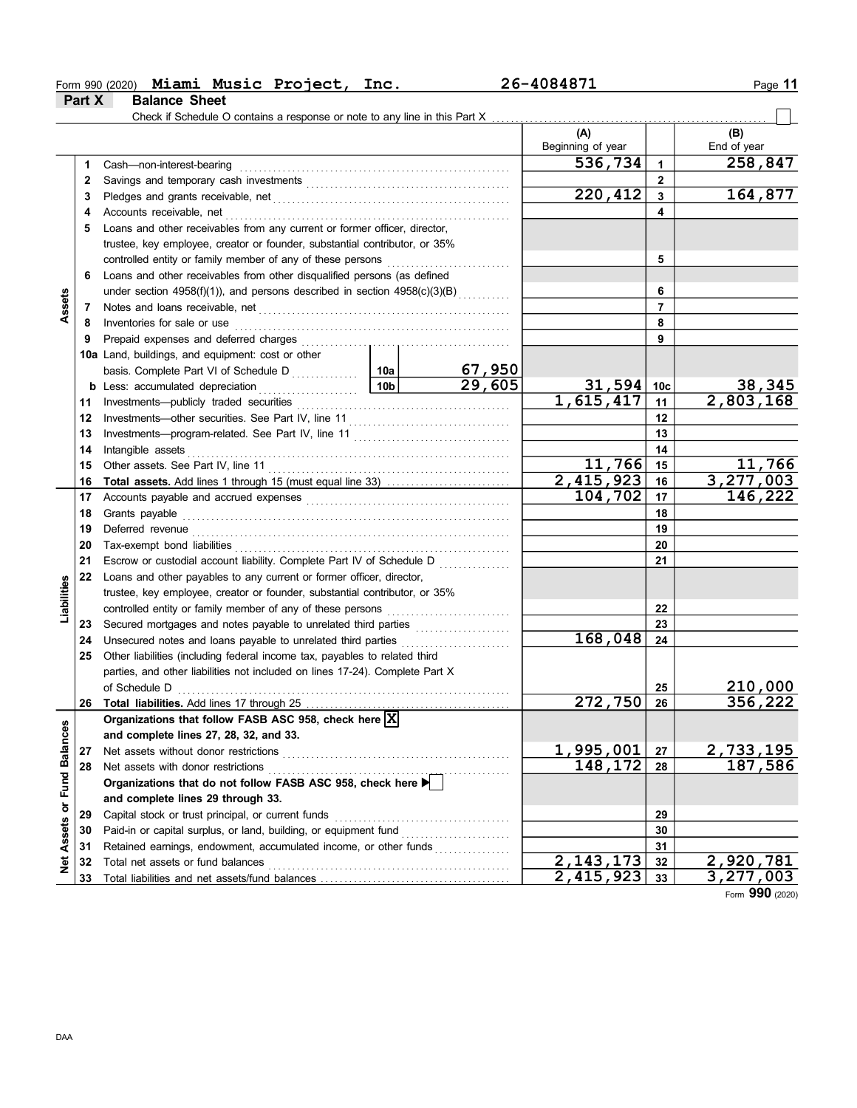|                      | Part X       | Form 990 (2020) Miami Music Project, Inc.<br><b>Balance Sheet</b>                                                                                                                                                        | 26-4084871               |                         | Page 11            |
|----------------------|--------------|--------------------------------------------------------------------------------------------------------------------------------------------------------------------------------------------------------------------------|--------------------------|-------------------------|--------------------|
|                      |              | Check if Schedule O contains a response or note to any line in this Part X                                                                                                                                               |                          |                         |                    |
|                      |              |                                                                                                                                                                                                                          | (A)<br>Beginning of year |                         | (B)<br>End of year |
|                      |              | Cash-non-interest-bearing                                                                                                                                                                                                | 536,734                  | $\mathbf{1}$            | 258,847            |
|                      | $\mathbf{2}$ |                                                                                                                                                                                                                          |                          | $\mathbf{2}$            |                    |
|                      | 3            |                                                                                                                                                                                                                          | 220, 412                 | $\mathbf{3}$            | 164,877            |
|                      | 4<br>5       | Accounts receivable, net<br>Loans and other receivables from any current or former officer, director,                                                                                                                    |                          | $\overline{\mathbf{4}}$ |                    |
|                      |              | trustee, key employee, creator or founder, substantial contributor, or 35%                                                                                                                                               |                          |                         |                    |
|                      |              | controlled entity or family member of any of these persons                                                                                                                                                               |                          | 5                       |                    |
|                      |              | 6 Loans and other receivables from other disqualified persons (as defined                                                                                                                                                |                          |                         |                    |
| Assets               |              | under section 4958(f)(1)), and persons described in section 4958(c)(3)(B)<br>.<br>7 Notes and loans receivable, net                                                                                                      |                          | 6<br>$\overline{7}$     |                    |
|                      |              | Inventories for sale or use                                                                                                                                                                                              |                          | 8                       |                    |
|                      | 9            | Prepaid expenses and deferred charges                                                                                                                                                                                    |                          | 9                       |                    |
|                      |              | 10a Land, buildings, and equipment: cost or other<br>67,950                                                                                                                                                              |                          |                         |                    |
|                      |              | <b>b</b> Less: accumulated depreciation <b>10b</b><br>29,605                                                                                                                                                             | $31,594$ 10c             |                         | 38,345             |
|                      |              |                                                                                                                                                                                                                          | 1,615,417                | 11                      | 2,803,168          |
|                      |              |                                                                                                                                                                                                                          |                          | 12                      |                    |
|                      | 13<br>14     | Intangible assets                                                                                                                                                                                                        |                          | 13<br>14                |                    |
|                      |              |                                                                                                                                                                                                                          | $11,766$ 15              |                         | 11,766             |
|                      |              |                                                                                                                                                                                                                          | 2,415,923                | 16                      | 3,277,003          |
|                      |              |                                                                                                                                                                                                                          | 104,702                  | 17                      | 146,222            |
|                      | 18<br>19     | Deferred revenue <b>construction</b> and <b>Deferred</b> revenue <b>construction construction construction construction construction construction construction construction construction construction construction c</b> |                          | 18<br>19                |                    |
|                      | 20           |                                                                                                                                                                                                                          |                          | 20                      |                    |
|                      | 21           | Escrow or custodial account liability. Complete Part IV of Schedule D                                                                                                                                                    |                          | 21                      |                    |
|                      |              | 22 Loans and other payables to any current or former officer, director,                                                                                                                                                  |                          |                         |                    |
| Liabilities          |              | trustee, key employee, creator or founder, substantial contributor, or 35%                                                                                                                                               |                          | 22                      |                    |
|                      |              | 23 Secured mortgages and notes payable to unrelated third parties                                                                                                                                                        |                          | 23                      |                    |
|                      | 24           | Unsecured notes and loans payable to unrelated third parties                                                                                                                                                             | $168,048$ 24             |                         |                    |
|                      | 25           | Other liabilities (including federal income tax, payables to related third                                                                                                                                               |                          |                         |                    |
|                      |              | parties, and other liabilities not included on lines 17-24). Complete Part X                                                                                                                                             |                          | 25                      | 210,000            |
|                      | 26           |                                                                                                                                                                                                                          | 272,750 26               |                         | 356,222            |
|                      |              | Organizations that follow FASB ASC 958, check here X                                                                                                                                                                     |                          |                         |                    |
| <b>Fund Balances</b> | 27           | and complete lines 27, 28, 32, and 33.<br>Net assets without donor restrictions                                                                                                                                          | $1,995,001$ 27           |                         | 2,733,195          |
|                      |              | 28 Net assets with donor restrictions                                                                                                                                                                                    | $148, 172$ 28            |                         | 187,586            |
|                      |              | Net assets with donor restrictions<br>Organizations that do not follow FASB ASC 958, check here ▶                                                                                                                        |                          |                         |                    |
| ð                    |              | and complete lines 29 through 33.                                                                                                                                                                                        |                          |                         |                    |
|                      |              | Capital stock or trust principal, or current funds<br>30 Paid-in or capital surplus, or land, building, or equipment fund                                                                                                |                          | 29<br>30                |                    |
| Assets               | 31           | Retained earnings, endowment, accumulated income, or other funds                                                                                                                                                         |                          | 31                      |                    |
| <b>Net</b>           | 32           |                                                                                                                                                                                                                          | 2,143,173                | 32                      | 2,920,781          |
|                      | 33           |                                                                                                                                                                                                                          | 2,415,923                | 33                      | 3,277,003          |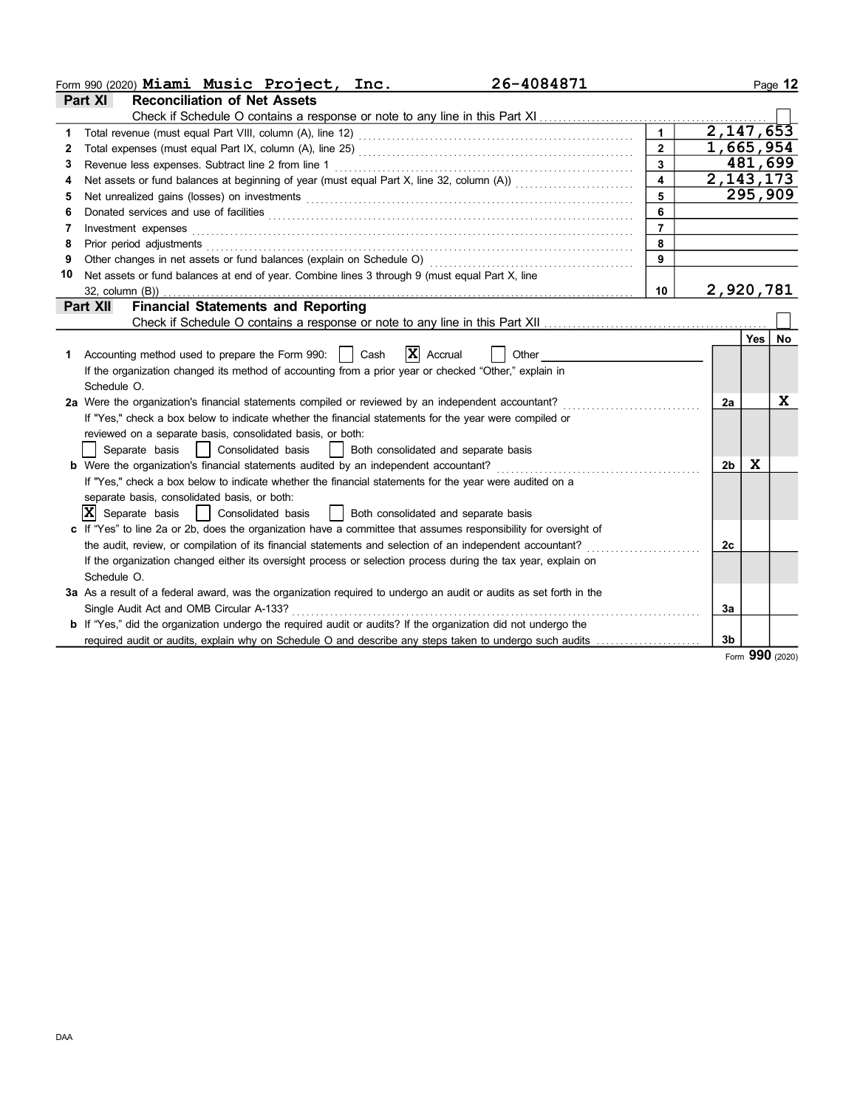|              | 26-4084871<br>Form 990 (2020) Miami Music Project, Inc.                                                                                                                                                                        |                      |                |              | Page 12 |
|--------------|--------------------------------------------------------------------------------------------------------------------------------------------------------------------------------------------------------------------------------|----------------------|----------------|--------------|---------|
|              | <b>Reconciliation of Net Assets</b><br>Part XI                                                                                                                                                                                 |                      |                |              |         |
|              | Check if Schedule O contains a response or note to any line in this Part XI                                                                                                                                                    |                      |                |              |         |
|              |                                                                                                                                                                                                                                | $\blacktriangleleft$ | 2,147,653      |              |         |
| $\mathbf{2}$ |                                                                                                                                                                                                                                | $\overline{2}$       | 1,665,954      |              |         |
| з            | Revenue less expenses. Subtract line 2 from line 1                                                                                                                                                                             | 3 <sup>1</sup>       |                | 481,699      |         |
|              | Net assets or fund balances at beginning of year (must equal Part X, line 32, column (A)) [[[[[[[[[[[[[[[[[[[                                                                                                                  | $\overline{4}$       | 2, 143, 173    |              |         |
| 5            | Net unrealized gains (losses) on investments [1] contained and all contained and all contained and all contained and all contained and all contained and all contained and all contained and all contained and all contained a | $5\phantom{.0}$      |                | 295,909      |         |
| 6            |                                                                                                                                                                                                                                | 6                    |                |              |         |
|              |                                                                                                                                                                                                                                | $\overline{7}$       |                |              |         |
| 8            | Prior period adjustments contains and according to the container and adjustments and an according to the containing of the containing of the containing of the containing of the containing of the containing of the containin | $\bf{8}$             |                |              |         |
|              |                                                                                                                                                                                                                                | $\overline{9}$       |                |              |         |
|              | 10 Net assets or fund balances at end of year. Combine lines 3 through 9 (must equal Part X, line                                                                                                                              |                      |                |              |         |
|              | 32, column (B))                                                                                                                                                                                                                | 10                   | 2,920,781      |              |         |
|              | <b>Financial Statements and Reporting</b><br><b>Part XII</b>                                                                                                                                                                   |                      |                |              |         |
|              | Check if Schedule O contains a response or note to any line in this Part XII                                                                                                                                                   |                      |                |              |         |
|              | 1 Accounting method used to prepare the Form 990:<br>$ {\bf X} $<br>Cash<br>Accrual<br>Other                                                                                                                                   |                      |                | Yes   No     |         |
|              | If the organization changed its method of accounting from a prior year or checked "Other," explain in                                                                                                                          |                      |                |              |         |
|              | Schedule O.                                                                                                                                                                                                                    |                      |                |              |         |
|              | 2a Were the organization's financial statements compiled or reviewed by an independent accountant?                                                                                                                             |                      | 2a             |              | x       |
|              | If "Yes," check a box below to indicate whether the financial statements for the year were compiled or                                                                                                                         |                      |                |              |         |
|              | reviewed on a separate basis, consolidated basis, or both:                                                                                                                                                                     |                      |                |              |         |
|              | Separate basis<br>Consolidated basis<br>Both consolidated and separate basis                                                                                                                                                   |                      |                |              |         |
|              | <b>b</b> Were the organization's financial statements audited by an independent accountant?                                                                                                                                    |                      | 2b             | $\mathbf{x}$ |         |
|              | If "Yes," check a box below to indicate whether the financial statements for the year were audited on a                                                                                                                        |                      |                |              |         |
|              | separate basis, consolidated basis, or both:                                                                                                                                                                                   |                      |                |              |         |
|              | X <br>Consolidated basis<br>Both consolidated and separate basis<br>Separate basis                                                                                                                                             |                      |                |              |         |
|              | c If "Yes" to line 2a or 2b, does the organization have a committee that assumes responsibility for oversight of                                                                                                               |                      |                |              |         |
|              | the audit, review, or compilation of its financial statements and selection of an independent accountant?                                                                                                                      |                      | 2c             |              |         |
|              | If the organization changed either its oversight process or selection process during the tax year, explain on<br>Schedule O.                                                                                                   |                      |                |              |         |
|              | 3a As a result of a federal award, was the organization required to undergo an audit or audits as set forth in the                                                                                                             |                      |                |              |         |
|              | Single Audit Act and OMB Circular A-133?                                                                                                                                                                                       |                      | 3a             |              |         |
|              | <b>b</b> If "Yes," did the organization undergo the required audit or audits? If the organization did not undergo the                                                                                                          |                      |                |              |         |
|              |                                                                                                                                                                                                                                |                      | 3 <sub>b</sub> |              |         |
|              | required audit or audits, explain why on Schedule O and describe any steps taken to undergo such audits                                                                                                                        |                      |                |              |         |

Form 990 (2020)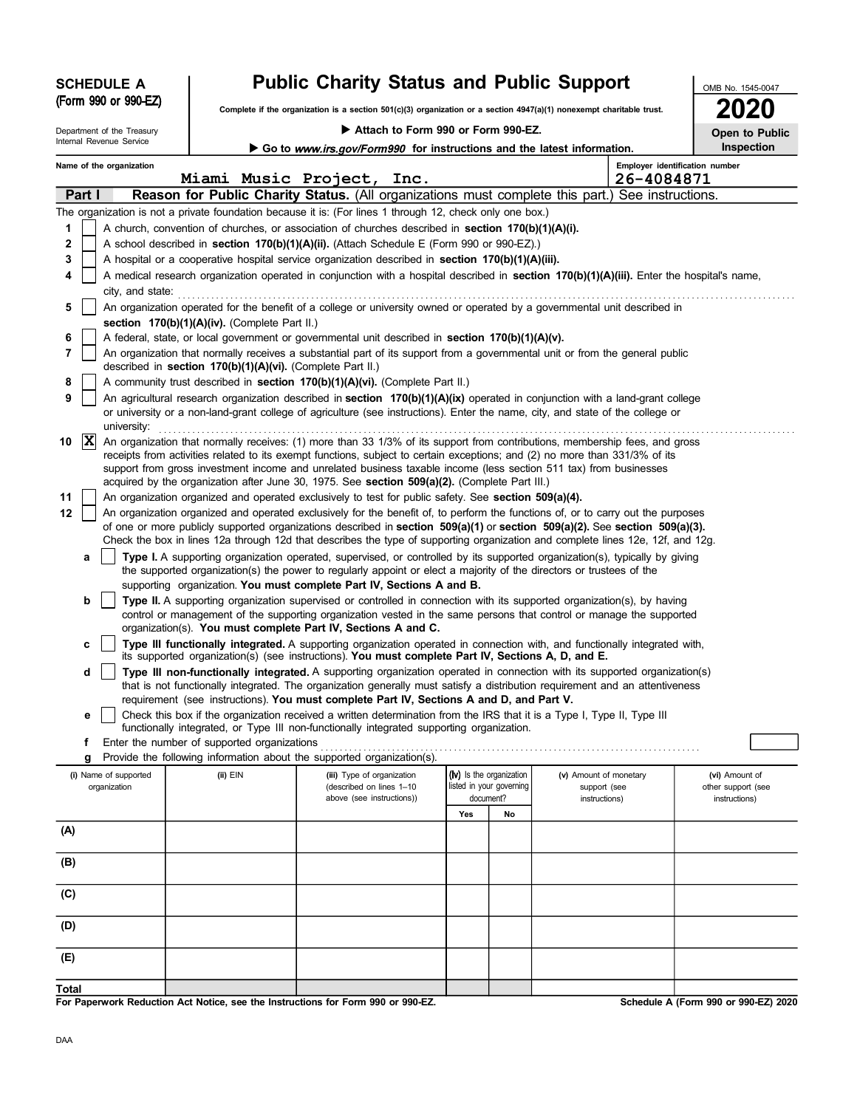| <b>SCHEDULE A</b>                     |                                                            | <b>Public Charity Status and Public Support</b>                                                                                                                                                                                                                                                                                                                                                    |                                                                   |                                                         | OMB No. 1545-0047                                     |
|---------------------------------------|------------------------------------------------------------|----------------------------------------------------------------------------------------------------------------------------------------------------------------------------------------------------------------------------------------------------------------------------------------------------------------------------------------------------------------------------------------------------|-------------------------------------------------------------------|---------------------------------------------------------|-------------------------------------------------------|
| (Form 990 or 990-EZ)                  |                                                            | Complete if the organization is a section $501(c)(3)$ organization or a section $4947(a)(1)$ nonexempt charitable trust.                                                                                                                                                                                                                                                                           |                                                                   |                                                         | <b>2020</b>                                           |
| Department of the Treasury            |                                                            | Attach to Form 990 or Form 990-EZ.                                                                                                                                                                                                                                                                                                                                                                 |                                                                   |                                                         | Open to Public                                        |
| Internal Revenue Service              |                                                            | Go to www.irs.gov/Form990 for instructions and the latest information.                                                                                                                                                                                                                                                                                                                             |                                                                   |                                                         | Inspection                                            |
| Name of the organization              |                                                            |                                                                                                                                                                                                                                                                                                                                                                                                    |                                                                   |                                                         | Employer identification number                        |
| Part I                                |                                                            | Miami Music Project, Inc.<br>Reason for Public Charity Status. (All organizations must complete this part.) See instructions.                                                                                                                                                                                                                                                                      |                                                                   | 26-4084871                                              |                                                       |
|                                       |                                                            | The organization is not a private foundation because it is: (For lines 1 through 12, check only one box.)                                                                                                                                                                                                                                                                                          |                                                                   |                                                         |                                                       |
| $\mathbf 1$                           |                                                            | A church, convention of churches, or association of churches described in section 170(b)(1)(A)(i).                                                                                                                                                                                                                                                                                                 |                                                                   |                                                         |                                                       |
| $\mathbf{2}$                          |                                                            | A school described in section 170(b)(1)(A)(ii). (Attach Schedule E (Form 990 or 990-EZ).)                                                                                                                                                                                                                                                                                                          |                                                                   |                                                         |                                                       |
| 3                                     |                                                            | A hospital or a cooperative hospital service organization described in section 170(b)(1)(A)(iii).                                                                                                                                                                                                                                                                                                  |                                                                   |                                                         |                                                       |
| 4                                     |                                                            | A medical research organization operated in conjunction with a hospital described in section 170(b)(1)(A)(iii). Enter the hospital's name,                                                                                                                                                                                                                                                         |                                                                   |                                                         |                                                       |
| city, and state:                      |                                                            |                                                                                                                                                                                                                                                                                                                                                                                                    |                                                                   |                                                         |                                                       |
| 5                                     | section 170(b)(1)(A)(iv). (Complete Part II.)              | An organization operated for the benefit of a college or university owned or operated by a governmental unit described in                                                                                                                                                                                                                                                                          |                                                                   |                                                         |                                                       |
| 6                                     |                                                            | A federal, state, or local government or governmental unit described in section 170(b)(1)(A)(v).                                                                                                                                                                                                                                                                                                   |                                                                   |                                                         |                                                       |
| $7^{\circ}$                           | described in section 170(b)(1)(A)(vi). (Complete Part II.) | An organization that normally receives a substantial part of its support from a governmental unit or from the general public                                                                                                                                                                                                                                                                       |                                                                   |                                                         |                                                       |
| 8                                     |                                                            | A community trust described in section 170(b)(1)(A)(vi). (Complete Part II.)                                                                                                                                                                                                                                                                                                                       |                                                                   |                                                         |                                                       |
| 9                                     |                                                            | An agricultural research organization described in section 170(b)(1)(A)(ix) operated in conjunction with a land-grant college<br>or university or a non-land-grant college of agriculture (see instructions). Enter the name, city, and state of the college or                                                                                                                                    |                                                                   |                                                         |                                                       |
| university:<br>10 $ X $               |                                                            | An organization that normally receives: (1) more than 33 1/3% of its support from contributions, membership fees, and gross<br>receipts from activities related to its exempt functions, subject to certain exceptions; and (2) no more than 331/3% of its<br>support from gross investment income and unrelated business taxable income (less section 511 tax) from businesses                    |                                                                   |                                                         |                                                       |
|                                       |                                                            | acquired by the organization after June 30, 1975. See section 509(a)(2). (Complete Part III.)                                                                                                                                                                                                                                                                                                      |                                                                   |                                                         |                                                       |
| 11                                    |                                                            | An organization organized and operated exclusively to test for public safety. See section 509(a)(4).                                                                                                                                                                                                                                                                                               |                                                                   |                                                         |                                                       |
| 12 <sub>2</sub>                       |                                                            | An organization organized and operated exclusively for the benefit of, to perform the functions of, or to carry out the purposes<br>of one or more publicly supported organizations described in section 509(a)(1) or section 509(a)(2). See section 509(a)(3).<br>Check the box in lines 12a through 12d that describes the type of supporting organization and complete lines 12e, 12f, and 12g. |                                                                   |                                                         |                                                       |
| a                                     |                                                            | Type I. A supporting organization operated, supervised, or controlled by its supported organization(s), typically by giving<br>the supported organization(s) the power to regularly appoint or elect a majority of the directors or trustees of the<br>supporting organization. You must complete Part IV, Sections A and B.                                                                       |                                                                   |                                                         |                                                       |
| $b \mid$                              |                                                            | Type II. A supporting organization supervised or controlled in connection with its supported organization(s), by having<br>control or management of the supporting organization vested in the same persons that control or manage the supported<br>organization(s). You must complete Part IV, Sections A and C.                                                                                   |                                                                   |                                                         |                                                       |
| $c \mid \cdot$                        |                                                            | Type III functionally integrated. A supporting organization operated in connection with, and functionally integrated with,<br>its supported organization(s) (see instructions). You must complete Part IV, Sections A, D, and E.                                                                                                                                                                   |                                                                   |                                                         |                                                       |
| $d \mid$                              |                                                            | Type III non-functionally integrated. A supporting organization operated in connection with its supported organization(s)<br>that is not functionally integrated. The organization generally must satisfy a distribution requirement and an attentiveness<br>requirement (see instructions). You must complete Part IV, Sections A and D, and Part V.                                              |                                                                   |                                                         |                                                       |
|                                       |                                                            | Check this box if the organization received a written determination from the IRS that it is a Type I, Type II, Type III<br>functionally integrated, or Type III non-functionally integrated supporting organization.                                                                                                                                                                               |                                                                   |                                                         |                                                       |
| f                                     | Enter the number of supported organizations                |                                                                                                                                                                                                                                                                                                                                                                                                    |                                                                   |                                                         |                                                       |
| g                                     |                                                            | Provide the following information about the supported organization(s).                                                                                                                                                                                                                                                                                                                             |                                                                   |                                                         |                                                       |
| (i) Name of supported<br>organization | (ii) EIN                                                   | (iii) Type of organization<br>(described on lines 1-10<br>above (see instructions))                                                                                                                                                                                                                                                                                                                | (iv) Is the organization<br>listed in your governing<br>document? | (v) Amount of monetary<br>support (see<br>instructions) | (vi) Amount of<br>other support (see<br>instructions) |
| (A)                                   |                                                            |                                                                                                                                                                                                                                                                                                                                                                                                    | Yes<br>No                                                         |                                                         |                                                       |
| (B)                                   |                                                            |                                                                                                                                                                                                                                                                                                                                                                                                    |                                                                   |                                                         |                                                       |
| (C)                                   |                                                            |                                                                                                                                                                                                                                                                                                                                                                                                    |                                                                   |                                                         |                                                       |
| (D)                                   |                                                            |                                                                                                                                                                                                                                                                                                                                                                                                    |                                                                   |                                                         |                                                       |
| (E)                                   |                                                            |                                                                                                                                                                                                                                                                                                                                                                                                    |                                                                   |                                                         |                                                       |
| Total                                 |                                                            |                                                                                                                                                                                                                                                                                                                                                                                                    |                                                                   |                                                         |                                                       |
|                                       |                                                            | For Paperwork Reduction Act Notice, see the Instructions for Form 990 or 990-EZ.                                                                                                                                                                                                                                                                                                                   |                                                                   |                                                         | Schedule A (Form 990 or 990-EZ) 2020                  |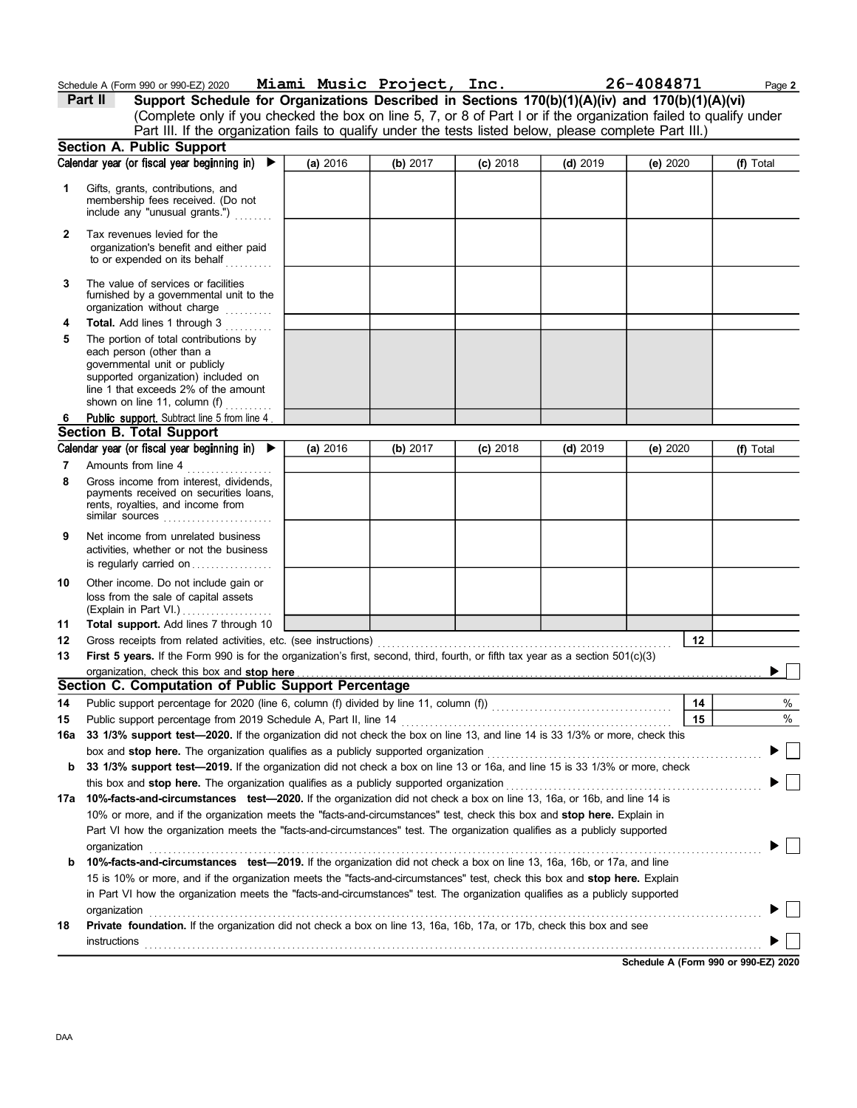|              | Schedule A (Form 990 or 990-EZ) 2020<br>Support Schedule for Organizations Described in Sections 170(b)(1)(A)(iv) and 170(b)(1)(A)(vi)<br>Part II                                                                                                            | Miami Music Project, Inc. |            |            |            | 26-4084871 | Page 2                         |
|--------------|--------------------------------------------------------------------------------------------------------------------------------------------------------------------------------------------------------------------------------------------------------------|---------------------------|------------|------------|------------|------------|--------------------------------|
|              | (Complete only if you checked the box on line 5, 7, or 8 of Part I or if the organization failed to qualify under<br>Part III. If the organization fails to qualify under the tests listed below, please complete Part III.)                                 |                           |            |            |            |            |                                |
|              | Section A. Public Support                                                                                                                                                                                                                                    |                           |            |            |            |            |                                |
|              | Calendar year (or fiscal year beginning in) $\blacktriangleright$                                                                                                                                                                                            | (a) $2016$                | (b) $2017$ | $(c)$ 2018 | (d) $2019$ | (e) $2020$ | (f) Total                      |
|              | Gifts, grants, contributions, and<br>membership fees received. (Do not<br>include any "unusual grants.")                                                                                                                                                     |                           |            |            |            |            |                                |
| $\mathbf{2}$ | Tax revenues levied for the<br>organization's benefit and either paid<br>to or expended on its behalf                                                                                                                                                        |                           |            |            |            |            |                                |
| 3            | The value of services or facilities<br>furnished by a governmental unit to the<br>organization without charge                                                                                                                                                |                           |            |            |            |            |                                |
| 5            | Total. Add lines 1 through 3<br>The portion of total contributions by                                                                                                                                                                                        |                           |            |            |            |            |                                |
|              | each person (other than a<br>governmental unit or publicly<br>supported organization) included on<br>line 1 that exceeds 2% of the amount                                                                                                                    |                           |            |            |            |            |                                |
| 6            | shown on line 11, column (f) $\ldots$<br><b>Public support.</b> Subtract line 5 from line 4.                                                                                                                                                                 |                           |            |            |            |            |                                |
|              | <b>Section B. Total Support</b>                                                                                                                                                                                                                              |                           |            |            |            |            |                                |
|              | Calendar year (or fiscal year beginning in) $\blacktriangleright$<br>Amounts from line 4                                                                                                                                                                     | (a) 2016                  | (b) 2017   | $(c)$ 2018 | $(d)$ 2019 | (e) $2020$ | (f) Total                      |
|              | Gross income from interest, dividends,<br>payments received on securities loans,<br>rents, royalties, and income from<br>similar sources                                                                                                                     |                           |            |            |            |            |                                |
| 9            | Net income from unrelated business<br>activities, whether or not the business<br>is regularly carried on                                                                                                                                                     |                           |            |            |            |            |                                |
| 10           | Other income. Do not include gain or<br>loss from the sale of capital assets                                                                                                                                                                                 |                           |            |            |            |            |                                |
| 11<br>12     | Total support. Add lines 7 through 10                                                                                                                                                                                                                        |                           |            |            |            | 12         |                                |
| 13           | First 5 years. If the Form 990 is for the organization's first, second, third, fourth, or fifth tax year as a section 501(c)(3)                                                                                                                              |                           |            |            |            |            |                                |
|              |                                                                                                                                                                                                                                                              |                           |            |            |            |            |                                |
| 14           |                                                                                                                                                                                                                                                              |                           |            |            |            | 14         | %                              |
| 15           | Public support percentage from 2019 Schedule A, Part II, line 14<br>16a 33 1/3% support test-2020. If the organization did not check the box on line 13, and line 14 is 33 1/3% or more, check this                                                          |                           |            |            |            | 15         | $\frac{0}{0}$                  |
|              | box and stop here. The organization qualifies as a publicly supported organization [11] content content content or the organization [11] content of the organization [11] content of the organization [11] content of the orga                               |                           |            |            |            |            | $\blacktriangleright$ $\vdash$ |
|              | <b>b</b> 33 1/3% support test-2019. If the organization did not check a box on line 13 or 16a, and line 15 is 33 1/3% or more, check                                                                                                                         |                           |            |            |            |            |                                |
|              | 17a 10%-facts-and-circumstances test-2020. If the organization did not check a box on line 13, 16a, or 16b, and line 14 is                                                                                                                                   |                           |            |            |            |            |                                |
|              | 10% or more, and if the organization meets the "facts-and-circumstances" test, check this box and stop here. Explain in<br>Part VI how the organization meets the "facts-and-circumstances" test. The organization qualifies as a publicly supported         |                           |            |            |            |            |                                |
|              | organization www.commutation.com/www.commutation.com/www.commutation.com/www.commutation.com/www.commutation.com                                                                                                                                             |                           |            |            |            |            | $\blacktriangleright$ $\vdash$ |
|              | <b>b</b> 10%-facts-and-circumstances test-2019. If the organization did not check a box on line 13, 16a, 16b, or 17a, and line<br>15 is 10% or more, and if the organization meets the "facts-and-circumstances" test, check this box and stop here. Explain |                           |            |            |            |            |                                |
|              | in Part VI how the organization meets the "facts-and-circumstances" test. The organization qualifies as a publicly supported<br>organization                                                                                                                 |                           |            |            |            |            | $\blacktriangleright$ $\vdash$ |
|              | <b>Private foundation.</b> If the organization did not check a box on line 13, 16a, 16b, 17a, or 17b, check this box and see                                                                                                                                 |                           |            |            |            |            |                                |
| 18           |                                                                                                                                                                                                                                                              |                           |            |            |            |            |                                |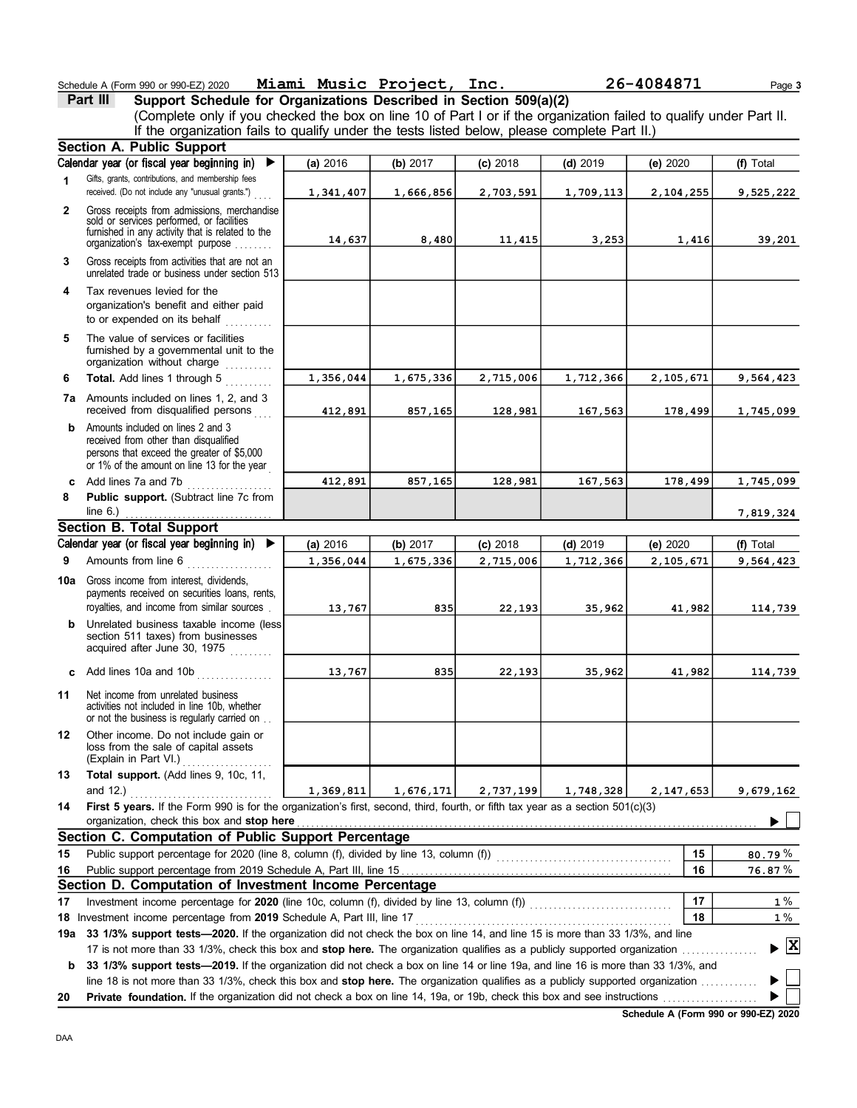# Schedule A (Form 990 or 990-EZ) 2020 Miami Music Project, Inc.<br>Part III Support Schedule for Organizations Described in Section 509(a)(2)

| 26-4084871<br>Miami Music Project, Inc.<br>Schedule A (Form 990 or 990-EZ) 2020<br>Support Schedule for Organizations Described in Section 509(a)(2)<br>Part III<br>(Complete only if you checked the box on line 10 of Part I or if the organization failed to qualify under Part II.<br>If the organization fails to qualify under the tests listed below, please complete Part II.)<br><b>Section A. Public Support</b><br>Calendar year (or fiscal year beginning in) ▶<br>$(f)$ Total<br>(a) $2016$<br>(b) $2017$<br>$(c)$ 2018<br>(d) $2019$<br>(e) $2020$<br>1 Gifts, grants, contributions, and membership fees<br>received. (Do not include any "unusual grants.")<br>1,341,407<br>1,666,856<br>2,703,591<br>1,709,113<br>2,104,255<br>Gross receipts from admissions, merchandise<br>$\mathbf{2}$<br>sold or services performed, or facilities<br>furnished in any activity that is related to the<br>3,253<br>14,637<br>8,480<br>11,415<br>1,416<br>organization's tax-exempt purpose<br>3 Gross receipts from activities that are not an<br>unrelated trade or business under section 513<br>Tax revenues levied for the<br>4<br>organization's benefit and either paid<br>to or expended on its behalf<br>.<br>The value of services or facilities<br>5<br>furnished by a governmental unit to the<br>organization without charge<br>.<br>1,356,044<br>Total. Add lines 1 through 5<br>1,675,336<br>2,715,006<br>1,712,366<br>2,105,671<br>6<br>7a Amounts included on lines 1, 2, and 3<br>received from disqualified persons<br>412,891<br>857,165<br>128,981<br>167,563<br>178,499<br><b>b</b> Amounts included on lines 2 and 3<br>received from other than disqualified<br>persons that exceed the greater of \$5,000<br>or 1% of the amount on line 13 for the year<br>c Add lines 7a and 7b<br>412,891<br>857,165<br>128,981<br>167,563<br>178,499<br><b>Public support.</b> (Subtract line 7c from<br>8<br>line $6.$ )<br>Section B. Total Support<br>Calendar year (or fiscal year beginning in) $\blacktriangleright$<br>(a) 2016<br>(b) 2017<br>$(c)$ 2018<br>$(d)$ 2019<br>(e) 2020<br>(f) Total<br>9 Amounts from line 6<br>1,356,044<br>1,675,336<br>2,715,006<br>1,712,366<br>2,105,671<br>payments received on securities loans, rents,<br>royalties, and income from similar sources<br>13,767<br>835<br>22,193<br>35,962<br>41,982<br><b>b</b> Unrelated business taxable income (less<br>section 511 taxes) from businesses<br>acquired after June 30, 1975<br><b>c</b> Add lines 10a and 10b<br>13,767<br>835<br>22,193<br>35,962<br>41,982<br>activities not included in line 10b, whether<br>or not the business is regularly carried on<br>loss from the sale of capital assets<br>(Explain in Part VI.)<br>and 12.) $\ldots$<br>1,369,811<br>1,676,171<br>2,737,199<br>1,748,328<br>2,147,653<br>organization, check this box and stop here<br>Section C. Computation of Public Support Percentage<br>15<br>80.79%<br>16<br>16 Public support percentage from 2019 Schedule A, Part III, line 15<br>76.87%<br>Section D. Computation of Investment Income Percentage<br>17<br>$1\%$<br>18<br>$1\%$<br><b>b</b> 33 1/3% support tests—2019. If the organization did not check a box on line 14 or line 19a, and line 16 is more than 33 1/3%, and<br>line 18 is not more than 33 1/3%, check this box and stop here. The organization qualifies as a publicly supported organization | Page 3<br>9,525,222<br>39,201<br>9,564,423<br>1,745,099<br>1,745,099<br>7,819,324<br>9,564,423<br>114,739<br>114,739<br>9,679,162<br>$\blacktriangleright$ $\vdash$<br>$\blacktriangleright$ $\boxed{\text{X}}$ |
|--------------------------------------------------------------------------------------------------------------------------------------------------------------------------------------------------------------------------------------------------------------------------------------------------------------------------------------------------------------------------------------------------------------------------------------------------------------------------------------------------------------------------------------------------------------------------------------------------------------------------------------------------------------------------------------------------------------------------------------------------------------------------------------------------------------------------------------------------------------------------------------------------------------------------------------------------------------------------------------------------------------------------------------------------------------------------------------------------------------------------------------------------------------------------------------------------------------------------------------------------------------------------------------------------------------------------------------------------------------------------------------------------------------------------------------------------------------------------------------------------------------------------------------------------------------------------------------------------------------------------------------------------------------------------------------------------------------------------------------------------------------------------------------------------------------------------------------------------------------------------------------------------------------------------------------------------------------------------------------------------------------------------------------------------------------------------------------------------------------------------------------------------------------------------------------------------------------------------------------------------------------------------------------------------------------------------------------------------------------------------------------------------------------------------------------------------------------------------------------------------------------------------------------------------------------------------------------------------------------------------------------------------------------------------------------------------------------------------------------------------------------------------------------------------------------------------------------------------------------------------------------------------------------------------------------------------------------------------------------------------------------------------------------------------------------------------------------------------------------------------------------------------------------------------------------------------------------------------------------------------------------------------------------------------------------------------------------------------------------------------------------------------------------------------|-----------------------------------------------------------------------------------------------------------------------------------------------------------------------------------------------------------------|
| <b>10a</b> Gross income from interest, dividends,<br>11 Net income from unrelated business<br>12 Other income. Do not include gain or<br>13 Total support. (Add lines 9, 10c, 11,<br>14 First 5 years. If the Form 990 is for the organization's first, second, third, fourth, or fifth tax year as a section 501(c)(3)<br>18 Investment income percentage from 2019 Schedule A, Part III, line 17<br>19a 33 1/3% support tests-2020. If the organization did not check the box on line 14, and line 15 is more than 33 1/3%, and line                                                                                                                                                                                                                                                                                                                                                                                                                                                                                                                                                                                                                                                                                                                                                                                                                                                                                                                                                                                                                                                                                                                                                                                                                                                                                                                                                                                                                                                                                                                                                                                                                                                                                                                                                                                                                                                                                                                                                                                                                                                                                                                                                                                                                                                                                                                                                                                                                                                                                                                                                                                                                                                                                                                                                                                                                                                                                   |                                                                                                                                                                                                                 |
|                                                                                                                                                                                                                                                                                                                                                                                                                                                                                                                                                                                                                                                                                                                                                                                                                                                                                                                                                                                                                                                                                                                                                                                                                                                                                                                                                                                                                                                                                                                                                                                                                                                                                                                                                                                                                                                                                                                                                                                                                                                                                                                                                                                                                                                                                                                                                                                                                                                                                                                                                                                                                                                                                                                                                                                                                                                                                                                                                                                                                                                                                                                                                                                                                                                                                                                                                                                                                          |                                                                                                                                                                                                                 |
|                                                                                                                                                                                                                                                                                                                                                                                                                                                                                                                                                                                                                                                                                                                                                                                                                                                                                                                                                                                                                                                                                                                                                                                                                                                                                                                                                                                                                                                                                                                                                                                                                                                                                                                                                                                                                                                                                                                                                                                                                                                                                                                                                                                                                                                                                                                                                                                                                                                                                                                                                                                                                                                                                                                                                                                                                                                                                                                                                                                                                                                                                                                                                                                                                                                                                                                                                                                                                          |                                                                                                                                                                                                                 |
|                                                                                                                                                                                                                                                                                                                                                                                                                                                                                                                                                                                                                                                                                                                                                                                                                                                                                                                                                                                                                                                                                                                                                                                                                                                                                                                                                                                                                                                                                                                                                                                                                                                                                                                                                                                                                                                                                                                                                                                                                                                                                                                                                                                                                                                                                                                                                                                                                                                                                                                                                                                                                                                                                                                                                                                                                                                                                                                                                                                                                                                                                                                                                                                                                                                                                                                                                                                                                          |                                                                                                                                                                                                                 |
|                                                                                                                                                                                                                                                                                                                                                                                                                                                                                                                                                                                                                                                                                                                                                                                                                                                                                                                                                                                                                                                                                                                                                                                                                                                                                                                                                                                                                                                                                                                                                                                                                                                                                                                                                                                                                                                                                                                                                                                                                                                                                                                                                                                                                                                                                                                                                                                                                                                                                                                                                                                                                                                                                                                                                                                                                                                                                                                                                                                                                                                                                                                                                                                                                                                                                                                                                                                                                          |                                                                                                                                                                                                                 |
|                                                                                                                                                                                                                                                                                                                                                                                                                                                                                                                                                                                                                                                                                                                                                                                                                                                                                                                                                                                                                                                                                                                                                                                                                                                                                                                                                                                                                                                                                                                                                                                                                                                                                                                                                                                                                                                                                                                                                                                                                                                                                                                                                                                                                                                                                                                                                                                                                                                                                                                                                                                                                                                                                                                                                                                                                                                                                                                                                                                                                                                                                                                                                                                                                                                                                                                                                                                                                          |                                                                                                                                                                                                                 |
|                                                                                                                                                                                                                                                                                                                                                                                                                                                                                                                                                                                                                                                                                                                                                                                                                                                                                                                                                                                                                                                                                                                                                                                                                                                                                                                                                                                                                                                                                                                                                                                                                                                                                                                                                                                                                                                                                                                                                                                                                                                                                                                                                                                                                                                                                                                                                                                                                                                                                                                                                                                                                                                                                                                                                                                                                                                                                                                                                                                                                                                                                                                                                                                                                                                                                                                                                                                                                          |                                                                                                                                                                                                                 |
|                                                                                                                                                                                                                                                                                                                                                                                                                                                                                                                                                                                                                                                                                                                                                                                                                                                                                                                                                                                                                                                                                                                                                                                                                                                                                                                                                                                                                                                                                                                                                                                                                                                                                                                                                                                                                                                                                                                                                                                                                                                                                                                                                                                                                                                                                                                                                                                                                                                                                                                                                                                                                                                                                                                                                                                                                                                                                                                                                                                                                                                                                                                                                                                                                                                                                                                                                                                                                          |                                                                                                                                                                                                                 |
|                                                                                                                                                                                                                                                                                                                                                                                                                                                                                                                                                                                                                                                                                                                                                                                                                                                                                                                                                                                                                                                                                                                                                                                                                                                                                                                                                                                                                                                                                                                                                                                                                                                                                                                                                                                                                                                                                                                                                                                                                                                                                                                                                                                                                                                                                                                                                                                                                                                                                                                                                                                                                                                                                                                                                                                                                                                                                                                                                                                                                                                                                                                                                                                                                                                                                                                                                                                                                          |                                                                                                                                                                                                                 |
|                                                                                                                                                                                                                                                                                                                                                                                                                                                                                                                                                                                                                                                                                                                                                                                                                                                                                                                                                                                                                                                                                                                                                                                                                                                                                                                                                                                                                                                                                                                                                                                                                                                                                                                                                                                                                                                                                                                                                                                                                                                                                                                                                                                                                                                                                                                                                                                                                                                                                                                                                                                                                                                                                                                                                                                                                                                                                                                                                                                                                                                                                                                                                                                                                                                                                                                                                                                                                          |                                                                                                                                                                                                                 |
|                                                                                                                                                                                                                                                                                                                                                                                                                                                                                                                                                                                                                                                                                                                                                                                                                                                                                                                                                                                                                                                                                                                                                                                                                                                                                                                                                                                                                                                                                                                                                                                                                                                                                                                                                                                                                                                                                                                                                                                                                                                                                                                                                                                                                                                                                                                                                                                                                                                                                                                                                                                                                                                                                                                                                                                                                                                                                                                                                                                                                                                                                                                                                                                                                                                                                                                                                                                                                          |                                                                                                                                                                                                                 |
|                                                                                                                                                                                                                                                                                                                                                                                                                                                                                                                                                                                                                                                                                                                                                                                                                                                                                                                                                                                                                                                                                                                                                                                                                                                                                                                                                                                                                                                                                                                                                                                                                                                                                                                                                                                                                                                                                                                                                                                                                                                                                                                                                                                                                                                                                                                                                                                                                                                                                                                                                                                                                                                                                                                                                                                                                                                                                                                                                                                                                                                                                                                                                                                                                                                                                                                                                                                                                          |                                                                                                                                                                                                                 |
|                                                                                                                                                                                                                                                                                                                                                                                                                                                                                                                                                                                                                                                                                                                                                                                                                                                                                                                                                                                                                                                                                                                                                                                                                                                                                                                                                                                                                                                                                                                                                                                                                                                                                                                                                                                                                                                                                                                                                                                                                                                                                                                                                                                                                                                                                                                                                                                                                                                                                                                                                                                                                                                                                                                                                                                                                                                                                                                                                                                                                                                                                                                                                                                                                                                                                                                                                                                                                          |                                                                                                                                                                                                                 |
|                                                                                                                                                                                                                                                                                                                                                                                                                                                                                                                                                                                                                                                                                                                                                                                                                                                                                                                                                                                                                                                                                                                                                                                                                                                                                                                                                                                                                                                                                                                                                                                                                                                                                                                                                                                                                                                                                                                                                                                                                                                                                                                                                                                                                                                                                                                                                                                                                                                                                                                                                                                                                                                                                                                                                                                                                                                                                                                                                                                                                                                                                                                                                                                                                                                                                                                                                                                                                          |                                                                                                                                                                                                                 |
|                                                                                                                                                                                                                                                                                                                                                                                                                                                                                                                                                                                                                                                                                                                                                                                                                                                                                                                                                                                                                                                                                                                                                                                                                                                                                                                                                                                                                                                                                                                                                                                                                                                                                                                                                                                                                                                                                                                                                                                                                                                                                                                                                                                                                                                                                                                                                                                                                                                                                                                                                                                                                                                                                                                                                                                                                                                                                                                                                                                                                                                                                                                                                                                                                                                                                                                                                                                                                          |                                                                                                                                                                                                                 |
|                                                                                                                                                                                                                                                                                                                                                                                                                                                                                                                                                                                                                                                                                                                                                                                                                                                                                                                                                                                                                                                                                                                                                                                                                                                                                                                                                                                                                                                                                                                                                                                                                                                                                                                                                                                                                                                                                                                                                                                                                                                                                                                                                                                                                                                                                                                                                                                                                                                                                                                                                                                                                                                                                                                                                                                                                                                                                                                                                                                                                                                                                                                                                                                                                                                                                                                                                                                                                          |                                                                                                                                                                                                                 |
|                                                                                                                                                                                                                                                                                                                                                                                                                                                                                                                                                                                                                                                                                                                                                                                                                                                                                                                                                                                                                                                                                                                                                                                                                                                                                                                                                                                                                                                                                                                                                                                                                                                                                                                                                                                                                                                                                                                                                                                                                                                                                                                                                                                                                                                                                                                                                                                                                                                                                                                                                                                                                                                                                                                                                                                                                                                                                                                                                                                                                                                                                                                                                                                                                                                                                                                                                                                                                          |                                                                                                                                                                                                                 |
|                                                                                                                                                                                                                                                                                                                                                                                                                                                                                                                                                                                                                                                                                                                                                                                                                                                                                                                                                                                                                                                                                                                                                                                                                                                                                                                                                                                                                                                                                                                                                                                                                                                                                                                                                                                                                                                                                                                                                                                                                                                                                                                                                                                                                                                                                                                                                                                                                                                                                                                                                                                                                                                                                                                                                                                                                                                                                                                                                                                                                                                                                                                                                                                                                                                                                                                                                                                                                          |                                                                                                                                                                                                                 |
|                                                                                                                                                                                                                                                                                                                                                                                                                                                                                                                                                                                                                                                                                                                                                                                                                                                                                                                                                                                                                                                                                                                                                                                                                                                                                                                                                                                                                                                                                                                                                                                                                                                                                                                                                                                                                                                                                                                                                                                                                                                                                                                                                                                                                                                                                                                                                                                                                                                                                                                                                                                                                                                                                                                                                                                                                                                                                                                                                                                                                                                                                                                                                                                                                                                                                                                                                                                                                          |                                                                                                                                                                                                                 |
|                                                                                                                                                                                                                                                                                                                                                                                                                                                                                                                                                                                                                                                                                                                                                                                                                                                                                                                                                                                                                                                                                                                                                                                                                                                                                                                                                                                                                                                                                                                                                                                                                                                                                                                                                                                                                                                                                                                                                                                                                                                                                                                                                                                                                                                                                                                                                                                                                                                                                                                                                                                                                                                                                                                                                                                                                                                                                                                                                                                                                                                                                                                                                                                                                                                                                                                                                                                                                          |                                                                                                                                                                                                                 |
|                                                                                                                                                                                                                                                                                                                                                                                                                                                                                                                                                                                                                                                                                                                                                                                                                                                                                                                                                                                                                                                                                                                                                                                                                                                                                                                                                                                                                                                                                                                                                                                                                                                                                                                                                                                                                                                                                                                                                                                                                                                                                                                                                                                                                                                                                                                                                                                                                                                                                                                                                                                                                                                                                                                                                                                                                                                                                                                                                                                                                                                                                                                                                                                                                                                                                                                                                                                                                          |                                                                                                                                                                                                                 |
|                                                                                                                                                                                                                                                                                                                                                                                                                                                                                                                                                                                                                                                                                                                                                                                                                                                                                                                                                                                                                                                                                                                                                                                                                                                                                                                                                                                                                                                                                                                                                                                                                                                                                                                                                                                                                                                                                                                                                                                                                                                                                                                                                                                                                                                                                                                                                                                                                                                                                                                                                                                                                                                                                                                                                                                                                                                                                                                                                                                                                                                                                                                                                                                                                                                                                                                                                                                                                          |                                                                                                                                                                                                                 |
|                                                                                                                                                                                                                                                                                                                                                                                                                                                                                                                                                                                                                                                                                                                                                                                                                                                                                                                                                                                                                                                                                                                                                                                                                                                                                                                                                                                                                                                                                                                                                                                                                                                                                                                                                                                                                                                                                                                                                                                                                                                                                                                                                                                                                                                                                                                                                                                                                                                                                                                                                                                                                                                                                                                                                                                                                                                                                                                                                                                                                                                                                                                                                                                                                                                                                                                                                                                                                          |                                                                                                                                                                                                                 |
|                                                                                                                                                                                                                                                                                                                                                                                                                                                                                                                                                                                                                                                                                                                                                                                                                                                                                                                                                                                                                                                                                                                                                                                                                                                                                                                                                                                                                                                                                                                                                                                                                                                                                                                                                                                                                                                                                                                                                                                                                                                                                                                                                                                                                                                                                                                                                                                                                                                                                                                                                                                                                                                                                                                                                                                                                                                                                                                                                                                                                                                                                                                                                                                                                                                                                                                                                                                                                          |                                                                                                                                                                                                                 |
|                                                                                                                                                                                                                                                                                                                                                                                                                                                                                                                                                                                                                                                                                                                                                                                                                                                                                                                                                                                                                                                                                                                                                                                                                                                                                                                                                                                                                                                                                                                                                                                                                                                                                                                                                                                                                                                                                                                                                                                                                                                                                                                                                                                                                                                                                                                                                                                                                                                                                                                                                                                                                                                                                                                                                                                                                                                                                                                                                                                                                                                                                                                                                                                                                                                                                                                                                                                                                          |                                                                                                                                                                                                                 |
|                                                                                                                                                                                                                                                                                                                                                                                                                                                                                                                                                                                                                                                                                                                                                                                                                                                                                                                                                                                                                                                                                                                                                                                                                                                                                                                                                                                                                                                                                                                                                                                                                                                                                                                                                                                                                                                                                                                                                                                                                                                                                                                                                                                                                                                                                                                                                                                                                                                                                                                                                                                                                                                                                                                                                                                                                                                                                                                                                                                                                                                                                                                                                                                                                                                                                                                                                                                                                          |                                                                                                                                                                                                                 |
|                                                                                                                                                                                                                                                                                                                                                                                                                                                                                                                                                                                                                                                                                                                                                                                                                                                                                                                                                                                                                                                                                                                                                                                                                                                                                                                                                                                                                                                                                                                                                                                                                                                                                                                                                                                                                                                                                                                                                                                                                                                                                                                                                                                                                                                                                                                                                                                                                                                                                                                                                                                                                                                                                                                                                                                                                                                                                                                                                                                                                                                                                                                                                                                                                                                                                                                                                                                                                          |                                                                                                                                                                                                                 |
|                                                                                                                                                                                                                                                                                                                                                                                                                                                                                                                                                                                                                                                                                                                                                                                                                                                                                                                                                                                                                                                                                                                                                                                                                                                                                                                                                                                                                                                                                                                                                                                                                                                                                                                                                                                                                                                                                                                                                                                                                                                                                                                                                                                                                                                                                                                                                                                                                                                                                                                                                                                                                                                                                                                                                                                                                                                                                                                                                                                                                                                                                                                                                                                                                                                                                                                                                                                                                          | $\Box$                                                                                                                                                                                                          |
|                                                                                                                                                                                                                                                                                                                                                                                                                                                                                                                                                                                                                                                                                                                                                                                                                                                                                                                                                                                                                                                                                                                                                                                                                                                                                                                                                                                                                                                                                                                                                                                                                                                                                                                                                                                                                                                                                                                                                                                                                                                                                                                                                                                                                                                                                                                                                                                                                                                                                                                                                                                                                                                                                                                                                                                                                                                                                                                                                                                                                                                                                                                                                                                                                                                                                                                                                                                                                          |                                                                                                                                                                                                                 |
| Schedule A (Form 990 or 990-EZ) 2020                                                                                                                                                                                                                                                                                                                                                                                                                                                                                                                                                                                                                                                                                                                                                                                                                                                                                                                                                                                                                                                                                                                                                                                                                                                                                                                                                                                                                                                                                                                                                                                                                                                                                                                                                                                                                                                                                                                                                                                                                                                                                                                                                                                                                                                                                                                                                                                                                                                                                                                                                                                                                                                                                                                                                                                                                                                                                                                                                                                                                                                                                                                                                                                                                                                                                                                                                                                     | 20                                                                                                                                                                                                              |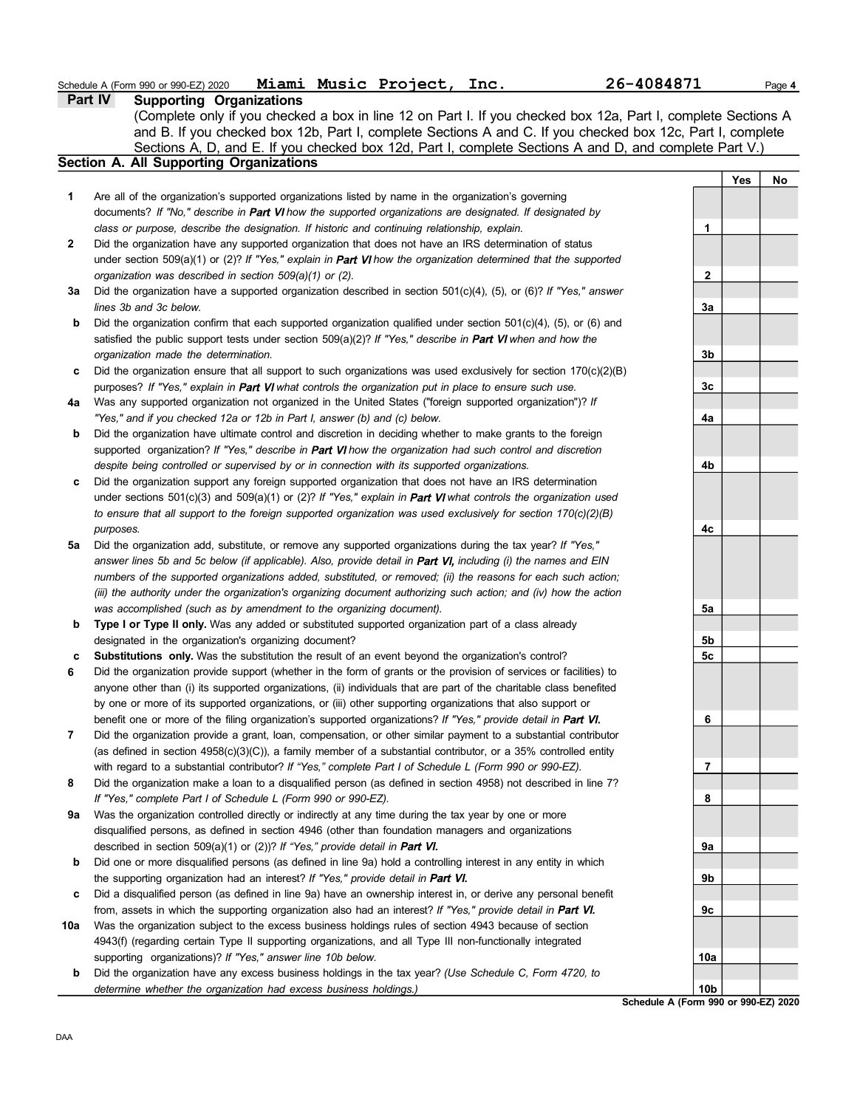- Part IV Supporting Organizations Sections A, D, and E. If you checked box 12d, Part I, complete Sections A and D, and complete Part V.) Schedule A (Form 990 or 990-EZ) 2020 **Miami Music Project, Inc.** 26-4084871 Page 4<br> **Part IV** Supporting Organizations<br>
(Complete only if you checked a box in line 12 on Part I. If you checked box 12a, Part I, complete Sec Section A. All Supporting Organizations (Complete only if you checked a box in line 12 on Part I. If you checked box 12a, Part I, complete Sections A and B. If you checked box 12b, Part I, complete Sections A and C. If you checked box 12c, Part I, complete Are all of the organization's supported organizations listed by name in the organization's governing 1 documents? If "No," describe in Part VI how the supported organizations are designated. If designated by class or purpose, describe the designation. If historic and continuing relationship, explain. 2 Did the organization have any supported organization that does not have an IRS determination of status under section 509(a)(1) or (2)? If "Yes," explain in Part VI how the organization determined that the supported organization was described in section 509(a)(1) or (2). 3a Did the organization have a supported organization described in section 501(c)(4), (5), or (6)? If "Yes," answer b Did the organization confirm that each supported organization qualified under section 501(c)(4), (5), or (6) and c Did the organization ensure that all support to such organizations was used exclusively for section 170(c)(2)(B) 4a Was any supported organization not organized in the United States ("foreign supported organization")? If b Did the organization have ultimate control and discretion in deciding whether to make grants to the foreign c Did the organization support any foreign supported organization that does not have an IRS determination **5a** Did the organization add, substitute, or remove any supported organizations during the tax year? If "Yes," **b** Type I or Type II only. Was any added or substituted supported organization part of a class already **the contract of the contract of a class** already c Substitutions only. Was the substitution the result of an event beyond the organization's control? 6 Did the organization provide support (whether in the form of grants or the provision of services or facilities) to 7 Did the organization provide a grant, loan, compensation, or other similar payment to a substantial contributor 8 Did the organization make a loan to a disqualified person (as defined in section 4958) not described in line 7? 9a Was the organization controlled directly or indirectly at any time during the tax year by one or more **b** Did one or more disqualified persons (as defined in line 9a) hold a controlling interest in any entity in which **the state of the state of the state**  $\vert \cdot \vert$ c Did a disqualified person (as defined in line 9a) have an ownership interest in, or derive any personal benefit 10a Was the organization subject to the excess business holdings rules of section 4943 because of section lines 3b and 3c below. satisfied the public support tests under section  $509(a)(2)?$  If "Yes," describe in Part VI when and how the organization made the determination. purposes? If "Yes," explain in Part VI what controls the organization put in place to ensure such use. **The summan** "Yes," and if you checked 12a or 12b in Part I, answer (b) and (c) below. supported organization? If "Yes," describe in Part VI how the organization had such control and discretion despite being controlled or supervised by or in connection with its supported organizations. under sections  $501(c)(3)$  and  $509(a)(1)$  or (2)? If "Yes," explain in **Part VI** what controls the organization used to ensure that all support to the foreign supported organization was used exclusively for section 170(c)(2)(B) purposes. answer lines 5b and 5c below (if applicable). Also, provide detail in Part VI, including (i) the names and EIN numbers of the supported organizations added, substituted, or removed; (ii) the reasons for each such action; (iii) the authority under the organization's organizing document authorizing such action; and (iv) how the action was accomplished (such as by amendment to the organizing document). designated in the organization's organizing document? anyone other than (i) its supported organizations, (ii) individuals that are part of the charitable class benefited by one or more of its supported organizations, or (iii) other supporting organizations that also support or benefit one or more of the filing organization's supported organizations? If "Yes," provide detail in Part VI. (as defined in section 4958(c)(3)(C)), a family member of a substantial contributor, or a 35% controlled entity with regard to a substantial contributor? If "Yes," complete Part I of Schedule L (Form 990 or 990-EZ). If "Yes," complete Part I of Schedule L (Form 990 or 990-EZ). disqualified persons, as defined in section 4946 (other than foundation managers and organizations described in section 509(a)(1) or (2))? If "Yes," provide detail in Part VI. the supporting organization had an interest? If "Yes," provide detail in Part VI. from, assets in which the supporting organization also had an interest? If "Yes," provide detail in Part VI. 4943(f) (regarding certain Type II supporting organizations, and all Type III non-functionally integrated supporting organizations)? If "Yes," answer line 10b below. Page 4<br>Sections A<br>Complete<br>Int V.)<br>Yes No  $1 \mid \cdot \cdot \cdot \cdot \cdot$ 2  $\vert$   $\vert$ 3a  $3b$  and  $1$  and  $1$  and  $1$  and  $1$  and  $1$  and  $1$  and  $1$  and  $1$  and  $1$  and  $1$  and  $1$  and  $1$  and  $1$  and  $1$  and  $1$  and  $1$  and  $1$  and  $1$  and  $1$  and  $1$  and  $1$  and  $1$  and  $1$  and  $1$  and  $1$  and  $1$  and  $1$   $3c$  and  $\overline{c}$  and  $\overline{c}$  and  $\overline{c}$  and  $\overline{c}$  and  $\overline{c}$  and  $\overline{c}$  and  $\overline{c}$  and  $\overline{c}$  and  $\overline{c}$  and  $\overline{c}$  and  $\overline{c}$  and  $\overline{c}$  and  $\overline{c}$  and  $\overline{c}$  and  $\overline{c}$  and  $\overline{c}$  and  $\overline$ 4a 4b 4c 5a 5b 5c 6 7 8 9a 9b 9c and the set of the set of the set of the set of the set of the set of the set of the set of the set of the <br>In the set of the set of the set of the set of the set of the set of the set of the set of the set of the set o 10a Miami Music Project, Inc. 26-4084871 Page 4.<br>
zations<br>
1 checked a box in line 12 on Part I. If you checked box 12a, Part I, complete Sections A<br>
d box 12b, Part I, complete Sections A and C. If you checked box 12c, Part I
	- **b** Did the organization have any excess business holdings in the tax year? (Use Schedule C, Form 4720, to **being the fi** determine whether the organization had excess business holdings.)

Schedule A (Form 990 or 990-EZ) 2020

10b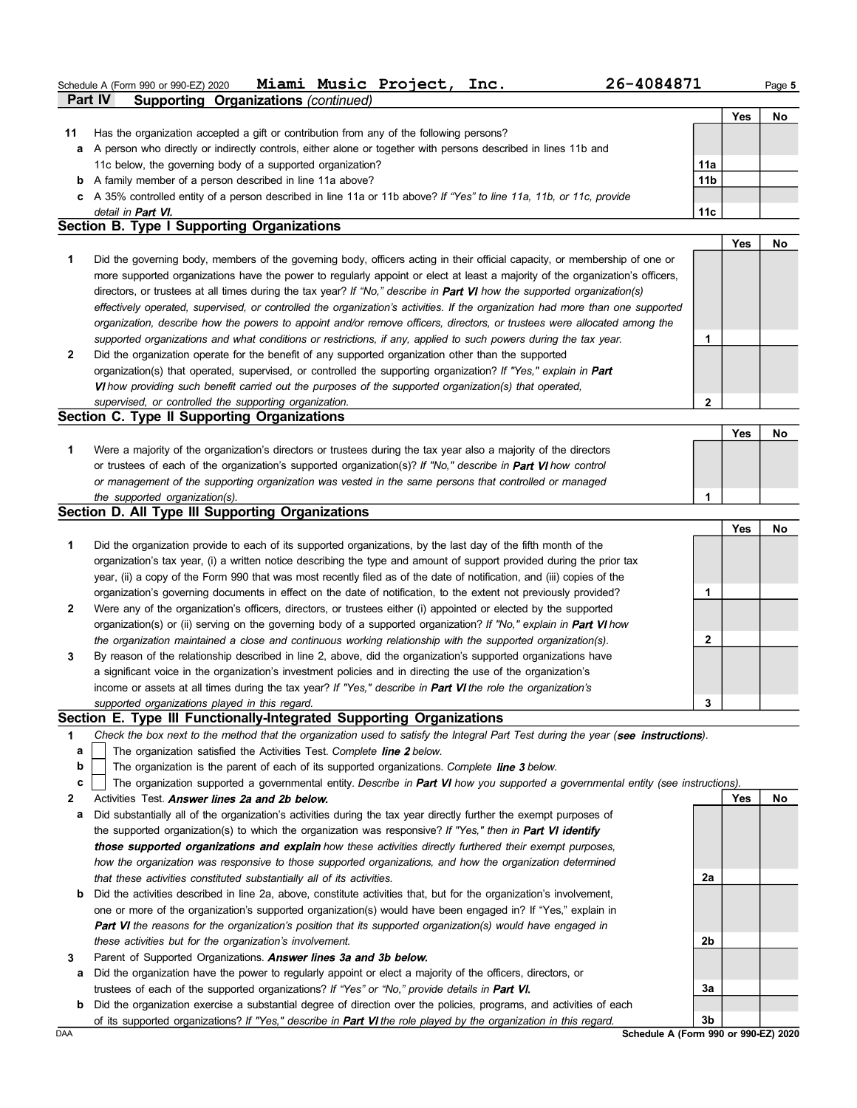# Part IV Supporting Organizations (continued)

| 26-4084871<br>Miami Music Project, Inc.<br>Schedule A (Form 990 or 990-EZ) 2020                                      | Page 5           |
|----------------------------------------------------------------------------------------------------------------------|------------------|
| Part IV<br><b>Supporting Organizations (continued)</b>                                                               |                  |
|                                                                                                                      | <b>No</b><br>Yes |
| Has the organization accepted a gift or contribution from any of the following persons?<br>11                        |                  |
| a A person who directly or indirectly controls, either alone or together with persons described in lines 11b and     |                  |
| 11c below, the governing body of a supported organization?                                                           | 11a              |
| <b>b</b> A family member of a person described in line 11a above?                                                    | 11 <sub>b</sub>  |
| c A 35% controlled entity of a person described in line 11a or 11b above? If "Yes" to line 11a, 11b, or 11c, provide |                  |
| detail in Part VI.<br><b>Section B. Type I Supporting Organizations</b>                                              | 11c              |
|                                                                                                                      |                  |

|                | 26-4084871<br>Miami Music Project, Inc.<br>Schedule A (Form 990 or 990-EZ) 2020<br>Part IV                                     |                 |     | Page 5    |
|----------------|--------------------------------------------------------------------------------------------------------------------------------|-----------------|-----|-----------|
|                | Supporting Organizations (continued)                                                                                           |                 |     |           |
|                |                                                                                                                                |                 | Yes | <b>No</b> |
| 11             | Has the organization accepted a gift or contribution from any of the following persons?                                        |                 |     |           |
|                | a A person who directly or indirectly controls, either alone or together with persons described in lines 11b and               |                 |     |           |
|                | 11c below, the governing body of a supported organization?                                                                     | 11a             |     |           |
|                | <b>b</b> A family member of a person described in line 11a above?                                                              | 11 <sub>b</sub> |     |           |
|                | c A 35% controlled entity of a person described in line 11a or 11b above? If "Yes" to line 11a, 11b, or 11c, provide           |                 |     |           |
|                | detail in Part VI.                                                                                                             | 11c             |     |           |
|                | <b>Section B. Type I Supporting Organizations</b>                                                                              |                 |     |           |
|                |                                                                                                                                |                 | Yes | No.       |
|                | Did the governing body, members of the governing body, officers acting in their official capacity, or membership of one or     |                 |     |           |
|                | more supported organizations have the power to regularly appoint or elect at least a majority of the organization's officers,  |                 |     |           |
|                | directors, or trustees at all times during the tax year? If "No," describe in Part VI how the supported organization(s)        |                 |     |           |
|                | effectively operated, supervised, or controlled the organization's activities. If the organization had more than one supported |                 |     |           |
|                | organization, describe how the powers to appoint and/or remove officers, directors, or trustees were allocated among the       |                 |     |           |
|                | supported organizations and what conditions or restrictions, if any, applied to such powers during the tax year.               | $\mathbf 1$     |     |           |
| $\overline{2}$ | Did the organization operate for the benefit of any supported organization other than the supported                            |                 |     |           |
|                |                                                                                                                                |                 |     |           |
|                | organization(s) that operated, supervised, or controlled the supporting organization? If "Yes," explain in Part                |                 |     |           |
|                | VI how providing such benefit carried out the purposes of the supported organization(s) that operated,                         |                 |     |           |
|                | supervised, or controlled the supporting organization.                                                                         | $\overline{2}$  |     |           |
|                | <b>Section C. Type II Supporting Organizations</b>                                                                             |                 |     |           |
|                |                                                                                                                                |                 | Yes | No        |
|                | Were a majority of the organization's directors or trustees during the tax year also a majority of the directors               |                 |     |           |
|                | or trustees of each of the organization's supported organization(s)? If "No," describe in Part VI how control                  |                 |     |           |
|                | or management of the supporting organization was vested in the same persons that controlled or managed                         |                 |     |           |
|                | the supported organization(s).                                                                                                 | 1               |     |           |
|                | Section D. All Type III Supporting Organizations                                                                               |                 |     |           |
|                |                                                                                                                                |                 | Yes | No        |
|                | Did the organization provide to each of its supported organizations, by the last day of the fifth month of the                 |                 |     |           |
|                | organization's tax year, (i) a written notice describing the type and amount of support provided during the prior tax          |                 |     |           |
|                | year, (ii) a copy of the Form 990 that was most recently filed as of the date of notification, and (iii) copies of the         |                 |     |           |
|                | organization's governing documents in effect on the date of notification, to the extent not previously provided?               | 1               |     |           |
| $\mathbf{2}$   | Were any of the organization's officers, directors, or trustees either (i) appointed or elected by the supported               |                 |     |           |
|                |                                                                                                                                |                 |     |           |

|                                                                                                                  | Yes | No |  |
|------------------------------------------------------------------------------------------------------------------|-----|----|--|
| Were a majority of the organization's directors or trustees during the tax year also a majority of the directors |     |    |  |
| or trustees of each of the organization's supported organization(s)? If "No," describe in Part VI how control    |     |    |  |
| or management of the supporting organization was vested in the same persons that controlled or managed           |     |    |  |
| the supported organization(s).                                                                                   |     |    |  |

## Section D. All Type III Supporting Organizations

|                                                                                                                                    | Yes | No |  |
|------------------------------------------------------------------------------------------------------------------------------------|-----|----|--|
| Did the organization provide to each of its supported organizations, by the last day of the fifth month of the                     |     |    |  |
| organization's tax year, (i) a written notice describing the type and amount of support provided during the prior tax              |     |    |  |
| year, (ii) a copy of the Form 990 that was most recently filed as of the date of notification, and (iii) copies of the             |     |    |  |
| organization's governing documents in effect on the date of notification, to the extent not previously provided?                   |     |    |  |
| Were any of the organization's officers, directors, or trustees either (i) appointed or elected by the supported<br>$\overline{2}$ |     |    |  |
| organization(s) or (ii) serving on the governing body of a supported organization? If "No," explain in Part VI how                 |     |    |  |
| the organization maintained a close and continuous working relationship with the supported organization(s).                        |     |    |  |
| By reason of the relationship described in line 2, above, did the organization's supported organizations have<br>3                 |     |    |  |
| a significant voice in the organization's investment policies and in directing the use of the organization's                       |     |    |  |
| income or assets at all times during the tax year? If "Yes," describe in Part VI the role the organization's                       |     |    |  |
| supported organizations played in this regard.                                                                                     |     |    |  |

### Section E. Type III Functionally-Integrated Supporting Organizations

- 1 Check the box next to the method that the organization used to satisfy the Integral Part Test during the year (see instructions).
	- **a** | The organization satisfied the Activities Test. Complete line 2 below.
	- The organization is the parent of each of its supported organizations. Complete line 3 below.

**b** The organization is the parent of each of its supported organizations. Complete line 3 below.<br>**c** The organization supported a governmental entity. Describe in Part VI how you supported a governmental entity (see instr

- 2 Activities Test. Answer lines 2a and 2b below
- **a** Did substantially all of the organization's activities durin<br>the supported organization(s) to which the organization<br>those supported organizations and explain how the<br>how the organization was responsive to those suppor a Did substantially all of the organization's activities during the tax year directly further the exempt purposes of the supported organization(s) to which the organization was responsive? If "Yes," then in Part VI identify those supported organizations and explain how these activities directly furthered their exempt purposes, how the organization was responsive to those supported organizations, and how the organization determined that these activities constituted substantially all of its activities.
- **b** Did the activities described in line 2a, above, constitute activities that, but for the organization's involvement, one or more of the organization's supported organization(s) would have been engaged in? If "Yes," explain in Part VI the reasons for the organization's position that its supported organization(s) would have engaged in these activities but for the organization's involvement.
- 3 Parent of Supported Organizations. Answer lines 3a and 3b
- a Did the organization have the power to regularly appoint or elect a majority of the officers, directors, or trustees of each of the supported organizations? If "Yes" or "No," provide details in Part VI.
- b Did the organization exercise a substantial degree of direction over the policies, programs, and activities of each of its supported organizations? If "Yes," describe in Part VI the role played by the organization in this regard.



Yes | No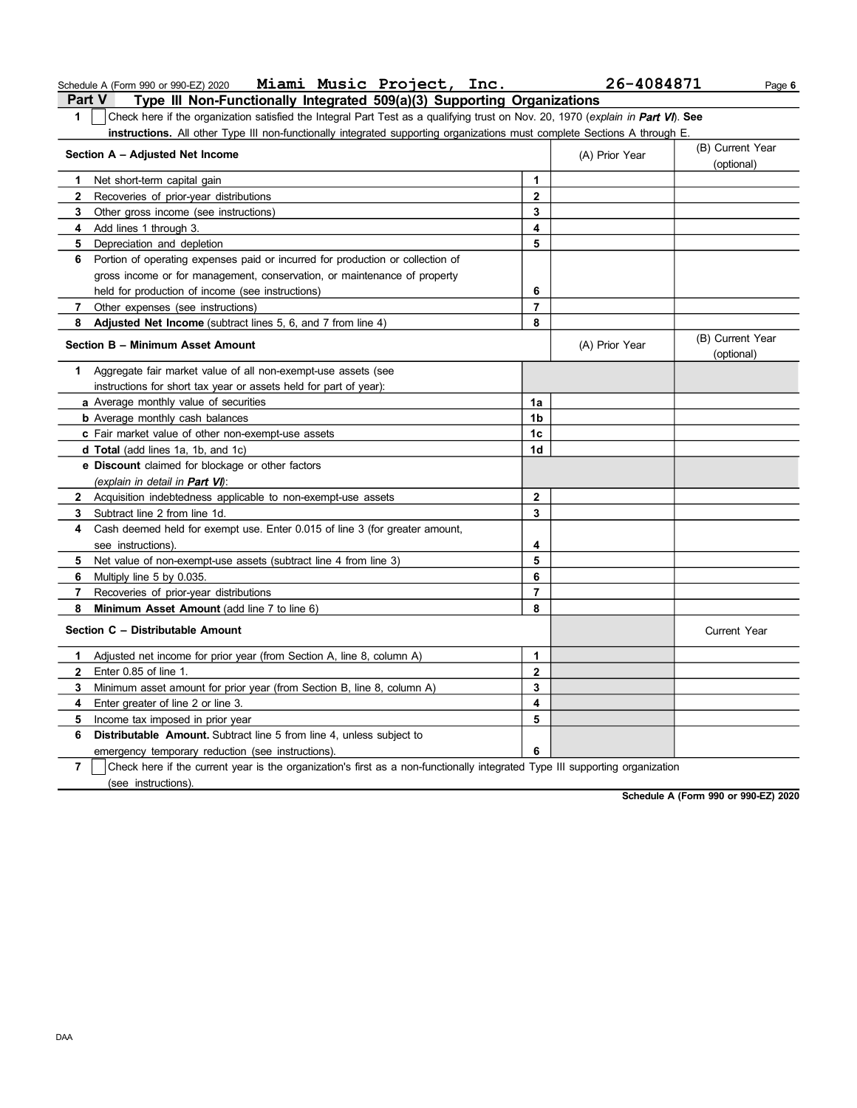| Miami Music Project, Inc.<br>Schedule A (Form 990 or 990-EZ) 2020                                                                                                                                                                                                            |                      | 26-4084871     | Page 6                         |
|------------------------------------------------------------------------------------------------------------------------------------------------------------------------------------------------------------------------------------------------------------------------------|----------------------|----------------|--------------------------------|
| Part V<br>Type III Non-Functionally Integrated 509(a)(3) Supporting Organizations                                                                                                                                                                                            |                      |                |                                |
| Check here if the organization satisfied the Integral Part Test as a qualifying trust on Nov. 20, 1970 (explain in Part VI). See<br>$\mathbf 1$<br>instructions. All other Type III non-functionally integrated supporting organizations must complete Sections A through E. |                      |                |                                |
|                                                                                                                                                                                                                                                                              |                      |                | (B) Current Year               |
| Section A - Adjusted Net Income                                                                                                                                                                                                                                              |                      | (A) Prior Year | (optional)                     |
| 1 Net short-term capital gain                                                                                                                                                                                                                                                | $\overline{1}$       |                |                                |
| 2 Recoveries of prior-year distributions                                                                                                                                                                                                                                     | $\overline{2}$       |                |                                |
| 3 Other gross income (see instructions)                                                                                                                                                                                                                                      | $\mathbf{3}$         |                |                                |
| 4 Add lines 1 through 3.<br>5 Depreciation and depletion                                                                                                                                                                                                                     | 4<br>$5\overline{5}$ |                |                                |
| 6 Portion of operating expenses paid or incurred for production or collection of                                                                                                                                                                                             |                      |                |                                |
| gross income or for management, conservation, or maintenance of property                                                                                                                                                                                                     |                      |                |                                |
| held for production of income (see instructions)                                                                                                                                                                                                                             | 6                    |                |                                |
| 7 Other expenses (see instructions)                                                                                                                                                                                                                                          | $\overline{7}$       |                |                                |
| 8 Adjusted Net Income (subtract lines 5, 6, and 7 from line 4)                                                                                                                                                                                                               | 8                    |                |                                |
| Section B - Minimum Asset Amount                                                                                                                                                                                                                                             |                      | (A) Prior Year | (B) Current Year<br>(optional) |
| Aggregate fair market value of all non-exempt-use assets (see<br>1                                                                                                                                                                                                           |                      |                |                                |
| instructions for short tax year or assets held for part of year):                                                                                                                                                                                                            |                      |                |                                |
| a Average monthly value of securities                                                                                                                                                                                                                                        | 1a                   |                |                                |
| <b>b</b> Average monthly cash balances                                                                                                                                                                                                                                       | 1 <sub>b</sub>       |                |                                |
| c Fair market value of other non-exempt-use assets                                                                                                                                                                                                                           | 1c<br>1 <sub>d</sub> |                |                                |
| d Total (add lines 1a, 1b, and 1c)<br>e Discount claimed for blockage or other factors                                                                                                                                                                                       |                      |                |                                |
| (explain in detail in Part VI):                                                                                                                                                                                                                                              |                      |                |                                |
| 2 Acquisition indebtedness applicable to non-exempt-use assets                                                                                                                                                                                                               | $\mathbf{2}$         |                |                                |
| 3 Subtract line 2 from line 1d.                                                                                                                                                                                                                                              | $\mathbf{3}$         |                |                                |
| 4 Cash deemed held for exempt use. Enter 0.015 of line 3 (for greater amount,                                                                                                                                                                                                |                      |                |                                |
| see instructions).                                                                                                                                                                                                                                                           | 4                    |                |                                |
| 5 Net value of non-exempt-use assets (subtract line 4 from line 3)                                                                                                                                                                                                           | 5<br>$6\phantom{.}6$ |                |                                |
| <b>6</b> Multiply line 5 by 0.035.<br>7 Recoveries of prior-year distributions                                                                                                                                                                                               | $\overline{7}$       |                |                                |
| 8 Minimum Asset Amount (add line 7 to line 6)                                                                                                                                                                                                                                | 8                    |                |                                |
| Section C - Distributable Amount                                                                                                                                                                                                                                             |                      |                | <b>Current Year</b>            |
| 1 Adjusted net income for prior year (from Section A, line 8, column A)                                                                                                                                                                                                      | $\mathbf{1}$         |                |                                |
| 2 Enter 0.85 of line 1.                                                                                                                                                                                                                                                      | $\overline{2}$       |                |                                |
| 3 Minimum asset amount for prior year (from Section B, line 8, column A)                                                                                                                                                                                                     | $\mathbf{3}$         |                |                                |
| 4 Enter greater of line 2 or line 3.                                                                                                                                                                                                                                         | 4                    |                |                                |
| 5 Income tax imposed in prior year                                                                                                                                                                                                                                           | $5\overline{5}$      |                |                                |
| 6 Distributable Amount. Subtract line 5 from line 4, unless subject to                                                                                                                                                                                                       |                      |                |                                |
| emergency temporary reduction (see instructions).                                                                                                                                                                                                                            | 6                    |                |                                |
| 7   Check here if the current year is the organization's first as a non-functionally integrated Type III supporting organization<br>(see instructions).                                                                                                                      |                      |                |                                |
|                                                                                                                                                                                                                                                                              |                      |                |                                |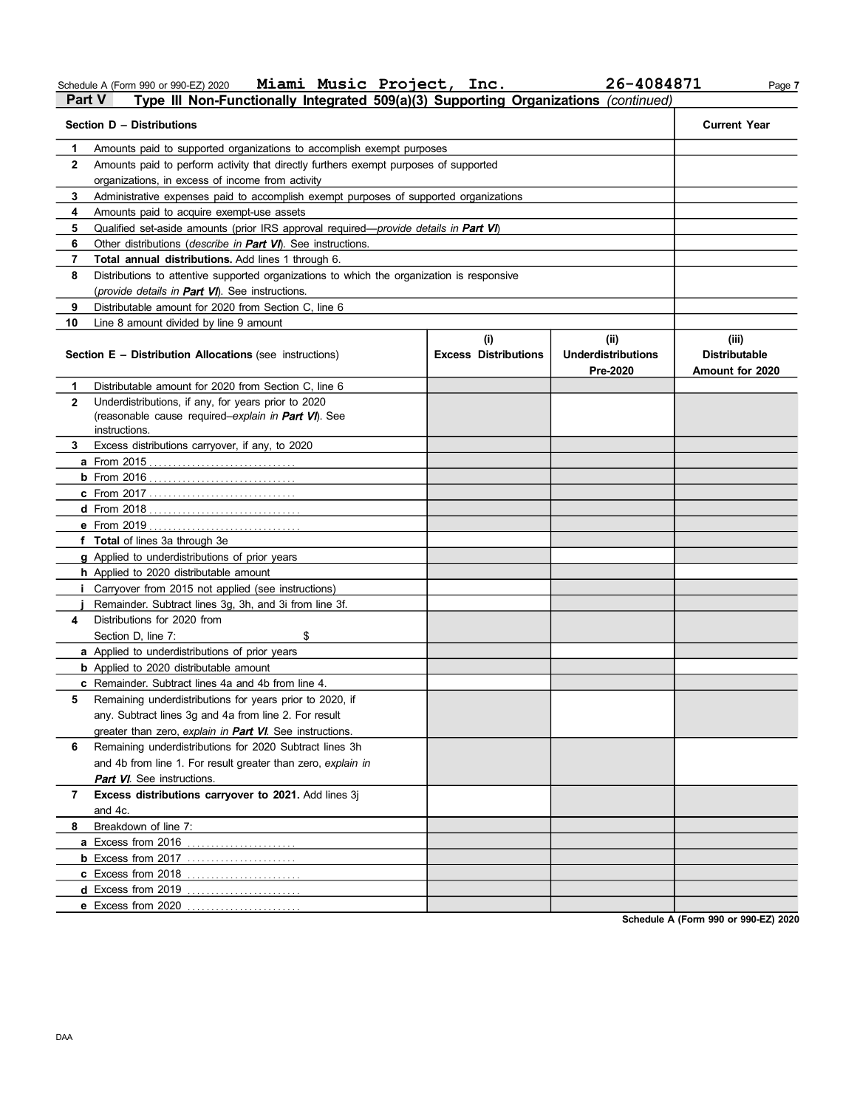# Part V Type III Non-Functionally Integrated 509(a)(3) Supporting Organizations (continued)

| <b>Part V</b> | Miami Music Project, Inc.<br>Schedule A (Form 990 or 990-EZ) 2020<br>Type III Non-Functionally Integrated 509(a)(3) Supporting Organizations (continued) |                                    |                                   |                               |
|---------------|----------------------------------------------------------------------------------------------------------------------------------------------------------|------------------------------------|-----------------------------------|-------------------------------|
|               |                                                                                                                                                          |                                    |                                   |                               |
|               |                                                                                                                                                          |                                    |                                   |                               |
|               |                                                                                                                                                          |                                    |                                   |                               |
|               |                                                                                                                                                          |                                    | 26-4084871                        | Page 7                        |
|               | Section D - Distributions                                                                                                                                |                                    |                                   | <b>Current Year</b>           |
| 1             | Amounts paid to supported organizations to accomplish exempt purposes                                                                                    |                                    |                                   |                               |
| $\mathbf{2}$  | Amounts paid to perform activity that directly furthers exempt purposes of supported                                                                     |                                    |                                   |                               |
| 3             | organizations, in excess of income from activity<br>Administrative expenses paid to accomplish exempt purposes of supported organizations                |                                    |                                   |                               |
| 4             | Amounts paid to acquire exempt-use assets                                                                                                                |                                    |                                   |                               |
| 5<br>6        | Qualified set-aside amounts (prior IRS approval required-provide details in Part VI)                                                                     |                                    |                                   |                               |
| $\mathbf{7}$  | Other distributions (describe in Part VI). See instructions.<br>Total annual distributions. Add lines 1 through 6.                                       |                                    |                                   |                               |
| 8             | Distributions to attentive supported organizations to which the organization is responsive                                                               |                                    |                                   |                               |
|               | (provide details in Part VI). See instructions.                                                                                                          |                                    |                                   |                               |
| 9<br>10       | Distributable amount for 2020 from Section C, line 6<br>Line 8 amount divided by line 9 amount                                                           |                                    |                                   |                               |
|               | <b>Section E - Distribution Allocations (see instructions)</b>                                                                                           | (i)<br><b>Excess Distributions</b> | (ii)<br><b>Underdistributions</b> | (iii)<br><b>Distributable</b> |
|               |                                                                                                                                                          |                                    | Pre-2020                          | Amount for 2020               |
|               | Distributable amount for 2020 from Section C, line 6                                                                                                     |                                    |                                   |                               |
| $\mathbf{2}$  | Underdistributions, if any, for years prior to 2020<br>(reasonable cause required-explain in Part VI). See<br>instructions.                              |                                    |                                   |                               |
|               | 3 Excess distributions carryover, if any, to 2020                                                                                                        |                                    |                                   |                               |
|               |                                                                                                                                                          |                                    |                                   |                               |
|               |                                                                                                                                                          |                                    |                                   |                               |
|               |                                                                                                                                                          |                                    |                                   |                               |
|               |                                                                                                                                                          |                                    |                                   |                               |
|               | f Total of lines 3a through 3e<br><b>q</b> Applied to underdistributions of prior years                                                                  |                                    |                                   |                               |
|               | h Applied to 2020 distributable amount                                                                                                                   |                                    |                                   |                               |
|               | <i>i</i> Carryover from 2015 not applied (see instructions)                                                                                              |                                    |                                   |                               |
|               | Remainder. Subtract lines 3g, 3h, and 3i from line 3f.                                                                                                   |                                    |                                   |                               |
| 4             | Distributions for 2020 from<br>Section D, line 7:<br>\$                                                                                                  |                                    |                                   |                               |
|               | a Applied to underdistributions of prior years                                                                                                           |                                    |                                   |                               |
|               | <b>b</b> Applied to 2020 distributable amount                                                                                                            |                                    |                                   |                               |
|               | c Remainder. Subtract lines 4a and 4b from line 4.                                                                                                       |                                    |                                   |                               |
|               | 5 Remaining underdistributions for years prior to 2020, if<br>any. Subtract lines 3g and 4a from line 2. For result                                      |                                    |                                   |                               |
|               | greater than zero, explain in Part VI. See instructions.                                                                                                 |                                    |                                   |                               |
| 6             | Remaining underdistributions for 2020 Subtract lines 3h                                                                                                  |                                    |                                   |                               |
|               | and 4b from line 1. For result greater than zero, explain in                                                                                             |                                    |                                   |                               |
|               | Part VI. See instructions.<br>Excess distributions carryover to 2021. Add lines 3j                                                                       |                                    |                                   |                               |
|               | and 4c.                                                                                                                                                  |                                    |                                   |                               |
| $7^{\circ}$   | 8 Breakdown of line 7:                                                                                                                                   |                                    |                                   |                               |
|               | <b>b</b> Excess from 2017                                                                                                                                |                                    |                                   |                               |
|               |                                                                                                                                                          |                                    |                                   |                               |
|               |                                                                                                                                                          |                                    |                                   |                               |
|               | <b>c</b> Excess from 2018<br>d Excess from 2019.                                                                                                         |                                    |                                   |                               |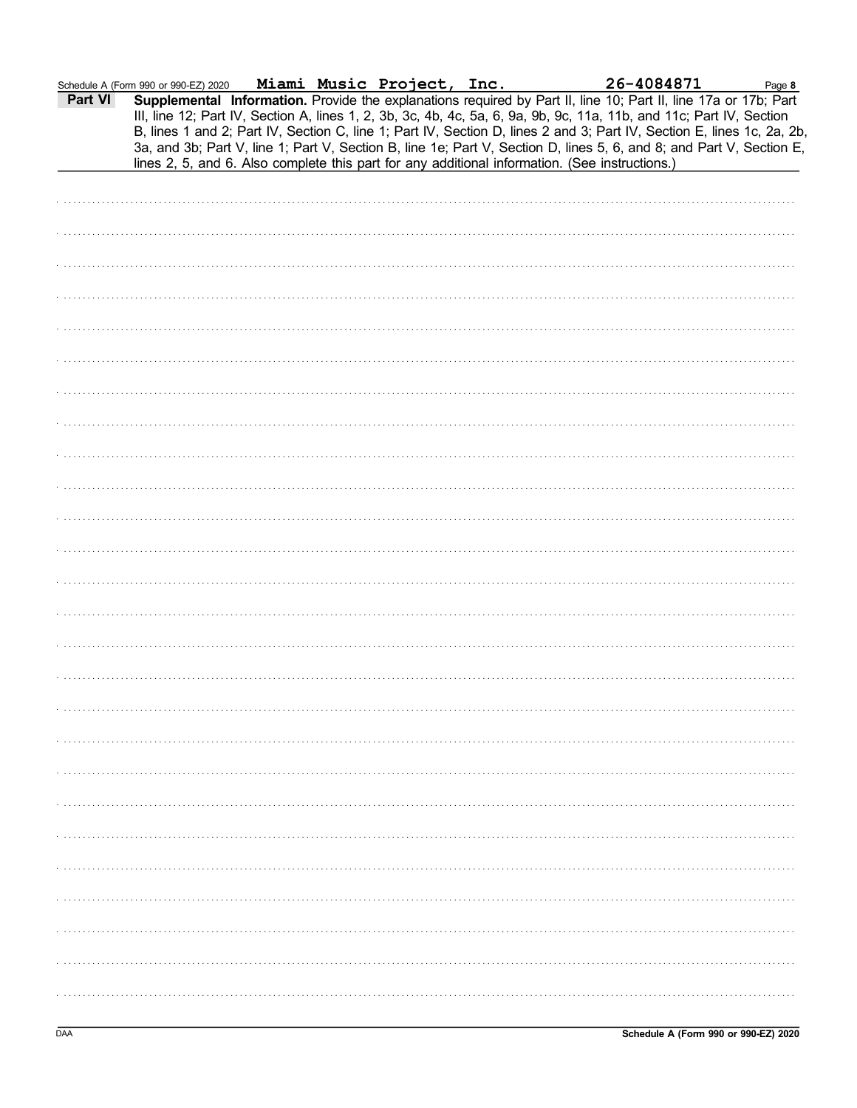|         | Schedule A (Form 990 or 990-EZ) 2020                                                                                                                                                                                                                                                                                                                              |  | Miami Music Project, Inc. |  | 26-4084871 | Page 8 |
|---------|-------------------------------------------------------------------------------------------------------------------------------------------------------------------------------------------------------------------------------------------------------------------------------------------------------------------------------------------------------------------|--|---------------------------|--|------------|--------|
| Part VI | Supplemental Information. Provide the explanations required by Part II, line 10; Part II, line 17a or 17b; Part<br>III, line 12; Part IV, Section A, lines 1, 2, 3b, 3c, 4b, 4c, 5a, 6, 9a, 9b, 9c, 11a, 11b, and 11c; Part IV, Section<br>B, lines 1 and 2; Part IV, Section C, line 1; Part IV, Section D, lines 2 and 3; Part IV, Section E, lines 1c, 2a, 2b, |  |                           |  |            |        |
|         | 3a, and 3b; Part V, line 1; Part V, Section B, line 1e; Part V, Section D, lines 5, 6, and 8; and Part V, Section E,<br>lines 2, 5, and 6. Also complete this part for any additional information. (See instructions.)                                                                                                                                            |  |                           |  |            |        |
|         |                                                                                                                                                                                                                                                                                                                                                                   |  |                           |  |            |        |
|         |                                                                                                                                                                                                                                                                                                                                                                   |  |                           |  |            |        |
|         |                                                                                                                                                                                                                                                                                                                                                                   |  |                           |  |            |        |
|         |                                                                                                                                                                                                                                                                                                                                                                   |  |                           |  |            |        |
|         |                                                                                                                                                                                                                                                                                                                                                                   |  |                           |  |            |        |
|         |                                                                                                                                                                                                                                                                                                                                                                   |  |                           |  |            |        |
|         |                                                                                                                                                                                                                                                                                                                                                                   |  |                           |  |            |        |
|         |                                                                                                                                                                                                                                                                                                                                                                   |  |                           |  |            |        |
|         |                                                                                                                                                                                                                                                                                                                                                                   |  |                           |  |            |        |
|         |                                                                                                                                                                                                                                                                                                                                                                   |  |                           |  |            |        |
|         |                                                                                                                                                                                                                                                                                                                                                                   |  |                           |  |            |        |
|         |                                                                                                                                                                                                                                                                                                                                                                   |  |                           |  |            |        |
|         |                                                                                                                                                                                                                                                                                                                                                                   |  |                           |  |            |        |
|         |                                                                                                                                                                                                                                                                                                                                                                   |  |                           |  |            |        |
|         |                                                                                                                                                                                                                                                                                                                                                                   |  |                           |  |            |        |
|         |                                                                                                                                                                                                                                                                                                                                                                   |  |                           |  |            |        |
|         |                                                                                                                                                                                                                                                                                                                                                                   |  |                           |  |            |        |
|         |                                                                                                                                                                                                                                                                                                                                                                   |  |                           |  |            |        |
|         |                                                                                                                                                                                                                                                                                                                                                                   |  |                           |  |            |        |
|         |                                                                                                                                                                                                                                                                                                                                                                   |  |                           |  |            |        |
|         |                                                                                                                                                                                                                                                                                                                                                                   |  |                           |  |            |        |
|         |                                                                                                                                                                                                                                                                                                                                                                   |  |                           |  |            |        |
|         |                                                                                                                                                                                                                                                                                                                                                                   |  |                           |  |            |        |
|         |                                                                                                                                                                                                                                                                                                                                                                   |  |                           |  |            |        |
|         |                                                                                                                                                                                                                                                                                                                                                                   |  |                           |  |            |        |
|         |                                                                                                                                                                                                                                                                                                                                                                   |  |                           |  |            |        |
|         |                                                                                                                                                                                                                                                                                                                                                                   |  |                           |  |            |        |
|         |                                                                                                                                                                                                                                                                                                                                                                   |  |                           |  |            |        |
|         |                                                                                                                                                                                                                                                                                                                                                                   |  |                           |  |            |        |
|         |                                                                                                                                                                                                                                                                                                                                                                   |  |                           |  |            |        |
|         |                                                                                                                                                                                                                                                                                                                                                                   |  |                           |  |            |        |
|         |                                                                                                                                                                                                                                                                                                                                                                   |  |                           |  |            |        |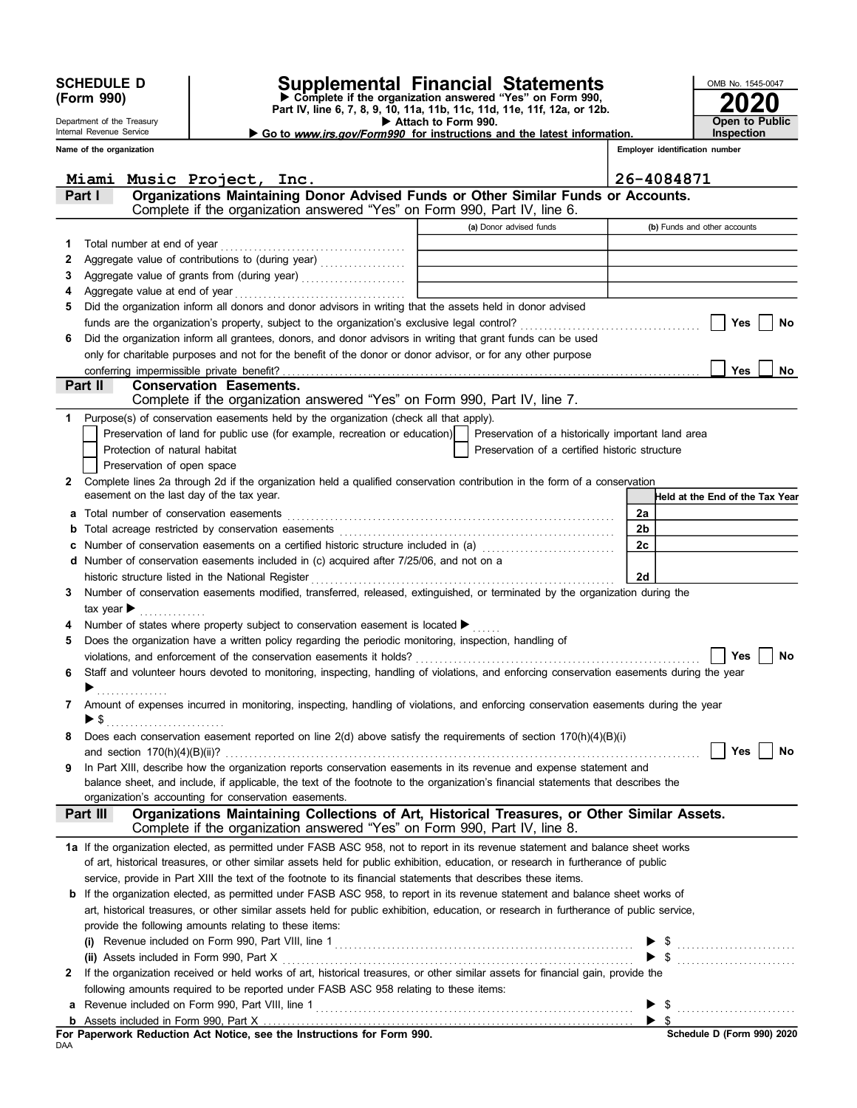# SCHEDULE D | Supplemental Financial Statements | OMB No. 1545-0047

| Supplemental Financial Statements                                             | OMB No. 1545-0047 |
|-------------------------------------------------------------------------------|-------------------|
| ► Complete if the organization answered "Yes" on Form 990,                    | 2020              |
| Part IV, line 6, 7, 8, 9, 10, 11a, 11b, 11c, 11d, 11e, 11f, 12a, or 12b.      |                   |
| Attach to Form 990.                                                           | Open to Public    |
| Go to <i>www.irs.gov/Form990</i> for instructions and the latest information. | <b>Inspection</b> |

| Name of the organization |  |  |
|--------------------------|--|--|
|                          |  |  |

| <b>Supplemental Financial Statements</b><br><b>SCHEDULE D</b><br>OMB No. 1545-0047<br>Complete if the organization answered "Yes" on Form 990,<br>(Form 990)<br>Part IV, line 6, 7, 8, 9, 10, 11a, 11b, 11c, 11d, 11e, 11f, 12a, or 12b.<br>Open to Public<br>Attach to Form 990.<br>Department of the Treasury<br>Internal Revenue Service<br>Go to <i>www.irs.gov/Form990</i> for instructions and the latest information.<br><b>Inspection</b><br>Name of the organization<br>Employer identification number<br>26-4084871<br>Miami Music Project, Inc.<br>Organizations Maintaining Donor Advised Funds or Other Similar Funds or Accounts.<br>Complete if the organization answered "Yes" on Form 990, Part IV, line 6.<br>(a) Donor advised funds<br>(b) Funds and other accounts<br>Total number at end of year<br>Aggregate value of grants from (during year)<br>Aggregate value at end of year<br>Did the organization inform all donors and donor advisors in writing that the assets held in donor advised<br>∣ No<br>funds are the organization's property, subject to the organization's exclusive legal control?<br>∣ Yes I<br>6 Did the organization inform all grantees, donors, and donor advisors in writing that grant funds can be used<br>only for charitable purposes and not for the benefit of the donor or donor advisor, or for any other purpose<br>Yes<br><b>No</b><br>conferring impermissible private benefit?<br>Part II<br><b>Conservation Easements.</b><br>Complete if the organization answered "Yes" on Form 990, Part IV, line 7.<br>1 Purpose(s) of conservation easements held by the organization (check all that apply).<br>Preservation of land for public use (for example, recreation or education)<br>Preservation of a historically important land area<br>Preservation of a certified historic structure<br>Protection of natural habitat<br>Preservation of open space<br>2 Complete lines 2a through 2d if the organization held a qualified conservation contribution in the form of a conservation<br>easement on the last day of the tax year.<br>Held at the End of the Tax Year<br>2a<br>2 <sub>b</sub><br>2c<br>c Number of conservation easements on a certified historic structure included in (a) [11] Number of conservation easements on a certified historic structure included in (a)<br>d Number of conservation easements included in (c) acquired after 7/25/06, and not on a<br>2d<br>historic structure listed in the National Register<br>3 Number of conservation easements modified, transferred, released, extinguished, or terminated by the organization during the<br>tax year $\blacktriangleright$<br>Number of states where property subject to conservation easement is located ▶<br>Does the organization have a written policy regarding the periodic monitoring, inspection, handling of<br>5<br>    Yes     No<br>6 Staff and volunteer hours devoted to monitoring, inspecting, handling of violations, and enforcing conservation easements during the year<br>7 Amount of expenses incurred in monitoring, inspecting, handling of violations, and enforcing conservation easements during the year<br>$\blacktriangleright$ \$<br>Does each conservation easement reported on line 2(d) above satisfy the requirements of section 170(h)(4)(B)(i)<br>$\vert$ Yes $\vert$ No<br>9 In Part XIII, describe how the organization reports conservation easements in its revenue and expense statement and<br>balance sheet, and include, if applicable, the text of the footnote to the organization's financial statements that describes the<br>organization's accounting for conservation easements.<br>Organizations Maintaining Collections of Art, Historical Treasures, or Other Similar Assets.<br>Part III<br>Complete if the organization answered "Yes" on Form 990, Part IV, line 8.<br>1a If the organization elected, as permitted under FASB ASC 958, not to report in its revenue statement and balance sheet works<br>of art, historical treasures, or other similar assets held for public exhibition, education, or research in furtherance of public<br>service, provide in Part XIII the text of the footnote to its financial statements that describes these items.<br><b>b</b> If the organization elected, as permitted under FASB ASC 958, to report in its revenue statement and balance sheet works of<br>art, historical treasures, or other similar assets held for public exhibition, education, or research in furtherance of public service,<br>provide the following amounts relating to these items:<br>2 If the organization received or held works of art, historical treasures, or other similar assets for financial gain, provide the<br>following amounts required to be reported under FASB ASC 958 relating to these items:<br>For Paperwork Reduction Act Notice, see the Instructions for Form 990.<br>Schedule D (Form 990) 2020 |        |  |  |  |
|------------------------------------------------------------------------------------------------------------------------------------------------------------------------------------------------------------------------------------------------------------------------------------------------------------------------------------------------------------------------------------------------------------------------------------------------------------------------------------------------------------------------------------------------------------------------------------------------------------------------------------------------------------------------------------------------------------------------------------------------------------------------------------------------------------------------------------------------------------------------------------------------------------------------------------------------------------------------------------------------------------------------------------------------------------------------------------------------------------------------------------------------------------------------------------------------------------------------------------------------------------------------------------------------------------------------------------------------------------------------------------------------------------------------------------------------------------------------------------------------------------------------------------------------------------------------------------------------------------------------------------------------------------------------------------------------------------------------------------------------------------------------------------------------------------------------------------------------------------------------------------------------------------------------------------------------------------------------------------------------------------------------------------------------------------------------------------------------------------------------------------------------------------------------------------------------------------------------------------------------------------------------------------------------------------------------------------------------------------------------------------------------------------------------------------------------------------------------------------------------------------------------------------------------------------------------------------------------------------------------------------------------------------------------------------------------------------------------------------------------------------------------------------------------------------------------------------------------------------------------------------------------------------------------------------------------------------------------------------------------------------------------------------------------------------------------------------------------------------------------------------------------------------------------------------------------------------------------------------------------------------------------------------------------------------------------------------------------------------------------------------------------------------------------------------------------------------------------------------------------------------------------------------------------------------------------------------------------------------------------------------------------------------------------------------------------------------------------------------------------------------------------------------------------------------------------------------------------------------------------------------------------------------------------------------------------------------------------------------------------------------------------------------------------------------------------------------------------------------------------------------------------------------------------------------------------------------------------------------------------------------------------------------------------------------------------------------------------------------------------------------------------------------------------------------------------------------------------------------------------------------------------------------------------------------------------------------------------------------------------------------------------------------------------------------------------------------------------------------------------------------------------------------------------------------------------------------------------------------------------------------------------------------------------------------------------------------------|--------|--|--|--|
|                                                                                                                                                                                                                                                                                                                                                                                                                                                                                                                                                                                                                                                                                                                                                                                                                                                                                                                                                                                                                                                                                                                                                                                                                                                                                                                                                                                                                                                                                                                                                                                                                                                                                                                                                                                                                                                                                                                                                                                                                                                                                                                                                                                                                                                                                                                                                                                                                                                                                                                                                                                                                                                                                                                                                                                                                                                                                                                                                                                                                                                                                                                                                                                                                                                                                                                                                                                                                                                                                                                                                                                                                                                                                                                                                                                                                                                                                                                                                                                                                                                                                                                                                                                                                                                                                                                                                                                                                                                                                                                                                                                                                                                                                                                                                                                                                                                                                                                                                                  |        |  |  |  |
|                                                                                                                                                                                                                                                                                                                                                                                                                                                                                                                                                                                                                                                                                                                                                                                                                                                                                                                                                                                                                                                                                                                                                                                                                                                                                                                                                                                                                                                                                                                                                                                                                                                                                                                                                                                                                                                                                                                                                                                                                                                                                                                                                                                                                                                                                                                                                                                                                                                                                                                                                                                                                                                                                                                                                                                                                                                                                                                                                                                                                                                                                                                                                                                                                                                                                                                                                                                                                                                                                                                                                                                                                                                                                                                                                                                                                                                                                                                                                                                                                                                                                                                                                                                                                                                                                                                                                                                                                                                                                                                                                                                                                                                                                                                                                                                                                                                                                                                                                                  |        |  |  |  |
|                                                                                                                                                                                                                                                                                                                                                                                                                                                                                                                                                                                                                                                                                                                                                                                                                                                                                                                                                                                                                                                                                                                                                                                                                                                                                                                                                                                                                                                                                                                                                                                                                                                                                                                                                                                                                                                                                                                                                                                                                                                                                                                                                                                                                                                                                                                                                                                                                                                                                                                                                                                                                                                                                                                                                                                                                                                                                                                                                                                                                                                                                                                                                                                                                                                                                                                                                                                                                                                                                                                                                                                                                                                                                                                                                                                                                                                                                                                                                                                                                                                                                                                                                                                                                                                                                                                                                                                                                                                                                                                                                                                                                                                                                                                                                                                                                                                                                                                                                                  |        |  |  |  |
|                                                                                                                                                                                                                                                                                                                                                                                                                                                                                                                                                                                                                                                                                                                                                                                                                                                                                                                                                                                                                                                                                                                                                                                                                                                                                                                                                                                                                                                                                                                                                                                                                                                                                                                                                                                                                                                                                                                                                                                                                                                                                                                                                                                                                                                                                                                                                                                                                                                                                                                                                                                                                                                                                                                                                                                                                                                                                                                                                                                                                                                                                                                                                                                                                                                                                                                                                                                                                                                                                                                                                                                                                                                                                                                                                                                                                                                                                                                                                                                                                                                                                                                                                                                                                                                                                                                                                                                                                                                                                                                                                                                                                                                                                                                                                                                                                                                                                                                                                                  |        |  |  |  |
|                                                                                                                                                                                                                                                                                                                                                                                                                                                                                                                                                                                                                                                                                                                                                                                                                                                                                                                                                                                                                                                                                                                                                                                                                                                                                                                                                                                                                                                                                                                                                                                                                                                                                                                                                                                                                                                                                                                                                                                                                                                                                                                                                                                                                                                                                                                                                                                                                                                                                                                                                                                                                                                                                                                                                                                                                                                                                                                                                                                                                                                                                                                                                                                                                                                                                                                                                                                                                                                                                                                                                                                                                                                                                                                                                                                                                                                                                                                                                                                                                                                                                                                                                                                                                                                                                                                                                                                                                                                                                                                                                                                                                                                                                                                                                                                                                                                                                                                                                                  |        |  |  |  |
|                                                                                                                                                                                                                                                                                                                                                                                                                                                                                                                                                                                                                                                                                                                                                                                                                                                                                                                                                                                                                                                                                                                                                                                                                                                                                                                                                                                                                                                                                                                                                                                                                                                                                                                                                                                                                                                                                                                                                                                                                                                                                                                                                                                                                                                                                                                                                                                                                                                                                                                                                                                                                                                                                                                                                                                                                                                                                                                                                                                                                                                                                                                                                                                                                                                                                                                                                                                                                                                                                                                                                                                                                                                                                                                                                                                                                                                                                                                                                                                                                                                                                                                                                                                                                                                                                                                                                                                                                                                                                                                                                                                                                                                                                                                                                                                                                                                                                                                                                                  |        |  |  |  |
|                                                                                                                                                                                                                                                                                                                                                                                                                                                                                                                                                                                                                                                                                                                                                                                                                                                                                                                                                                                                                                                                                                                                                                                                                                                                                                                                                                                                                                                                                                                                                                                                                                                                                                                                                                                                                                                                                                                                                                                                                                                                                                                                                                                                                                                                                                                                                                                                                                                                                                                                                                                                                                                                                                                                                                                                                                                                                                                                                                                                                                                                                                                                                                                                                                                                                                                                                                                                                                                                                                                                                                                                                                                                                                                                                                                                                                                                                                                                                                                                                                                                                                                                                                                                                                                                                                                                                                                                                                                                                                                                                                                                                                                                                                                                                                                                                                                                                                                                                                  |        |  |  |  |
|                                                                                                                                                                                                                                                                                                                                                                                                                                                                                                                                                                                                                                                                                                                                                                                                                                                                                                                                                                                                                                                                                                                                                                                                                                                                                                                                                                                                                                                                                                                                                                                                                                                                                                                                                                                                                                                                                                                                                                                                                                                                                                                                                                                                                                                                                                                                                                                                                                                                                                                                                                                                                                                                                                                                                                                                                                                                                                                                                                                                                                                                                                                                                                                                                                                                                                                                                                                                                                                                                                                                                                                                                                                                                                                                                                                                                                                                                                                                                                                                                                                                                                                                                                                                                                                                                                                                                                                                                                                                                                                                                                                                                                                                                                                                                                                                                                                                                                                                                                  |        |  |  |  |
|                                                                                                                                                                                                                                                                                                                                                                                                                                                                                                                                                                                                                                                                                                                                                                                                                                                                                                                                                                                                                                                                                                                                                                                                                                                                                                                                                                                                                                                                                                                                                                                                                                                                                                                                                                                                                                                                                                                                                                                                                                                                                                                                                                                                                                                                                                                                                                                                                                                                                                                                                                                                                                                                                                                                                                                                                                                                                                                                                                                                                                                                                                                                                                                                                                                                                                                                                                                                                                                                                                                                                                                                                                                                                                                                                                                                                                                                                                                                                                                                                                                                                                                                                                                                                                                                                                                                                                                                                                                                                                                                                                                                                                                                                                                                                                                                                                                                                                                                                                  |        |  |  |  |
|                                                                                                                                                                                                                                                                                                                                                                                                                                                                                                                                                                                                                                                                                                                                                                                                                                                                                                                                                                                                                                                                                                                                                                                                                                                                                                                                                                                                                                                                                                                                                                                                                                                                                                                                                                                                                                                                                                                                                                                                                                                                                                                                                                                                                                                                                                                                                                                                                                                                                                                                                                                                                                                                                                                                                                                                                                                                                                                                                                                                                                                                                                                                                                                                                                                                                                                                                                                                                                                                                                                                                                                                                                                                                                                                                                                                                                                                                                                                                                                                                                                                                                                                                                                                                                                                                                                                                                                                                                                                                                                                                                                                                                                                                                                                                                                                                                                                                                                                                                  |        |  |  |  |
|                                                                                                                                                                                                                                                                                                                                                                                                                                                                                                                                                                                                                                                                                                                                                                                                                                                                                                                                                                                                                                                                                                                                                                                                                                                                                                                                                                                                                                                                                                                                                                                                                                                                                                                                                                                                                                                                                                                                                                                                                                                                                                                                                                                                                                                                                                                                                                                                                                                                                                                                                                                                                                                                                                                                                                                                                                                                                                                                                                                                                                                                                                                                                                                                                                                                                                                                                                                                                                                                                                                                                                                                                                                                                                                                                                                                                                                                                                                                                                                                                                                                                                                                                                                                                                                                                                                                                                                                                                                                                                                                                                                                                                                                                                                                                                                                                                                                                                                                                                  | Part I |  |  |  |
|                                                                                                                                                                                                                                                                                                                                                                                                                                                                                                                                                                                                                                                                                                                                                                                                                                                                                                                                                                                                                                                                                                                                                                                                                                                                                                                                                                                                                                                                                                                                                                                                                                                                                                                                                                                                                                                                                                                                                                                                                                                                                                                                                                                                                                                                                                                                                                                                                                                                                                                                                                                                                                                                                                                                                                                                                                                                                                                                                                                                                                                                                                                                                                                                                                                                                                                                                                                                                                                                                                                                                                                                                                                                                                                                                                                                                                                                                                                                                                                                                                                                                                                                                                                                                                                                                                                                                                                                                                                                                                                                                                                                                                                                                                                                                                                                                                                                                                                                                                  |        |  |  |  |
|                                                                                                                                                                                                                                                                                                                                                                                                                                                                                                                                                                                                                                                                                                                                                                                                                                                                                                                                                                                                                                                                                                                                                                                                                                                                                                                                                                                                                                                                                                                                                                                                                                                                                                                                                                                                                                                                                                                                                                                                                                                                                                                                                                                                                                                                                                                                                                                                                                                                                                                                                                                                                                                                                                                                                                                                                                                                                                                                                                                                                                                                                                                                                                                                                                                                                                                                                                                                                                                                                                                                                                                                                                                                                                                                                                                                                                                                                                                                                                                                                                                                                                                                                                                                                                                                                                                                                                                                                                                                                                                                                                                                                                                                                                                                                                                                                                                                                                                                                                  |        |  |  |  |
|                                                                                                                                                                                                                                                                                                                                                                                                                                                                                                                                                                                                                                                                                                                                                                                                                                                                                                                                                                                                                                                                                                                                                                                                                                                                                                                                                                                                                                                                                                                                                                                                                                                                                                                                                                                                                                                                                                                                                                                                                                                                                                                                                                                                                                                                                                                                                                                                                                                                                                                                                                                                                                                                                                                                                                                                                                                                                                                                                                                                                                                                                                                                                                                                                                                                                                                                                                                                                                                                                                                                                                                                                                                                                                                                                                                                                                                                                                                                                                                                                                                                                                                                                                                                                                                                                                                                                                                                                                                                                                                                                                                                                                                                                                                                                                                                                                                                                                                                                                  |        |  |  |  |
|                                                                                                                                                                                                                                                                                                                                                                                                                                                                                                                                                                                                                                                                                                                                                                                                                                                                                                                                                                                                                                                                                                                                                                                                                                                                                                                                                                                                                                                                                                                                                                                                                                                                                                                                                                                                                                                                                                                                                                                                                                                                                                                                                                                                                                                                                                                                                                                                                                                                                                                                                                                                                                                                                                                                                                                                                                                                                                                                                                                                                                                                                                                                                                                                                                                                                                                                                                                                                                                                                                                                                                                                                                                                                                                                                                                                                                                                                                                                                                                                                                                                                                                                                                                                                                                                                                                                                                                                                                                                                                                                                                                                                                                                                                                                                                                                                                                                                                                                                                  | 5.     |  |  |  |
|                                                                                                                                                                                                                                                                                                                                                                                                                                                                                                                                                                                                                                                                                                                                                                                                                                                                                                                                                                                                                                                                                                                                                                                                                                                                                                                                                                                                                                                                                                                                                                                                                                                                                                                                                                                                                                                                                                                                                                                                                                                                                                                                                                                                                                                                                                                                                                                                                                                                                                                                                                                                                                                                                                                                                                                                                                                                                                                                                                                                                                                                                                                                                                                                                                                                                                                                                                                                                                                                                                                                                                                                                                                                                                                                                                                                                                                                                                                                                                                                                                                                                                                                                                                                                                                                                                                                                                                                                                                                                                                                                                                                                                                                                                                                                                                                                                                                                                                                                                  |        |  |  |  |
|                                                                                                                                                                                                                                                                                                                                                                                                                                                                                                                                                                                                                                                                                                                                                                                                                                                                                                                                                                                                                                                                                                                                                                                                                                                                                                                                                                                                                                                                                                                                                                                                                                                                                                                                                                                                                                                                                                                                                                                                                                                                                                                                                                                                                                                                                                                                                                                                                                                                                                                                                                                                                                                                                                                                                                                                                                                                                                                                                                                                                                                                                                                                                                                                                                                                                                                                                                                                                                                                                                                                                                                                                                                                                                                                                                                                                                                                                                                                                                                                                                                                                                                                                                                                                                                                                                                                                                                                                                                                                                                                                                                                                                                                                                                                                                                                                                                                                                                                                                  |        |  |  |  |
|                                                                                                                                                                                                                                                                                                                                                                                                                                                                                                                                                                                                                                                                                                                                                                                                                                                                                                                                                                                                                                                                                                                                                                                                                                                                                                                                                                                                                                                                                                                                                                                                                                                                                                                                                                                                                                                                                                                                                                                                                                                                                                                                                                                                                                                                                                                                                                                                                                                                                                                                                                                                                                                                                                                                                                                                                                                                                                                                                                                                                                                                                                                                                                                                                                                                                                                                                                                                                                                                                                                                                                                                                                                                                                                                                                                                                                                                                                                                                                                                                                                                                                                                                                                                                                                                                                                                                                                                                                                                                                                                                                                                                                                                                                                                                                                                                                                                                                                                                                  |        |  |  |  |
|                                                                                                                                                                                                                                                                                                                                                                                                                                                                                                                                                                                                                                                                                                                                                                                                                                                                                                                                                                                                                                                                                                                                                                                                                                                                                                                                                                                                                                                                                                                                                                                                                                                                                                                                                                                                                                                                                                                                                                                                                                                                                                                                                                                                                                                                                                                                                                                                                                                                                                                                                                                                                                                                                                                                                                                                                                                                                                                                                                                                                                                                                                                                                                                                                                                                                                                                                                                                                                                                                                                                                                                                                                                                                                                                                                                                                                                                                                                                                                                                                                                                                                                                                                                                                                                                                                                                                                                                                                                                                                                                                                                                                                                                                                                                                                                                                                                                                                                                                                  |        |  |  |  |
|                                                                                                                                                                                                                                                                                                                                                                                                                                                                                                                                                                                                                                                                                                                                                                                                                                                                                                                                                                                                                                                                                                                                                                                                                                                                                                                                                                                                                                                                                                                                                                                                                                                                                                                                                                                                                                                                                                                                                                                                                                                                                                                                                                                                                                                                                                                                                                                                                                                                                                                                                                                                                                                                                                                                                                                                                                                                                                                                                                                                                                                                                                                                                                                                                                                                                                                                                                                                                                                                                                                                                                                                                                                                                                                                                                                                                                                                                                                                                                                                                                                                                                                                                                                                                                                                                                                                                                                                                                                                                                                                                                                                                                                                                                                                                                                                                                                                                                                                                                  |        |  |  |  |
|                                                                                                                                                                                                                                                                                                                                                                                                                                                                                                                                                                                                                                                                                                                                                                                                                                                                                                                                                                                                                                                                                                                                                                                                                                                                                                                                                                                                                                                                                                                                                                                                                                                                                                                                                                                                                                                                                                                                                                                                                                                                                                                                                                                                                                                                                                                                                                                                                                                                                                                                                                                                                                                                                                                                                                                                                                                                                                                                                                                                                                                                                                                                                                                                                                                                                                                                                                                                                                                                                                                                                                                                                                                                                                                                                                                                                                                                                                                                                                                                                                                                                                                                                                                                                                                                                                                                                                                                                                                                                                                                                                                                                                                                                                                                                                                                                                                                                                                                                                  |        |  |  |  |
|                                                                                                                                                                                                                                                                                                                                                                                                                                                                                                                                                                                                                                                                                                                                                                                                                                                                                                                                                                                                                                                                                                                                                                                                                                                                                                                                                                                                                                                                                                                                                                                                                                                                                                                                                                                                                                                                                                                                                                                                                                                                                                                                                                                                                                                                                                                                                                                                                                                                                                                                                                                                                                                                                                                                                                                                                                                                                                                                                                                                                                                                                                                                                                                                                                                                                                                                                                                                                                                                                                                                                                                                                                                                                                                                                                                                                                                                                                                                                                                                                                                                                                                                                                                                                                                                                                                                                                                                                                                                                                                                                                                                                                                                                                                                                                                                                                                                                                                                                                  |        |  |  |  |
|                                                                                                                                                                                                                                                                                                                                                                                                                                                                                                                                                                                                                                                                                                                                                                                                                                                                                                                                                                                                                                                                                                                                                                                                                                                                                                                                                                                                                                                                                                                                                                                                                                                                                                                                                                                                                                                                                                                                                                                                                                                                                                                                                                                                                                                                                                                                                                                                                                                                                                                                                                                                                                                                                                                                                                                                                                                                                                                                                                                                                                                                                                                                                                                                                                                                                                                                                                                                                                                                                                                                                                                                                                                                                                                                                                                                                                                                                                                                                                                                                                                                                                                                                                                                                                                                                                                                                                                                                                                                                                                                                                                                                                                                                                                                                                                                                                                                                                                                                                  |        |  |  |  |
|                                                                                                                                                                                                                                                                                                                                                                                                                                                                                                                                                                                                                                                                                                                                                                                                                                                                                                                                                                                                                                                                                                                                                                                                                                                                                                                                                                                                                                                                                                                                                                                                                                                                                                                                                                                                                                                                                                                                                                                                                                                                                                                                                                                                                                                                                                                                                                                                                                                                                                                                                                                                                                                                                                                                                                                                                                                                                                                                                                                                                                                                                                                                                                                                                                                                                                                                                                                                                                                                                                                                                                                                                                                                                                                                                                                                                                                                                                                                                                                                                                                                                                                                                                                                                                                                                                                                                                                                                                                                                                                                                                                                                                                                                                                                                                                                                                                                                                                                                                  |        |  |  |  |
|                                                                                                                                                                                                                                                                                                                                                                                                                                                                                                                                                                                                                                                                                                                                                                                                                                                                                                                                                                                                                                                                                                                                                                                                                                                                                                                                                                                                                                                                                                                                                                                                                                                                                                                                                                                                                                                                                                                                                                                                                                                                                                                                                                                                                                                                                                                                                                                                                                                                                                                                                                                                                                                                                                                                                                                                                                                                                                                                                                                                                                                                                                                                                                                                                                                                                                                                                                                                                                                                                                                                                                                                                                                                                                                                                                                                                                                                                                                                                                                                                                                                                                                                                                                                                                                                                                                                                                                                                                                                                                                                                                                                                                                                                                                                                                                                                                                                                                                                                                  |        |  |  |  |
|                                                                                                                                                                                                                                                                                                                                                                                                                                                                                                                                                                                                                                                                                                                                                                                                                                                                                                                                                                                                                                                                                                                                                                                                                                                                                                                                                                                                                                                                                                                                                                                                                                                                                                                                                                                                                                                                                                                                                                                                                                                                                                                                                                                                                                                                                                                                                                                                                                                                                                                                                                                                                                                                                                                                                                                                                                                                                                                                                                                                                                                                                                                                                                                                                                                                                                                                                                                                                                                                                                                                                                                                                                                                                                                                                                                                                                                                                                                                                                                                                                                                                                                                                                                                                                                                                                                                                                                                                                                                                                                                                                                                                                                                                                                                                                                                                                                                                                                                                                  |        |  |  |  |
|                                                                                                                                                                                                                                                                                                                                                                                                                                                                                                                                                                                                                                                                                                                                                                                                                                                                                                                                                                                                                                                                                                                                                                                                                                                                                                                                                                                                                                                                                                                                                                                                                                                                                                                                                                                                                                                                                                                                                                                                                                                                                                                                                                                                                                                                                                                                                                                                                                                                                                                                                                                                                                                                                                                                                                                                                                                                                                                                                                                                                                                                                                                                                                                                                                                                                                                                                                                                                                                                                                                                                                                                                                                                                                                                                                                                                                                                                                                                                                                                                                                                                                                                                                                                                                                                                                                                                                                                                                                                                                                                                                                                                                                                                                                                                                                                                                                                                                                                                                  |        |  |  |  |
|                                                                                                                                                                                                                                                                                                                                                                                                                                                                                                                                                                                                                                                                                                                                                                                                                                                                                                                                                                                                                                                                                                                                                                                                                                                                                                                                                                                                                                                                                                                                                                                                                                                                                                                                                                                                                                                                                                                                                                                                                                                                                                                                                                                                                                                                                                                                                                                                                                                                                                                                                                                                                                                                                                                                                                                                                                                                                                                                                                                                                                                                                                                                                                                                                                                                                                                                                                                                                                                                                                                                                                                                                                                                                                                                                                                                                                                                                                                                                                                                                                                                                                                                                                                                                                                                                                                                                                                                                                                                                                                                                                                                                                                                                                                                                                                                                                                                                                                                                                  |        |  |  |  |
|                                                                                                                                                                                                                                                                                                                                                                                                                                                                                                                                                                                                                                                                                                                                                                                                                                                                                                                                                                                                                                                                                                                                                                                                                                                                                                                                                                                                                                                                                                                                                                                                                                                                                                                                                                                                                                                                                                                                                                                                                                                                                                                                                                                                                                                                                                                                                                                                                                                                                                                                                                                                                                                                                                                                                                                                                                                                                                                                                                                                                                                                                                                                                                                                                                                                                                                                                                                                                                                                                                                                                                                                                                                                                                                                                                                                                                                                                                                                                                                                                                                                                                                                                                                                                                                                                                                                                                                                                                                                                                                                                                                                                                                                                                                                                                                                                                                                                                                                                                  |        |  |  |  |
|                                                                                                                                                                                                                                                                                                                                                                                                                                                                                                                                                                                                                                                                                                                                                                                                                                                                                                                                                                                                                                                                                                                                                                                                                                                                                                                                                                                                                                                                                                                                                                                                                                                                                                                                                                                                                                                                                                                                                                                                                                                                                                                                                                                                                                                                                                                                                                                                                                                                                                                                                                                                                                                                                                                                                                                                                                                                                                                                                                                                                                                                                                                                                                                                                                                                                                                                                                                                                                                                                                                                                                                                                                                                                                                                                                                                                                                                                                                                                                                                                                                                                                                                                                                                                                                                                                                                                                                                                                                                                                                                                                                                                                                                                                                                                                                                                                                                                                                                                                  |        |  |  |  |
|                                                                                                                                                                                                                                                                                                                                                                                                                                                                                                                                                                                                                                                                                                                                                                                                                                                                                                                                                                                                                                                                                                                                                                                                                                                                                                                                                                                                                                                                                                                                                                                                                                                                                                                                                                                                                                                                                                                                                                                                                                                                                                                                                                                                                                                                                                                                                                                                                                                                                                                                                                                                                                                                                                                                                                                                                                                                                                                                                                                                                                                                                                                                                                                                                                                                                                                                                                                                                                                                                                                                                                                                                                                                                                                                                                                                                                                                                                                                                                                                                                                                                                                                                                                                                                                                                                                                                                                                                                                                                                                                                                                                                                                                                                                                                                                                                                                                                                                                                                  |        |  |  |  |
|                                                                                                                                                                                                                                                                                                                                                                                                                                                                                                                                                                                                                                                                                                                                                                                                                                                                                                                                                                                                                                                                                                                                                                                                                                                                                                                                                                                                                                                                                                                                                                                                                                                                                                                                                                                                                                                                                                                                                                                                                                                                                                                                                                                                                                                                                                                                                                                                                                                                                                                                                                                                                                                                                                                                                                                                                                                                                                                                                                                                                                                                                                                                                                                                                                                                                                                                                                                                                                                                                                                                                                                                                                                                                                                                                                                                                                                                                                                                                                                                                                                                                                                                                                                                                                                                                                                                                                                                                                                                                                                                                                                                                                                                                                                                                                                                                                                                                                                                                                  |        |  |  |  |
|                                                                                                                                                                                                                                                                                                                                                                                                                                                                                                                                                                                                                                                                                                                                                                                                                                                                                                                                                                                                                                                                                                                                                                                                                                                                                                                                                                                                                                                                                                                                                                                                                                                                                                                                                                                                                                                                                                                                                                                                                                                                                                                                                                                                                                                                                                                                                                                                                                                                                                                                                                                                                                                                                                                                                                                                                                                                                                                                                                                                                                                                                                                                                                                                                                                                                                                                                                                                                                                                                                                                                                                                                                                                                                                                                                                                                                                                                                                                                                                                                                                                                                                                                                                                                                                                                                                                                                                                                                                                                                                                                                                                                                                                                                                                                                                                                                                                                                                                                                  |        |  |  |  |
|                                                                                                                                                                                                                                                                                                                                                                                                                                                                                                                                                                                                                                                                                                                                                                                                                                                                                                                                                                                                                                                                                                                                                                                                                                                                                                                                                                                                                                                                                                                                                                                                                                                                                                                                                                                                                                                                                                                                                                                                                                                                                                                                                                                                                                                                                                                                                                                                                                                                                                                                                                                                                                                                                                                                                                                                                                                                                                                                                                                                                                                                                                                                                                                                                                                                                                                                                                                                                                                                                                                                                                                                                                                                                                                                                                                                                                                                                                                                                                                                                                                                                                                                                                                                                                                                                                                                                                                                                                                                                                                                                                                                                                                                                                                                                                                                                                                                                                                                                                  |        |  |  |  |
|                                                                                                                                                                                                                                                                                                                                                                                                                                                                                                                                                                                                                                                                                                                                                                                                                                                                                                                                                                                                                                                                                                                                                                                                                                                                                                                                                                                                                                                                                                                                                                                                                                                                                                                                                                                                                                                                                                                                                                                                                                                                                                                                                                                                                                                                                                                                                                                                                                                                                                                                                                                                                                                                                                                                                                                                                                                                                                                                                                                                                                                                                                                                                                                                                                                                                                                                                                                                                                                                                                                                                                                                                                                                                                                                                                                                                                                                                                                                                                                                                                                                                                                                                                                                                                                                                                                                                                                                                                                                                                                                                                                                                                                                                                                                                                                                                                                                                                                                                                  |        |  |  |  |
|                                                                                                                                                                                                                                                                                                                                                                                                                                                                                                                                                                                                                                                                                                                                                                                                                                                                                                                                                                                                                                                                                                                                                                                                                                                                                                                                                                                                                                                                                                                                                                                                                                                                                                                                                                                                                                                                                                                                                                                                                                                                                                                                                                                                                                                                                                                                                                                                                                                                                                                                                                                                                                                                                                                                                                                                                                                                                                                                                                                                                                                                                                                                                                                                                                                                                                                                                                                                                                                                                                                                                                                                                                                                                                                                                                                                                                                                                                                                                                                                                                                                                                                                                                                                                                                                                                                                                                                                                                                                                                                                                                                                                                                                                                                                                                                                                                                                                                                                                                  |        |  |  |  |
|                                                                                                                                                                                                                                                                                                                                                                                                                                                                                                                                                                                                                                                                                                                                                                                                                                                                                                                                                                                                                                                                                                                                                                                                                                                                                                                                                                                                                                                                                                                                                                                                                                                                                                                                                                                                                                                                                                                                                                                                                                                                                                                                                                                                                                                                                                                                                                                                                                                                                                                                                                                                                                                                                                                                                                                                                                                                                                                                                                                                                                                                                                                                                                                                                                                                                                                                                                                                                                                                                                                                                                                                                                                                                                                                                                                                                                                                                                                                                                                                                                                                                                                                                                                                                                                                                                                                                                                                                                                                                                                                                                                                                                                                                                                                                                                                                                                                                                                                                                  |        |  |  |  |
|                                                                                                                                                                                                                                                                                                                                                                                                                                                                                                                                                                                                                                                                                                                                                                                                                                                                                                                                                                                                                                                                                                                                                                                                                                                                                                                                                                                                                                                                                                                                                                                                                                                                                                                                                                                                                                                                                                                                                                                                                                                                                                                                                                                                                                                                                                                                                                                                                                                                                                                                                                                                                                                                                                                                                                                                                                                                                                                                                                                                                                                                                                                                                                                                                                                                                                                                                                                                                                                                                                                                                                                                                                                                                                                                                                                                                                                                                                                                                                                                                                                                                                                                                                                                                                                                                                                                                                                                                                                                                                                                                                                                                                                                                                                                                                                                                                                                                                                                                                  |        |  |  |  |
|                                                                                                                                                                                                                                                                                                                                                                                                                                                                                                                                                                                                                                                                                                                                                                                                                                                                                                                                                                                                                                                                                                                                                                                                                                                                                                                                                                                                                                                                                                                                                                                                                                                                                                                                                                                                                                                                                                                                                                                                                                                                                                                                                                                                                                                                                                                                                                                                                                                                                                                                                                                                                                                                                                                                                                                                                                                                                                                                                                                                                                                                                                                                                                                                                                                                                                                                                                                                                                                                                                                                                                                                                                                                                                                                                                                                                                                                                                                                                                                                                                                                                                                                                                                                                                                                                                                                                                                                                                                                                                                                                                                                                                                                                                                                                                                                                                                                                                                                                                  |        |  |  |  |
|                                                                                                                                                                                                                                                                                                                                                                                                                                                                                                                                                                                                                                                                                                                                                                                                                                                                                                                                                                                                                                                                                                                                                                                                                                                                                                                                                                                                                                                                                                                                                                                                                                                                                                                                                                                                                                                                                                                                                                                                                                                                                                                                                                                                                                                                                                                                                                                                                                                                                                                                                                                                                                                                                                                                                                                                                                                                                                                                                                                                                                                                                                                                                                                                                                                                                                                                                                                                                                                                                                                                                                                                                                                                                                                                                                                                                                                                                                                                                                                                                                                                                                                                                                                                                                                                                                                                                                                                                                                                                                                                                                                                                                                                                                                                                                                                                                                                                                                                                                  |        |  |  |  |
|                                                                                                                                                                                                                                                                                                                                                                                                                                                                                                                                                                                                                                                                                                                                                                                                                                                                                                                                                                                                                                                                                                                                                                                                                                                                                                                                                                                                                                                                                                                                                                                                                                                                                                                                                                                                                                                                                                                                                                                                                                                                                                                                                                                                                                                                                                                                                                                                                                                                                                                                                                                                                                                                                                                                                                                                                                                                                                                                                                                                                                                                                                                                                                                                                                                                                                                                                                                                                                                                                                                                                                                                                                                                                                                                                                                                                                                                                                                                                                                                                                                                                                                                                                                                                                                                                                                                                                                                                                                                                                                                                                                                                                                                                                                                                                                                                                                                                                                                                                  |        |  |  |  |
|                                                                                                                                                                                                                                                                                                                                                                                                                                                                                                                                                                                                                                                                                                                                                                                                                                                                                                                                                                                                                                                                                                                                                                                                                                                                                                                                                                                                                                                                                                                                                                                                                                                                                                                                                                                                                                                                                                                                                                                                                                                                                                                                                                                                                                                                                                                                                                                                                                                                                                                                                                                                                                                                                                                                                                                                                                                                                                                                                                                                                                                                                                                                                                                                                                                                                                                                                                                                                                                                                                                                                                                                                                                                                                                                                                                                                                                                                                                                                                                                                                                                                                                                                                                                                                                                                                                                                                                                                                                                                                                                                                                                                                                                                                                                                                                                                                                                                                                                                                  |        |  |  |  |
|                                                                                                                                                                                                                                                                                                                                                                                                                                                                                                                                                                                                                                                                                                                                                                                                                                                                                                                                                                                                                                                                                                                                                                                                                                                                                                                                                                                                                                                                                                                                                                                                                                                                                                                                                                                                                                                                                                                                                                                                                                                                                                                                                                                                                                                                                                                                                                                                                                                                                                                                                                                                                                                                                                                                                                                                                                                                                                                                                                                                                                                                                                                                                                                                                                                                                                                                                                                                                                                                                                                                                                                                                                                                                                                                                                                                                                                                                                                                                                                                                                                                                                                                                                                                                                                                                                                                                                                                                                                                                                                                                                                                                                                                                                                                                                                                                                                                                                                                                                  |        |  |  |  |
|                                                                                                                                                                                                                                                                                                                                                                                                                                                                                                                                                                                                                                                                                                                                                                                                                                                                                                                                                                                                                                                                                                                                                                                                                                                                                                                                                                                                                                                                                                                                                                                                                                                                                                                                                                                                                                                                                                                                                                                                                                                                                                                                                                                                                                                                                                                                                                                                                                                                                                                                                                                                                                                                                                                                                                                                                                                                                                                                                                                                                                                                                                                                                                                                                                                                                                                                                                                                                                                                                                                                                                                                                                                                                                                                                                                                                                                                                                                                                                                                                                                                                                                                                                                                                                                                                                                                                                                                                                                                                                                                                                                                                                                                                                                                                                                                                                                                                                                                                                  | DAA    |  |  |  |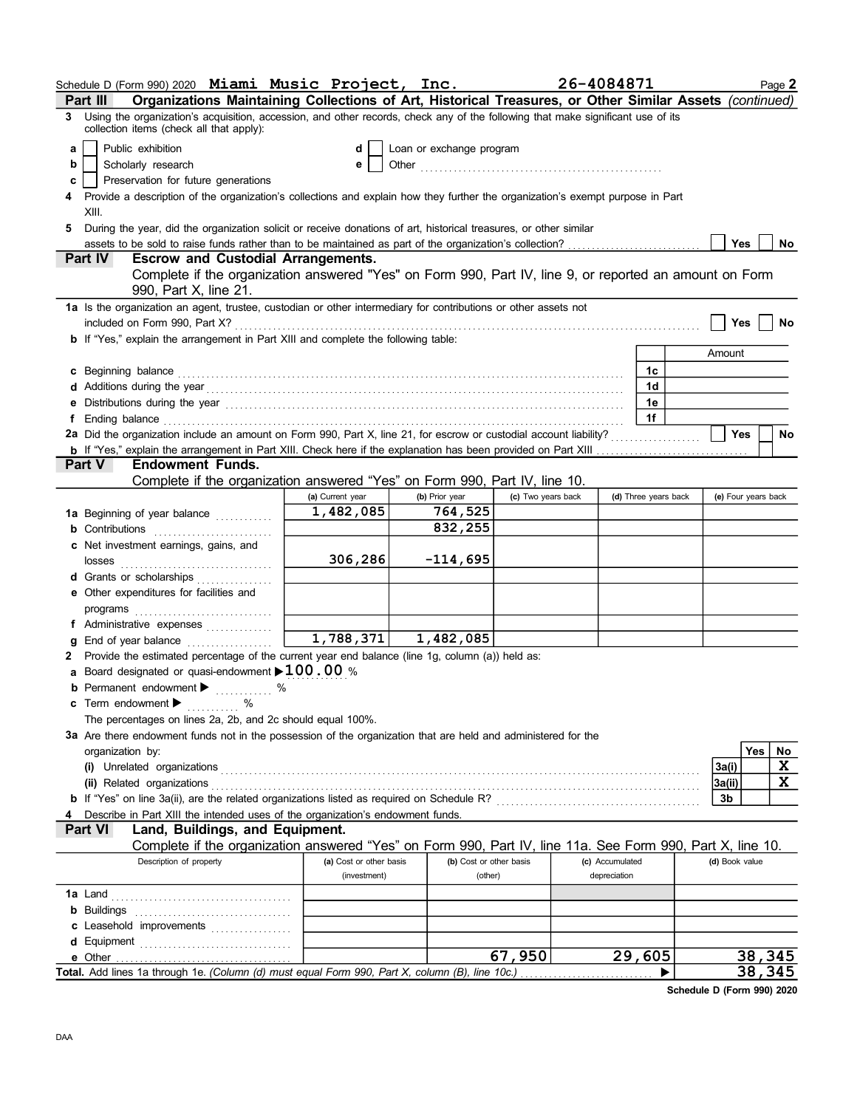| Schedule D (Form 990) 2020 Miami Music Project, Inc.<br>Part III<br>Organizations Maintaining Collections of Art, Historical Treasures, or Other Similar Assets (continued)                                                                 |                                         |                                      | 26-4084871                      | Page 2                        |
|---------------------------------------------------------------------------------------------------------------------------------------------------------------------------------------------------------------------------------------------|-----------------------------------------|--------------------------------------|---------------------------------|-------------------------------|
| 3 Using the organization's acquisition, accession, and other records, check any of the following that make significant use of its<br>collection items (check all that apply):                                                               |                                         |                                      |                                 |                               |
| Public exhibition<br>а<br>Scholarly research<br>b                                                                                                                                                                                           |                                         | Loan or exchange program             |                                 |                               |
| Preservation for future generations<br>C                                                                                                                                                                                                    |                                         |                                      |                                 |                               |
| 4 Provide a description of the organization's collections and explain how they further the organization's exempt purpose in Part<br>XIII.                                                                                                   |                                         |                                      |                                 |                               |
| 5 During the year, did the organization solicit or receive donations of art, historical treasures, or other similar                                                                                                                         |                                         |                                      |                                 | Yes $\vert$ No                |
| assets to be sold to raise funds rather than to be maintained as part of the organization's collection?<br>Part IV<br><b>Escrow and Custodial Arrangements.</b>                                                                             |                                         |                                      |                                 |                               |
| Complete if the organization answered "Yes" on Form 990, Part IV, line 9, or reported an amount on Form<br>990, Part X, line 21.                                                                                                            |                                         |                                      |                                 |                               |
| 1a Is the organization an agent, trustee, custodian or other intermediary for contributions or other assets not<br>included on Form 990, Part X?                                                                                            |                                         |                                      |                                 | Yes     No                    |
| b If "Yes," explain the arrangement in Part XIII and complete the following table:                                                                                                                                                          |                                         |                                      |                                 |                               |
| <b>c</b> Beginning balance                                                                                                                                                                                                                  |                                         |                                      | 1c                              | Amount                        |
|                                                                                                                                                                                                                                             |                                         |                                      | 1 <sub>d</sub><br>1e            |                               |
|                                                                                                                                                                                                                                             |                                         |                                      | 1f                              |                               |
| 2a Did the organization include an amount on Form 990, Part X, line 21, for escrow or custodial account liability?<br><b>b</b> If "Yes," explain the arrangement in Part XIII. Check here if the explanation has been provided on Part XIII |                                         |                                      |                                 | <b>Yes</b><br>No              |
|                                                                                                                                                                                                                                             |                                         |                                      |                                 |                               |
| <b>Part V</b><br><b>Endowment Funds.</b>                                                                                                                                                                                                    |                                         |                                      |                                 |                               |
| Complete if the organization answered "Yes" on Form 990, Part IV, line 10.                                                                                                                                                                  | (a) Current year                        | (b) Prior year<br>(c) Two years back | (d) Three years back            | (e) Four years back           |
| 1a Beginning of year balance                                                                                                                                                                                                                | 1,482,085                               | 764,525                              |                                 |                               |
| <b>b</b> Contributions<br>c Net investment earnings, gains, and                                                                                                                                                                             |                                         | 832,255                              |                                 |                               |
| losses                                                                                                                                                                                                                                      | 306,286                                 | $-114,695$                           |                                 |                               |
| d Grants or scholarships<br>e Other expenditures for facilities and                                                                                                                                                                         |                                         |                                      |                                 |                               |
| f Administrative expenses                                                                                                                                                                                                                   |                                         |                                      |                                 |                               |
| g End of year balance                                                                                                                                                                                                                       | 1,788,371                               | 1,482,085                            |                                 |                               |
| 2 Provide the estimated percentage of the current year end balance (line 1g, column (a)) held as:<br>a Board designated or quasi-endowment $\blacktriangleright$ 100 .00 %                                                                  |                                         |                                      |                                 |                               |
| <b>b</b> Permanent endowment <b>&gt;</b> %<br><b>c</b> Term endowment $\blacktriangleright$<br>.                                                                                                                                            |                                         |                                      |                                 |                               |
| The percentages on lines 2a, 2b, and 2c should equal 100%.                                                                                                                                                                                  |                                         |                                      |                                 |                               |
| 3a Are there endowment funds not in the possession of the organization that are held and administered for the<br>organization by:                                                                                                           |                                         |                                      |                                 | Yes $ $<br>No                 |
|                                                                                                                                                                                                                                             |                                         |                                      |                                 | $\mathbf x$<br>3a(i)          |
| (ii) Related organizations                                                                                                                                                                                                                  |                                         |                                      |                                 | X<br>3a(ii)<br>3 <sub>b</sub> |
| 4 Describe in Part XIII the intended uses of the organization's endowment funds.<br>Land, Buildings, and Equipment.<br><b>Part VI</b>                                                                                                       |                                         |                                      |                                 |                               |
| Complete if the organization answered "Yes" on Form 990, Part IV, line 11a. See Form 990, Part X, line 10.                                                                                                                                  |                                         |                                      |                                 |                               |
| Description of property                                                                                                                                                                                                                     | (a) Cost or other basis<br>(investment) | (b) Cost or other basis<br>(other)   | (c) Accumulated<br>depreciation | (d) Book value                |
| 1a Land                                                                                                                                                                                                                                     |                                         |                                      |                                 |                               |
| c Leasehold improvements                                                                                                                                                                                                                    |                                         |                                      |                                 |                               |
|                                                                                                                                                                                                                                             |                                         |                                      |                                 |                               |
| e Other<br>Total. Add lines 1a through 1e. (Column (d) must equal Form 990, Part X, column (B), line 10c.)                                                                                                                                  |                                         | 67,950                               | 29,605                          | 38,345<br>38,345              |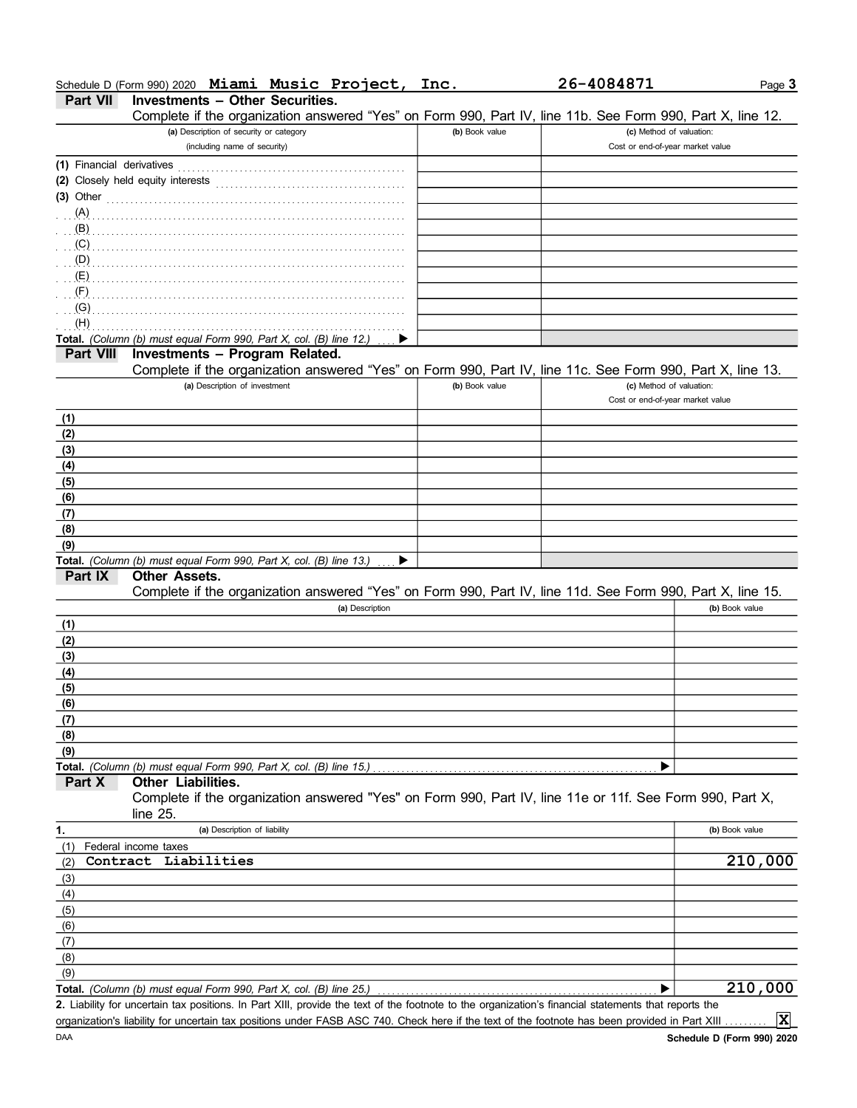|  |  | Schedule D (Form 990) 2020 Miami Music Project, Inc. |  |
|--|--|------------------------------------------------------|--|
|  |  |                                                      |  |

|                                                                                                                                                       |                | 26-4084871                       |        |
|-------------------------------------------------------------------------------------------------------------------------------------------------------|----------------|----------------------------------|--------|
| <b>Investments - Other Securities.</b><br><b>Part VII</b>                                                                                             |                |                                  |        |
| Complete if the organization answered "Yes" on Form 990, Part IV, line 11b. See Form 990, Part X, line 12.<br>(a) Description of security or category | (b) Book value | (c) Method of valuation:         |        |
| (including name of security)                                                                                                                          |                | Cost or end-of-year market value |        |
|                                                                                                                                                       |                |                                  |        |
|                                                                                                                                                       |                |                                  |        |
|                                                                                                                                                       |                |                                  |        |
| (A)                                                                                                                                                   |                |                                  |        |
| $\mathbf{B}$ .                                                                                                                                        |                |                                  |        |
| (C)                                                                                                                                                   |                |                                  |        |
| Schedule D (Form 990) 2020 Miami Music Project, Inc.<br>(1) Financial derivatives<br>$(3)$ Other<br>$\cdot$ (D)                                       |                |                                  |        |
| $\overline{E}$ .                                                                                                                                      |                |                                  |        |
| $\cdot$ $(F)$                                                                                                                                         |                |                                  |        |
| (G)<br>(H)                                                                                                                                            |                |                                  | Page 3 |

## Part VIII Investments - Program Related.

## Complete if the organization answered "Yes" on Form 990, Part IV, line 11c. See Form 990, Part X, line 13.

|     | (a) Description of investment                                               | (b) Book value | (c) Method of valuation:         |  |
|-----|-----------------------------------------------------------------------------|----------------|----------------------------------|--|
|     |                                                                             |                | Cost or end-of-year market value |  |
| (1) |                                                                             |                |                                  |  |
| (2) |                                                                             |                |                                  |  |
| (3) |                                                                             |                |                                  |  |
| (4) |                                                                             |                |                                  |  |
| (5) |                                                                             |                |                                  |  |
| (6) |                                                                             |                |                                  |  |
| (7) |                                                                             |                |                                  |  |
| (8) |                                                                             |                |                                  |  |
| (9) |                                                                             |                |                                  |  |
|     | Total. (Column (b) must equal Form 990, Part X, col. (B) line 13.) $\ldots$ |                |                                  |  |

### **Part IX Other Assets.**

| Part IX | Other Assets.                                                                                              |                |
|---------|------------------------------------------------------------------------------------------------------------|----------------|
|         | Complete if the organization answered "Yes" on Form 990, Part IV, line 11d. See Form 990, Part X, line 15. |                |
|         | (a) Description                                                                                            | (b) Book value |
| (1)     |                                                                                                            |                |
| (2)     |                                                                                                            |                |
| (3)     |                                                                                                            |                |
| (4)     |                                                                                                            |                |
| (5)     |                                                                                                            |                |
| (6)     |                                                                                                            |                |
| (7)     |                                                                                                            |                |
| (8)     |                                                                                                            |                |
| (9)     |                                                                                                            |                |
|         |                                                                                                            |                |

# Part X Other Liabilities.

Complete if the organization answered "Yes" on Form 990, Part IV, line 11e or 11f. See Form 990, Part X, line 25.

|     | (a) Description of liability | (b) Book value |  |
|-----|------------------------------|----------------|--|
|     | (1) Federal income taxes     |                |  |
|     | (2) Contract Liabilities     | 210,000        |  |
| (3) |                              |                |  |
| (4) |                              |                |  |
| (5) |                              |                |  |
| (6) |                              |                |  |
| (7) |                              |                |  |
| (8) |                              |                |  |
| (9) |                              |                |  |
|     |                              | 210,000        |  |

DAA Liability for uncertain tax positions. In Part XIII, provide the text of the footnote to the organization's financial statements that reports the 2. organization's liability for uncertain tax positions under FASB ASC 740. Check here if the text of the footnote has been provided in Part XIII

X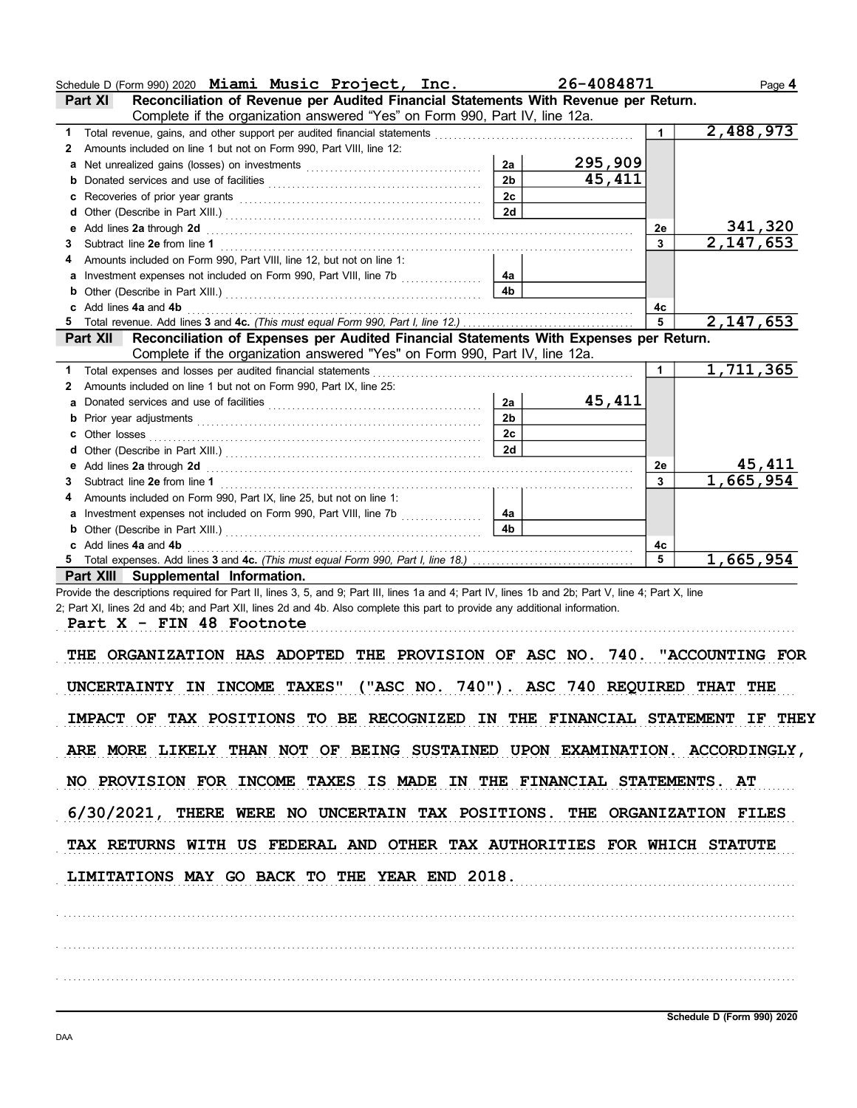| Part XI |                                                                                                                                                                                           |                |            |                    |                      |
|---------|-------------------------------------------------------------------------------------------------------------------------------------------------------------------------------------------|----------------|------------|--------------------|----------------------|
|         |                                                                                                                                                                                           |                |            |                    |                      |
|         |                                                                                                                                                                                           |                |            |                    |                      |
|         |                                                                                                                                                                                           |                |            |                    |                      |
|         | Schedule D (Form 990) 2020 Miami Music Project, Inc.                                                                                                                                      |                | 26-4084871 |                    | Page 4               |
|         | Reconciliation of Revenue per Audited Financial Statements With Revenue per Return.<br>Complete if the organization answered "Yes" on Form 990, Part IV, line 12a.                        |                |            |                    |                      |
|         |                                                                                                                                                                                           |                |            |                    | 2,488,973            |
| 2       | Amounts included on line 1 but not on Form 990, Part VIII, line 12:                                                                                                                       | 2a             | 295,909    |                    |                      |
|         |                                                                                                                                                                                           | 2 <sub>b</sub> | 45,411     |                    |                      |
|         |                                                                                                                                                                                           | 2c             |            |                    |                      |
|         |                                                                                                                                                                                           | 2d             |            |                    |                      |
|         |                                                                                                                                                                                           |                |            | 2e<br>$\mathbf{3}$ | 341,320<br>2,147,653 |
|         | Amounts included on Form 990, Part VIII, line 12, but not on line 1:                                                                                                                      |                |            |                    |                      |
|         |                                                                                                                                                                                           |                |            |                    |                      |
|         |                                                                                                                                                                                           | 4 <sub>b</sub> |            |                    |                      |
|         | c Add lines 4a and 4b                                                                                                                                                                     |                |            | 4c                 |                      |
|         | Part XII Reconciliation of Expenses per Audited Financial Statements With Expenses per Return.                                                                                            |                |            | 5                  | 2,147,653            |
|         | Complete if the organization answered "Yes" on Form 990, Part IV, line 12a.                                                                                                               |                |            |                    |                      |
|         |                                                                                                                                                                                           |                |            | $\mathbf 1$        | 1,711,365            |
|         | 2 Amounts included on line 1 but not on Form 990, Part IX, line 25:                                                                                                                       | 2a             | 45,411     |                    |                      |
|         |                                                                                                                                                                                           | 2 <sub>b</sub> |            |                    |                      |
|         | <b>c</b> Other losses                                                                                                                                                                     | 2c             |            |                    |                      |
|         |                                                                                                                                                                                           | 2d             |            |                    |                      |
|         |                                                                                                                                                                                           |                |            | 2е                 | 45,411               |
|         | 3 Subtract line 2e from line 1                                                                                                                                                            |                |            | $\mathbf{3}$       | 1,665,954            |
|         | 4 Amounts included on Form 990, Part IX, line 25, but not on line 1:                                                                                                                      | 4a             |            |                    |                      |
|         |                                                                                                                                                                                           | 4 <sub>b</sub> |            |                    |                      |
|         | c Add lines 4a and 4b                                                                                                                                                                     |                |            | 4c                 |                      |
|         |                                                                                                                                                                                           |                |            | $\overline{5}$     | 1,665,954            |
|         | Part XIII Supplemental Information.<br>Provide the descriptions required for Part II, lines 3, 5, and 9; Part III, lines 1a and 4; Part IV, lines 1b and 2b; Part V, line 4; Part X, line |                |            |                    |                      |
|         | 2; Part XI, lines 2d and 4b; and Part XII, lines 2d and 4b. Also complete this part to provide any additional information.<br>Part X - FIN 48 Footnote                                    |                |            |                    |                      |
|         | THE ORGANIZATION HAS ADOPTED THE PROVISION OF ASC NO. 740. "ACCOUNTING FOR                                                                                                                |                |            |                    |                      |
|         |                                                                                                                                                                                           |                |            |                    |                      |
|         | UNCERTAINTY IN INCOME TAXES" ("ASC NO. 740"). ASC 740 REQUIRED THAT THE                                                                                                                   |                |            |                    |                      |
|         | IMPACT OF TAX POSITIONS TO BE RECOGNIZED IN THE FINANCIAL STATEMENT IF THEY                                                                                                               |                |            |                    |                      |
|         | ARE MORE LIKELY THAN NOT OF BEING SUSTAINED UPON EXAMINATION. ACCORDINGLY,                                                                                                                |                |            |                    |                      |
|         | NO PROVISION FOR INCOME TAXES IS MADE IN THE FINANCIAL STATEMENTS. AT                                                                                                                     |                |            |                    |                      |
|         | 6/30/2021, THERE WERE NO UNCERTAIN TAX POSITIONS. THE ORGANIZATION FILES                                                                                                                  |                |            |                    |                      |
|         |                                                                                                                                                                                           |                |            |                    |                      |
|         |                                                                                                                                                                                           |                |            |                    |                      |
|         | TAX RETURNS WITH US FEDERAL AND OTHER TAX AUTHORITIES FOR WHICH STATUTE<br>LIMITATIONS MAY GO BACK TO THE YEAR END 2018.                                                                  |                |            |                    |                      |

. . . . . . . . . . . . . . . . . . . . . . . . . . . . . . . . . . . . . . . . . . . . . . . . . . . . . . . . . . . . . . . . . . . . . . . . . . . . . . . . . . . . . . . . . . . . . . . . . . . . . . . . . . . . . . . . . . . . . . . . . . . . . . . . . . . . . . . . . . . . . . . . . . . . . . . . . . .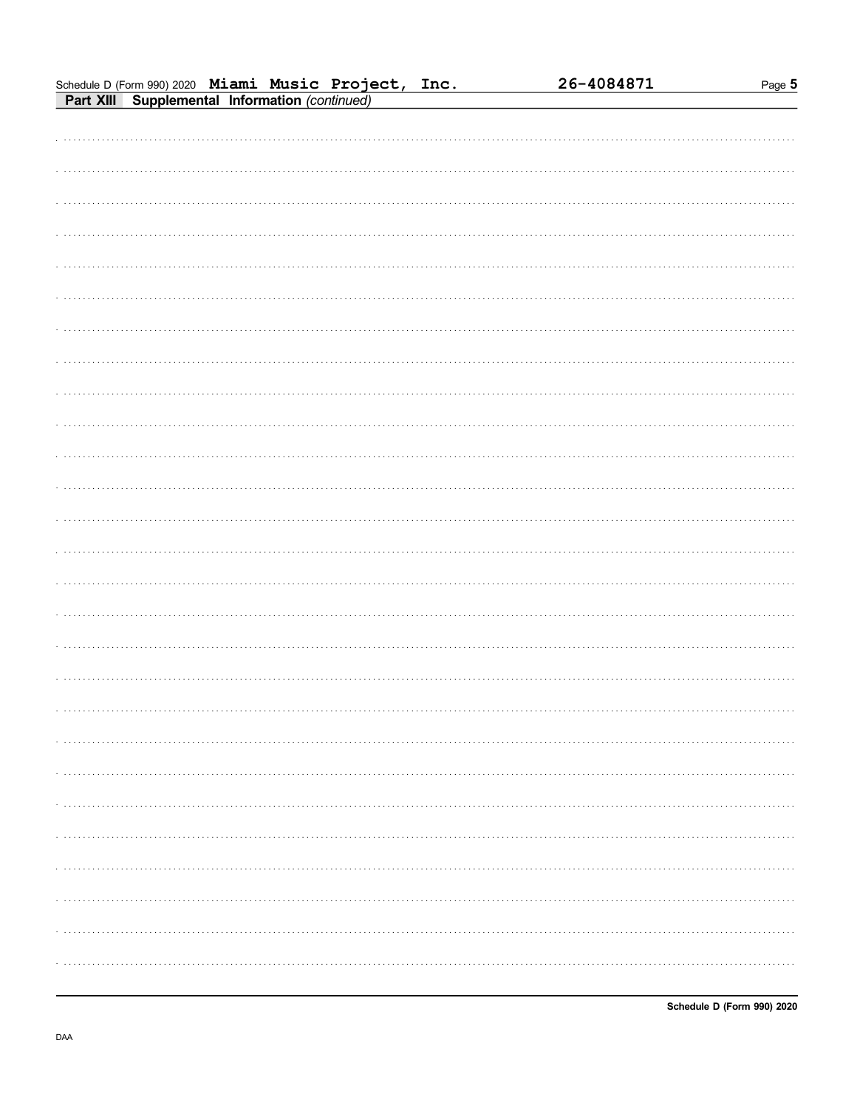| Schedule D (Form 990) 2020 Miami Music Project, Inc.<br>Part XIII Supplemental Information (continued) |  | 26-4084871 | Page 5 |
|--------------------------------------------------------------------------------------------------------|--|------------|--------|
|                                                                                                        |  |            |        |
|                                                                                                        |  |            |        |
|                                                                                                        |  |            |        |
|                                                                                                        |  |            |        |
|                                                                                                        |  |            |        |
|                                                                                                        |  |            |        |
|                                                                                                        |  |            |        |
|                                                                                                        |  |            |        |
|                                                                                                        |  |            |        |
|                                                                                                        |  |            |        |
|                                                                                                        |  |            |        |
|                                                                                                        |  |            |        |
|                                                                                                        |  |            |        |
|                                                                                                        |  |            |        |
|                                                                                                        |  |            |        |
|                                                                                                        |  |            |        |
|                                                                                                        |  |            |        |
|                                                                                                        |  |            |        |
|                                                                                                        |  |            |        |
|                                                                                                        |  |            |        |
|                                                                                                        |  |            |        |
|                                                                                                        |  |            |        |
|                                                                                                        |  |            |        |
|                                                                                                        |  |            |        |
|                                                                                                        |  |            |        |
|                                                                                                        |  |            |        |
|                                                                                                        |  |            |        |
|                                                                                                        |  |            |        |
|                                                                                                        |  |            |        |
|                                                                                                        |  |            |        |
|                                                                                                        |  |            |        |
|                                                                                                        |  |            |        |
|                                                                                                        |  |            |        |
|                                                                                                        |  |            |        |
|                                                                                                        |  |            |        |
|                                                                                                        |  |            | .      |
|                                                                                                        |  |            |        |
|                                                                                                        |  |            |        |
|                                                                                                        |  |            |        |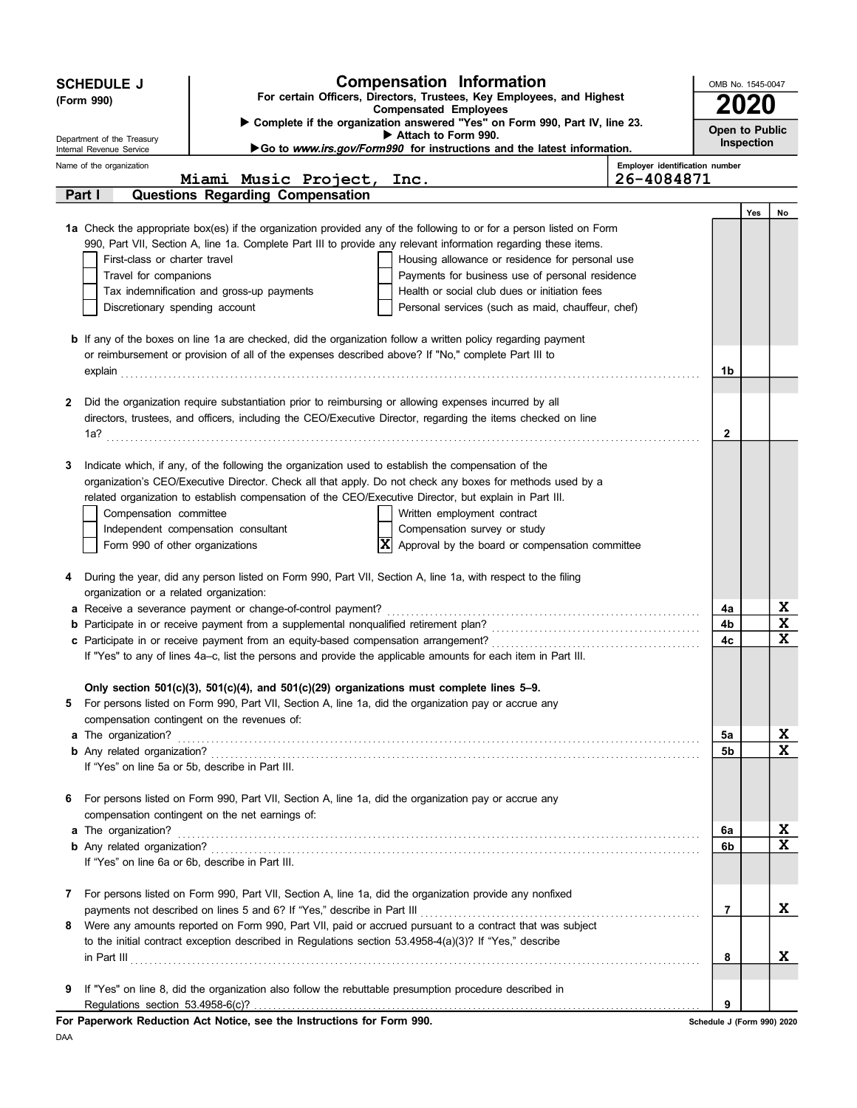| <b>SCHEDULE J</b>                                                                        |                                                                                                                                                                                                                                                                                                                                                                                                      | <b>Compensation Information</b>                                                                                                                                                                                                                                                                                                                                                                                                                     |                                | OMB No. 1545-0047            |                  |
|------------------------------------------------------------------------------------------|------------------------------------------------------------------------------------------------------------------------------------------------------------------------------------------------------------------------------------------------------------------------------------------------------------------------------------------------------------------------------------------------------|-----------------------------------------------------------------------------------------------------------------------------------------------------------------------------------------------------------------------------------------------------------------------------------------------------------------------------------------------------------------------------------------------------------------------------------------------------|--------------------------------|------------------------------|------------------|
| (Form 990)                                                                               |                                                                                                                                                                                                                                                                                                                                                                                                      | For certain Officers, Directors, Trustees, Key Employees, and Highest<br><b>Compensated Employees</b>                                                                                                                                                                                                                                                                                                                                               |                                | 2020                         |                  |
| Department of the Treasury<br>Internal Revenue Service                                   |                                                                                                                                                                                                                                                                                                                                                                                                      | Complete if the organization answered "Yes" on Form 990, Part IV, line 23.<br>Attach to Form 990.<br>Go to www.irs.gov/Form990 for instructions and the latest information.                                                                                                                                                                                                                                                                         |                                | Open to Public<br>Inspection |                  |
| Name of the organization                                                                 |                                                                                                                                                                                                                                                                                                                                                                                                      |                                                                                                                                                                                                                                                                                                                                                                                                                                                     | Employer identification number |                              |                  |
| Part I                                                                                   | Miami Music Project, Inc.<br><b>Questions Regarding Compensation</b>                                                                                                                                                                                                                                                                                                                                 |                                                                                                                                                                                                                                                                                                                                                                                                                                                     | 26-4084871                     |                              |                  |
|                                                                                          |                                                                                                                                                                                                                                                                                                                                                                                                      |                                                                                                                                                                                                                                                                                                                                                                                                                                                     |                                | Yes                          | No               |
| First-class or charter travel<br>Travel for companions<br>Discretionary spending account | Tax indemnification and gross-up payments<br><b>b</b> If any of the boxes on line 1a are checked, did the organization follow a written policy regarding payment                                                                                                                                                                                                                                     | 1a Check the appropriate box(es) if the organization provided any of the following to or for a person listed on Form<br>990, Part VII, Section A, line 1a. Complete Part III to provide any relevant information regarding these items.<br>Housing allowance or residence for personal use<br>Payments for business use of personal residence<br>Health or social club dues or initiation fees<br>Personal services (such as maid, chauffeur, chef) |                                |                              |                  |
| explain                                                                                  | or reimbursement or provision of all of the expenses described above? If "No," complete Part III to                                                                                                                                                                                                                                                                                                  |                                                                                                                                                                                                                                                                                                                                                                                                                                                     |                                | 1b                           |                  |
| 1a?<br>Compensation committee                                                            | 2 Did the organization require substantiation prior to reimbursing or allowing expenses incurred by all<br>3 Indicate which, if any, of the following the organization used to establish the compensation of the<br>related organization to establish compensation of the CEO/Executive Director, but explain in Part III.<br>Independent compensation consultant<br>Form 990 of other organizations | directors, trustees, and officers, including the CEO/Executive Director, regarding the items checked on line<br>organization's CEO/Executive Director. Check all that apply. Do not check any boxes for methods used by a<br>Written employment contract<br>Compensation survey or study<br>$\boxed{\mathbf{X}}$ Approval by the board or compensation committee                                                                                    |                                | $\mathbf{2}$                 |                  |
| organization or a related organization:                                                  | 4 During the year, did any person listed on Form 990, Part VII, Section A, line 1a, with respect to the filing                                                                                                                                                                                                                                                                                       |                                                                                                                                                                                                                                                                                                                                                                                                                                                     |                                |                              |                  |
|                                                                                          | a Receive a severance payment or change-of-control payment?                                                                                                                                                                                                                                                                                                                                          |                                                                                                                                                                                                                                                                                                                                                                                                                                                     |                                | 4a                           | X                |
|                                                                                          |                                                                                                                                                                                                                                                                                                                                                                                                      |                                                                                                                                                                                                                                                                                                                                                                                                                                                     |                                | 4b                           | X                |
|                                                                                          | If "Yes" to any of lines 4a-c, list the persons and provide the applicable amounts for each item in Part III.                                                                                                                                                                                                                                                                                        |                                                                                                                                                                                                                                                                                                                                                                                                                                                     |                                | 4c                           | X                |
|                                                                                          | Only section $501(c)(3)$ , $501(c)(4)$ , and $501(c)(29)$ organizations must complete lines 5-9.<br>5 For persons listed on Form 990, Part VII, Section A, line 1a, did the organization pay or accrue any                                                                                                                                                                                           |                                                                                                                                                                                                                                                                                                                                                                                                                                                     |                                |                              |                  |
|                                                                                          | compensation contingent on the revenues of:                                                                                                                                                                                                                                                                                                                                                          |                                                                                                                                                                                                                                                                                                                                                                                                                                                     |                                |                              |                  |
| a The organization?                                                                      |                                                                                                                                                                                                                                                                                                                                                                                                      |                                                                                                                                                                                                                                                                                                                                                                                                                                                     |                                | 5а<br><b>5b</b>              | X<br>$\mathbf x$ |
|                                                                                          | If "Yes" on line 5a or 5b, describe in Part III.                                                                                                                                                                                                                                                                                                                                                     |                                                                                                                                                                                                                                                                                                                                                                                                                                                     |                                |                              |                  |
|                                                                                          | 6 For persons listed on Form 990, Part VII, Section A, line 1a, did the organization pay or accrue any<br>compensation contingent on the net earnings of:                                                                                                                                                                                                                                            |                                                                                                                                                                                                                                                                                                                                                                                                                                                     |                                |                              |                  |
|                                                                                          |                                                                                                                                                                                                                                                                                                                                                                                                      | a The organization? <b>With an activity of the contract of the contract of the contract of the contract of the contract of the contract of the contract of the contract of the contract of the contract of the contract of the c</b>                                                                                                                                                                                                                |                                | 6а                           | $\mathbf x$      |
|                                                                                          | If "Yes" on line 6a or 6b, describe in Part III.                                                                                                                                                                                                                                                                                                                                                     |                                                                                                                                                                                                                                                                                                                                                                                                                                                     |                                | 6b                           | X                |
|                                                                                          | 7 For persons listed on Form 990, Part VII, Section A, line 1a, did the organization provide any nonfixed                                                                                                                                                                                                                                                                                            |                                                                                                                                                                                                                                                                                                                                                                                                                                                     |                                | $\overline{7}$               | X                |
|                                                                                          | to the initial contract exception described in Regulations section 53.4958-4(a)(3)? If "Yes," describe                                                                                                                                                                                                                                                                                               | 8 Were any amounts reported on Form 990, Part VII, paid or accrued pursuant to a contract that was subject<br>$\ $ n Part III $\ $                                                                                                                                                                                                                                                                                                                  |                                | 8                            | x                |
| Regulations section 53.4958-6(c)?                                                        | 9 If "Yes" on line 8, did the organization also follow the rebuttable presumption procedure described in                                                                                                                                                                                                                                                                                             |                                                                                                                                                                                                                                                                                                                                                                                                                                                     |                                | 9                            |                  |
|                                                                                          | For Paperwork Reduction Act Notice, see the Instructions for Form 990.                                                                                                                                                                                                                                                                                                                               |                                                                                                                                                                                                                                                                                                                                                                                                                                                     |                                | Schedule J (Form 990) 2020   |                  |

DAA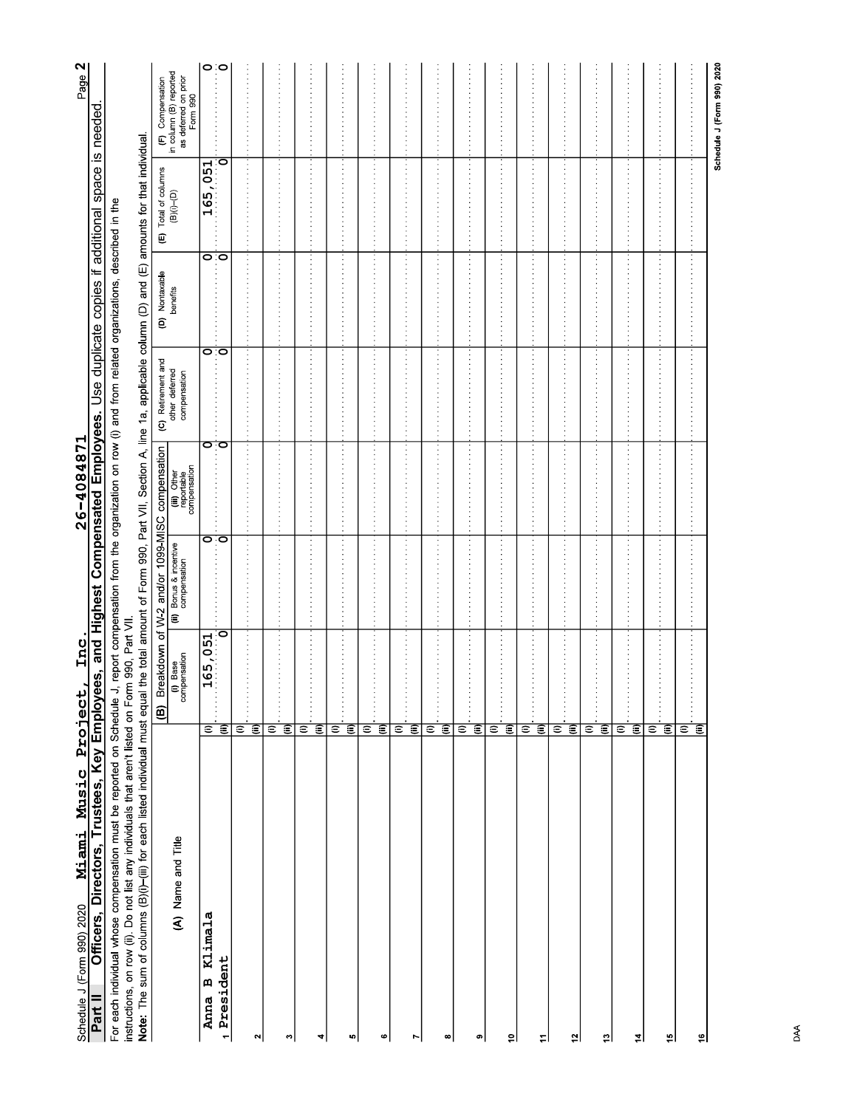| Miami Music Project,<br>Schedule J (Form 990) 2020                                                                                                                                                                                                                                  | Inc                                                                                         |                                                | 26-4084871                                                          |                                |                                                                                                                                                                                                                                                                                                                                                              |                                                                                                                                                                                                                                                                                                                                                                                                                                                                                                                                                                                                                                                     | Page 2                                                                                                                                                                                                                                                                                                                                                                                              |
|-------------------------------------------------------------------------------------------------------------------------------------------------------------------------------------------------------------------------------------------------------------------------------------|---------------------------------------------------------------------------------------------|------------------------------------------------|---------------------------------------------------------------------|--------------------------------|--------------------------------------------------------------------------------------------------------------------------------------------------------------------------------------------------------------------------------------------------------------------------------------------------------------------------------------------------------------|-----------------------------------------------------------------------------------------------------------------------------------------------------------------------------------------------------------------------------------------------------------------------------------------------------------------------------------------------------------------------------------------------------------------------------------------------------------------------------------------------------------------------------------------------------------------------------------------------------------------------------------------------------|-----------------------------------------------------------------------------------------------------------------------------------------------------------------------------------------------------------------------------------------------------------------------------------------------------------------------------------------------------------------------------------------------------|
| Officers, Directors, Trustees, Key Employees, and Highest Compensated Employees. Use du<br>Part II                                                                                                                                                                                  |                                                                                             |                                                |                                                                     |                                |                                                                                                                                                                                                                                                                                                                                                              | plicate copies if additional space is needed                                                                                                                                                                                                                                                                                                                                                                                                                                                                                                                                                                                                        |                                                                                                                                                                                                                                                                                                                                                                                                     |
| individual whose compensation must be reported on Schedule J, report compensation from the organization on row (i) and from related organizations, described in the<br>instructions, on row (ii). Do not list any individuals that aren't listed on Form 990, Part VII.<br>For each |                                                                                             |                                                |                                                                     |                                |                                                                                                                                                                                                                                                                                                                                                              |                                                                                                                                                                                                                                                                                                                                                                                                                                                                                                                                                                                                                                                     |                                                                                                                                                                                                                                                                                                                                                                                                     |
| Note: The sum of columns (B)(i)–(iii) for each listed individual must equal the total amount of Form 990, Part VII, Section A, line 1a, applicabl                                                                                                                                   |                                                                                             |                                                |                                                                     |                                |                                                                                                                                                                                                                                                                                                                                                              | e column (D) and (E) amounts for that individual.                                                                                                                                                                                                                                                                                                                                                                                                                                                                                                                                                                                                   |                                                                                                                                                                                                                                                                                                                                                                                                     |
|                                                                                                                                                                                                                                                                                     | ©                                                                                           | Breakdown of W-2 and/or 1099-MISC compensation |                                                                     | (C) Retirement and             | (D) Nontaxable                                                                                                                                                                                                                                                                                                                                               | (E) Total of columns                                                                                                                                                                                                                                                                                                                                                                                                                                                                                                                                                                                                                                | (F) Compensation                                                                                                                                                                                                                                                                                                                                                                                    |
| (A) Name and Title                                                                                                                                                                                                                                                                  | (i) Base<br>compensation                                                                    | Bonus & incentive<br>compensation<br>$\equiv$  | (iii) Other<br>reportable<br>compensation                           | other deferred<br>compensation | benefits                                                                                                                                                                                                                                                                                                                                                     | (B)(i)                                                                                                                                                                                                                                                                                                                                                                                                                                                                                                                                                                                                                                              | in column (B) reported<br>as deferred on prior<br>Form 990                                                                                                                                                                                                                                                                                                                                          |
| Klimala<br>$\mathbf a$<br>Anna                                                                                                                                                                                                                                                      | 165,051<br>Ξ                                                                                | ं०                                             | $\overline{\circ}$ $\overline{\circ}$                               | ਾਂ                             |                                                                                                                                                                                                                                                                                                                                                              | 165,051<br>$\overline{\bullet}$                                                                                                                                                                                                                                                                                                                                                                                                                                                                                                                                                                                                                     | ၀့္၀                                                                                                                                                                                                                                                                                                                                                                                                |
| 1 President                                                                                                                                                                                                                                                                         | $\circ$<br>ε                                                                                |                                                | .                                                                   |                                | $\vdots$                                                                                                                                                                                                                                                                                                                                                     | ਠ<br>$\overline{\bullet}$                                                                                                                                                                                                                                                                                                                                                                                                                                                                                                                                                                                                                           | $\frac{1}{2}$<br>$\vdots$                                                                                                                                                                                                                                                                                                                                                                           |
| ∾∣                                                                                                                                                                                                                                                                                  | $\overline{c}$<br>Ξ                                                                         |                                                |                                                                     |                                |                                                                                                                                                                                                                                                                                                                                                              |                                                                                                                                                                                                                                                                                                                                                                                                                                                                                                                                                                                                                                                     |                                                                                                                                                                                                                                                                                                                                                                                                     |
| $\boldsymbol{\omega}$                                                                                                                                                                                                                                                               | $\widehat{\Xi}$<br>$\overline{c}$                                                           |                                                |                                                                     |                                |                                                                                                                                                                                                                                                                                                                                                              | $\begin{array}{c} \vdots \\ \vdots \\ \vdots \\ \vdots \end{array}$                                                                                                                                                                                                                                                                                                                                                                                                                                                                                                                                                                                 | $\frac{1}{2}$                                                                                                                                                                                                                                                                                                                                                                                       |
| 4                                                                                                                                                                                                                                                                                   | $\frac{1}{2}$<br>$\widehat{\Xi}$<br>$\overline{c}$                                          |                                                | $\ddot{\cdot}$                                                      |                                | $\ddot{\cdot}$                                                                                                                                                                                                                                                                                                                                               | $\begin{bmatrix} 1 & 0 & 0 & 0 \\ 0 & 0 & 0 & 0 \\ 0 & 0 & 0 & 0 \\ 0 & 0 & 0 & 0 \\ 0 & 0 & 0 & 0 \\ 0 & 0 & 0 & 0 \\ 0 & 0 & 0 & 0 & 0 \\ 0 & 0 & 0 & 0 & 0 \\ 0 & 0 & 0 & 0 & 0 \\ 0 & 0 & 0 & 0 & 0 & 0 \\ 0 & 0 & 0 & 0 & 0 & 0 \\ 0 & 0 & 0 & 0 & 0 & 0 \\ 0 & 0 & 0 & 0 & 0 & 0 \\ 0 & 0 & 0 & 0 & 0 & 0 & 0 \\ 0 & $<br>$\frac{1}{2}$ $\frac{1}{2}$ $\frac{1}{2}$ $\frac{1}{2}$ $\frac{1}{2}$ $\frac{1}{2}$ $\frac{1}{2}$ $\frac{1}{2}$ $\frac{1}{2}$ $\frac{1}{2}$ $\frac{1}{2}$ $\frac{1}{2}$ $\frac{1}{2}$ $\frac{1}{2}$ $\frac{1}{2}$ $\frac{1}{2}$ $\frac{1}{2}$ $\frac{1}{2}$ $\frac{1}{2}$ $\frac{1}{2}$ $\frac{1}{2}$ $\frac{1}{2}$ | $\frac{1}{2}$<br>:<br>:<br>:<br>:                                                                                                                                                                                                                                                                                                                                                                   |
| (ما                                                                                                                                                                                                                                                                                 | G)<br>$\overline{e}$                                                                        | $\frac{1}{2}$                                  |                                                                     | $\vdots$                       | $\begin{bmatrix} 1 & 1 & 1 & 1 \\ 1 & 1 & 1 & 1 \\ 1 & 1 & 1 & 1 \\ 1 & 1 & 1 & 1 \\ 1 & 1 & 1 & 1 \\ 1 & 1 & 1 & 1 \\ 1 & 1 & 1 & 1 \\ 1 & 1 & 1 & 1 \\ 1 & 1 & 1 & 1 \\ 1 & 1 & 1 & 1 \\ 1 & 1 & 1 & 1 & 1 \\ 1 & 1 & 1 & 1 & 1 \\ 1 & 1 & 1 & 1 & 1 \\ 1 & 1 & 1 & 1 & 1 \\ 1 & 1 & 1 & 1 & 1 \\ 1 & 1 & 1 & 1 & 1 \\ 1 & $<br>$\ddot{\cdot}$<br>$\vdots$ | $\begin{array}{c} \bullet & \bullet & \bullet \\ \bullet & \bullet & \bullet \\ \bullet & \bullet & \bullet \end{array}$<br>$\frac{1}{2}$ , $\frac{1}{2}$ , $\frac{1}{2}$ , $\frac{1}{2}$ , $\frac{1}{2}$ , $\frac{1}{2}$ , $\frac{1}{2}$ , $\frac{1}{2}$ , $\frac{1}{2}$ , $\frac{1}{2}$                                                                                                                                                                                                                                                                                                                                                           | $\vdots$<br>$\vdots$                                                                                                                                                                                                                                                                                                                                                                                |
| ဖ                                                                                                                                                                                                                                                                                   | $\overline{e}$<br>Ξ                                                                         |                                                |                                                                     |                                |                                                                                                                                                                                                                                                                                                                                                              | $\ddot{\cdot}$                                                                                                                                                                                                                                                                                                                                                                                                                                                                                                                                                                                                                                      | t                                                                                                                                                                                                                                                                                                                                                                                                   |
| N                                                                                                                                                                                                                                                                                   | ε<br>Ξ                                                                                      | .                                              | $\begin{array}{c} \vdots \\ \vdots \\ \vdots \\ \vdots \end{array}$ | İ                              | $\frac{1}{2}$ , $\frac{1}{2}$ , $\frac{1}{2}$ , $\frac{1}{2}$ , $\frac{1}{2}$ , $\frac{1}{2}$<br>$\frac{1}{2}$ , $\frac{1}{2}$ , $\frac{1}{2}$ , $\frac{1}{2}$ , $\frac{1}{2}$ , $\frac{1}{2}$ , $\frac{1}{2}$ , $\frac{1}{2}$ , $\frac{1}{2}$ , $\frac{1}{2}$                                                                                               |                                                                                                                                                                                                                                                                                                                                                                                                                                                                                                                                                                                                                                                     | $\begin{array}{c} \vdots \\ \vdots \\ \vdots \end{array}$<br>$\ddot{ }$<br>$\frac{1}{2}$ $\frac{1}{2}$ $\frac{1}{2}$ $\frac{1}{2}$ $\frac{1}{2}$ $\frac{1}{2}$ $\frac{1}{2}$ $\frac{1}{2}$ $\frac{1}{2}$ $\frac{1}{2}$ $\frac{1}{2}$ $\frac{1}{2}$ $\frac{1}{2}$ $\frac{1}{2}$ $\frac{1}{2}$ $\frac{1}{2}$ $\frac{1}{2}$ $\frac{1}{2}$ $\frac{1}{2}$ $\frac{1}{2}$ $\frac{1}{2}$ $\frac{1}{2}$<br>j |
| $\infty$                                                                                                                                                                                                                                                                            | .<br>$\widehat{\Xi}$<br>$\overline{e}$                                                      |                                                | .                                                                   | $\vdots$                       |                                                                                                                                                                                                                                                                                                                                                              | .                                                                                                                                                                                                                                                                                                                                                                                                                                                                                                                                                                                                                                                   | $\ddot{\cdot}$                                                                                                                                                                                                                                                                                                                                                                                      |
| o,                                                                                                                                                                                                                                                                                  | .<br>$\overline{e}$<br>Ξ                                                                    | --------------------                           | .                                                                   | $\vdots$<br>.                  | .                                                                                                                                                                                                                                                                                                                                                            | .                                                                                                                                                                                                                                                                                                                                                                                                                                                                                                                                                                                                                                                   | .<br>ċ                                                                                                                                                                                                                                                                                                                                                                                              |
| $\overline{a}$                                                                                                                                                                                                                                                                      | $\widehat{\Xi}$<br>$\overline{c}$                                                           |                                                |                                                                     | $\vdots$                       | $\vdots$<br>×<br>$\vdots$<br>$\ddot{\phantom{0}}$<br>$\ddot{\phantom{0}}$                                                                                                                                                                                                                                                                                    | $\frac{1}{2}$<br>$\ddot{\phantom{0}}$                                                                                                                                                                                                                                                                                                                                                                                                                                                                                                                                                                                                               | $\vdots$<br>$\frac{1}{2}$<br>$\vdots$                                                                                                                                                                                                                                                                                                                                                               |
| 늰                                                                                                                                                                                                                                                                                   | $\begin{array}{c} \vdots \\ \vdots \\ \vdots \\ \vdots \end{array}$<br>$\widehat{\Xi}$<br>Ξ |                                                |                                                                     | $\vdots$                       | $\vdots$                                                                                                                                                                                                                                                                                                                                                     |                                                                                                                                                                                                                                                                                                                                                                                                                                                                                                                                                                                                                                                     | $\begin{array}{c} \vdots \\ \vdots \\ \vdots \\ \vdots \end{array}$<br>$\frac{1}{2}$                                                                                                                                                                                                                                                                                                                |
| $\ddot{5}$                                                                                                                                                                                                                                                                          | (ii)<br>$\overline{e}$                                                                      | İ                                              |                                                                     | $\vdots$                       |                                                                                                                                                                                                                                                                                                                                                              | İ                                                                                                                                                                                                                                                                                                                                                                                                                                                                                                                                                                                                                                                   | $\vdots$                                                                                                                                                                                                                                                                                                                                                                                            |
| $\frac{1}{2}$                                                                                                                                                                                                                                                                       | $\widehat{\Xi}$<br>$\overline{c}$                                                           |                                                |                                                                     |                                |                                                                                                                                                                                                                                                                                                                                                              |                                                                                                                                                                                                                                                                                                                                                                                                                                                                                                                                                                                                                                                     |                                                                                                                                                                                                                                                                                                                                                                                                     |
| 치                                                                                                                                                                                                                                                                                   | $\overline{c}$<br>Ξ                                                                         |                                                |                                                                     |                                |                                                                                                                                                                                                                                                                                                                                                              |                                                                                                                                                                                                                                                                                                                                                                                                                                                                                                                                                                                                                                                     |                                                                                                                                                                                                                                                                                                                                                                                                     |
| $\frac{1}{2}$                                                                                                                                                                                                                                                                       | Ξ<br>Ξ                                                                                      |                                                |                                                                     |                                | $\frac{1}{2}$                                                                                                                                                                                                                                                                                                                                                |                                                                                                                                                                                                                                                                                                                                                                                                                                                                                                                                                                                                                                                     |                                                                                                                                                                                                                                                                                                                                                                                                     |
| $\ddot{ }$                                                                                                                                                                                                                                                                          | .<br>$\widehat{\Xi}$<br>$\overline{e}$                                                      | .                                              | .                                                                   |                                | .                                                                                                                                                                                                                                                                                                                                                            | .                                                                                                                                                                                                                                                                                                                                                                                                                                                                                                                                                                                                                                                   | .                                                                                                                                                                                                                                                                                                                                                                                                   |
|                                                                                                                                                                                                                                                                                     |                                                                                             |                                                |                                                                     |                                |                                                                                                                                                                                                                                                                                                                                                              |                                                                                                                                                                                                                                                                                                                                                                                                                                                                                                                                                                                                                                                     |                                                                                                                                                                                                                                                                                                                                                                                                     |

**BAA** 

Schedule J (Form 990) 2020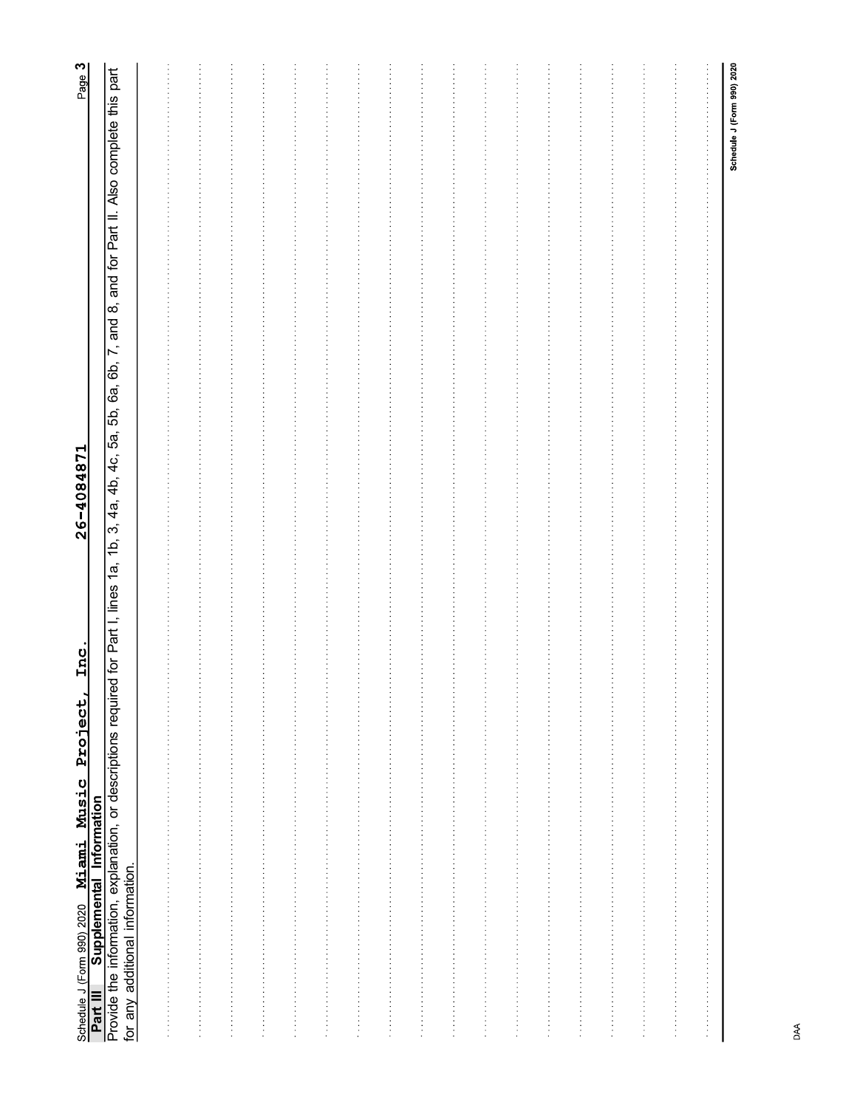| Page 3                                             | 3, 4a, 4b, 4c, 5a, 5b, 6a, 6b, 7, and 8, and for Part II. Also complete this part |  |  |  |  |  |  |  |  |  | Schedule J (Form 990) 2020 |
|----------------------------------------------------|-----------------------------------------------------------------------------------|--|--|--|--|--|--|--|--|--|----------------------------|
|                                                    |                                                                                   |  |  |  |  |  |  |  |  |  |                            |
|                                                    |                                                                                   |  |  |  |  |  |  |  |  |  |                            |
|                                                    |                                                                                   |  |  |  |  |  |  |  |  |  |                            |
|                                                    |                                                                                   |  |  |  |  |  |  |  |  |  |                            |
|                                                    |                                                                                   |  |  |  |  |  |  |  |  |  |                            |
|                                                    |                                                                                   |  |  |  |  |  |  |  |  |  |                            |
|                                                    |                                                                                   |  |  |  |  |  |  |  |  |  |                            |
|                                                    |                                                                                   |  |  |  |  |  |  |  |  |  |                            |
|                                                    |                                                                                   |  |  |  |  |  |  |  |  |  |                            |
|                                                    |                                                                                   |  |  |  |  |  |  |  |  |  |                            |
|                                                    |                                                                                   |  |  |  |  |  |  |  |  |  |                            |
|                                                    |                                                                                   |  |  |  |  |  |  |  |  |  |                            |
|                                                    |                                                                                   |  |  |  |  |  |  |  |  |  |                            |
|                                                    |                                                                                   |  |  |  |  |  |  |  |  |  |                            |
|                                                    |                                                                                   |  |  |  |  |  |  |  |  |  |                            |
|                                                    |                                                                                   |  |  |  |  |  |  |  |  |  |                            |
|                                                    |                                                                                   |  |  |  |  |  |  |  |  |  |                            |
|                                                    |                                                                                   |  |  |  |  |  |  |  |  |  |                            |
|                                                    |                                                                                   |  |  |  |  |  |  |  |  |  |                            |
|                                                    |                                                                                   |  |  |  |  |  |  |  |  |  |                            |
|                                                    |                                                                                   |  |  |  |  |  |  |  |  |  |                            |
|                                                    |                                                                                   |  |  |  |  |  |  |  |  |  |                            |
|                                                    |                                                                                   |  |  |  |  |  |  |  |  |  |                            |
|                                                    |                                                                                   |  |  |  |  |  |  |  |  |  |                            |
|                                                    |                                                                                   |  |  |  |  |  |  |  |  |  |                            |
|                                                    |                                                                                   |  |  |  |  |  |  |  |  |  |                            |
|                                                    |                                                                                   |  |  |  |  |  |  |  |  |  |                            |
|                                                    |                                                                                   |  |  |  |  |  |  |  |  |  |                            |
|                                                    |                                                                                   |  |  |  |  |  |  |  |  |  |                            |
|                                                    |                                                                                   |  |  |  |  |  |  |  |  |  |                            |
|                                                    |                                                                                   |  |  |  |  |  |  |  |  |  |                            |
| 26-4084871                                         |                                                                                   |  |  |  |  |  |  |  |  |  |                            |
|                                                    |                                                                                   |  |  |  |  |  |  |  |  |  |                            |
|                                                    |                                                                                   |  |  |  |  |  |  |  |  |  |                            |
|                                                    | ip.                                                                               |  |  |  |  |  |  |  |  |  |                            |
|                                                    |                                                                                   |  |  |  |  |  |  |  |  |  |                            |
|                                                    | for Part I, lines 1a,                                                             |  |  |  |  |  |  |  |  |  |                            |
|                                                    |                                                                                   |  |  |  |  |  |  |  |  |  |                            |
|                                                    |                                                                                   |  |  |  |  |  |  |  |  |  |                            |
|                                                    |                                                                                   |  |  |  |  |  |  |  |  |  |                            |
|                                                    |                                                                                   |  |  |  |  |  |  |  |  |  |                            |
|                                                    |                                                                                   |  |  |  |  |  |  |  |  |  |                            |
| Inc                                                |                                                                                   |  |  |  |  |  |  |  |  |  |                            |
|                                                    |                                                                                   |  |  |  |  |  |  |  |  |  |                            |
|                                                    |                                                                                   |  |  |  |  |  |  |  |  |  |                            |
|                                                    |                                                                                   |  |  |  |  |  |  |  |  |  |                            |
|                                                    |                                                                                   |  |  |  |  |  |  |  |  |  |                            |
| <b>Project</b>                                     |                                                                                   |  |  |  |  |  |  |  |  |  |                            |
|                                                    |                                                                                   |  |  |  |  |  |  |  |  |  |                            |
|                                                    |                                                                                   |  |  |  |  |  |  |  |  |  |                            |
|                                                    |                                                                                   |  |  |  |  |  |  |  |  |  |                            |
|                                                    |                                                                                   |  |  |  |  |  |  |  |  |  |                            |
|                                                    |                                                                                   |  |  |  |  |  |  |  |  |  |                            |
|                                                    |                                                                                   |  |  |  |  |  |  |  |  |  |                            |
|                                                    |                                                                                   |  |  |  |  |  |  |  |  |  |                            |
|                                                    |                                                                                   |  |  |  |  |  |  |  |  |  |                            |
|                                                    |                                                                                   |  |  |  |  |  |  |  |  |  |                            |
|                                                    |                                                                                   |  |  |  |  |  |  |  |  |  |                            |
|                                                    |                                                                                   |  |  |  |  |  |  |  |  |  |                            |
|                                                    |                                                                                   |  |  |  |  |  |  |  |  |  |                            |
|                                                    | Supplemental Information<br>additional information.                               |  |  |  |  |  |  |  |  |  |                            |
|                                                    |                                                                                   |  |  |  |  |  |  |  |  |  |                            |
|                                                    |                                                                                   |  |  |  |  |  |  |  |  |  |                            |
|                                                    |                                                                                   |  |  |  |  |  |  |  |  |  |                            |
|                                                    |                                                                                   |  |  |  |  |  |  |  |  |  |                            |
|                                                    |                                                                                   |  |  |  |  |  |  |  |  |  |                            |
|                                                    |                                                                                   |  |  |  |  |  |  |  |  |  |                            |
|                                                    |                                                                                   |  |  |  |  |  |  |  |  |  |                            |
| Schedule J (Form 990) 2020 Miami Music<br>Part III | Provide the information, explanation, or descriptions required<br>for any         |  |  |  |  |  |  |  |  |  |                            |
|                                                    |                                                                                   |  |  |  |  |  |  |  |  |  |                            |
|                                                    |                                                                                   |  |  |  |  |  |  |  |  |  |                            |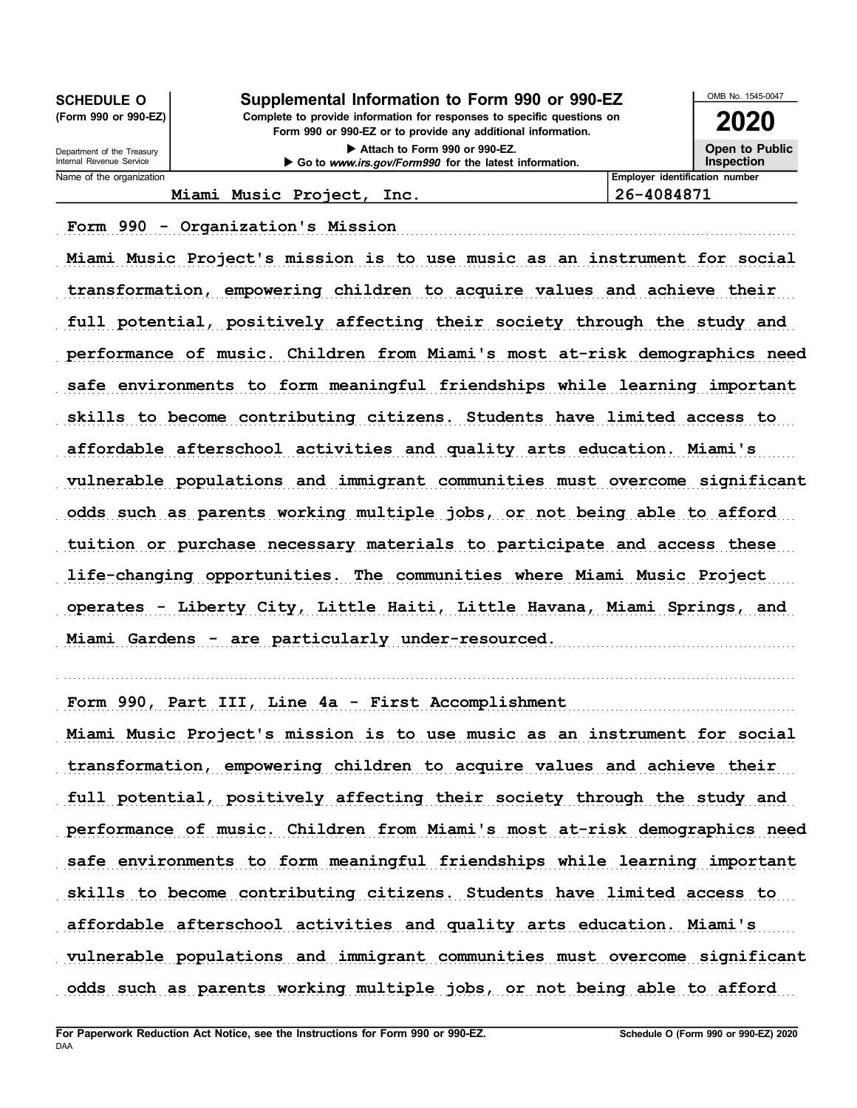Name of the organization **Employer identification number** Employer identification number

(Form 990 or 990-EZ) Complete to provide information for responses to specific questions on SCHEDULE O Supplemental Information to Form 990 or 990-EZ

Form 990 or 990-EZ or to provide any additional information. Department of the Treasury<br>
Internal Revenue Service **Department of the Intestrument of the Intest information.** Attach to Form 990 or 990-EZ.



Form 990 - Organization's Mission

Miami Music Project's mission is to use music as an instrument for social transformation, empowering children to acquire values and achieve their full potential, positively affecting their society through the study and performance of music. Children from Miami's most at-risk demographics need safe environments to form meaningful friendships while learning important skills to become contributing citizens. Students have limited access to affordable afterschool activities and quality arts education. Miami's vulnerable populations and immigrant communities must overcome significant odds such as parents working multiple jobs, or not being able to afford tuition or purchase necessary materials to participate and access these life-changing opportunities. The communities where Miami Music Project operates - Liberty City, Little Haiti, Little Havana, Miami Springs, and Miami Gardens - are particularly under-resourced. Supplemental Information to Form 990 or 990-EZ<br>
Complete to provide information to response to specific questions on<br>
Form 990 or 990-EZ or to provide any additional information.<br>
<br> **Miami Music Project, Inc.**<br>
Miami Music

Form 990, Part III, Line 4a - First Accomplishment

Miami Music Project's mission is to use music as an instrument for social transformation, empowering children to acquire values and achieve their full potential, positively affecting their society through the study and performance of music. Children from Miami's most at-risk demographics need safe environments to form meaningful friendships while learning important skills to become contributing citizens. Students have limited access to affordable afterschool activities and quality arts education. Miami's vulnerable populations and immigrant communities must overcome significant odds such as parents working multiple jobs, or not being able to afford

. . . . . . . . . . . . . . . . . . . . . . . . . . . . . . . . . . . . . . . . . . . . . . . . . . . . . . . . . . . . . . . . . . . . . . . . . . . . . . . . . . . . . . . . . . . . . . . . . . . . . . . . . . . . . . . . . . . . . . . . . . . . . . . . . . . . . . . . . . . . . . . . . . . . . . . . . . .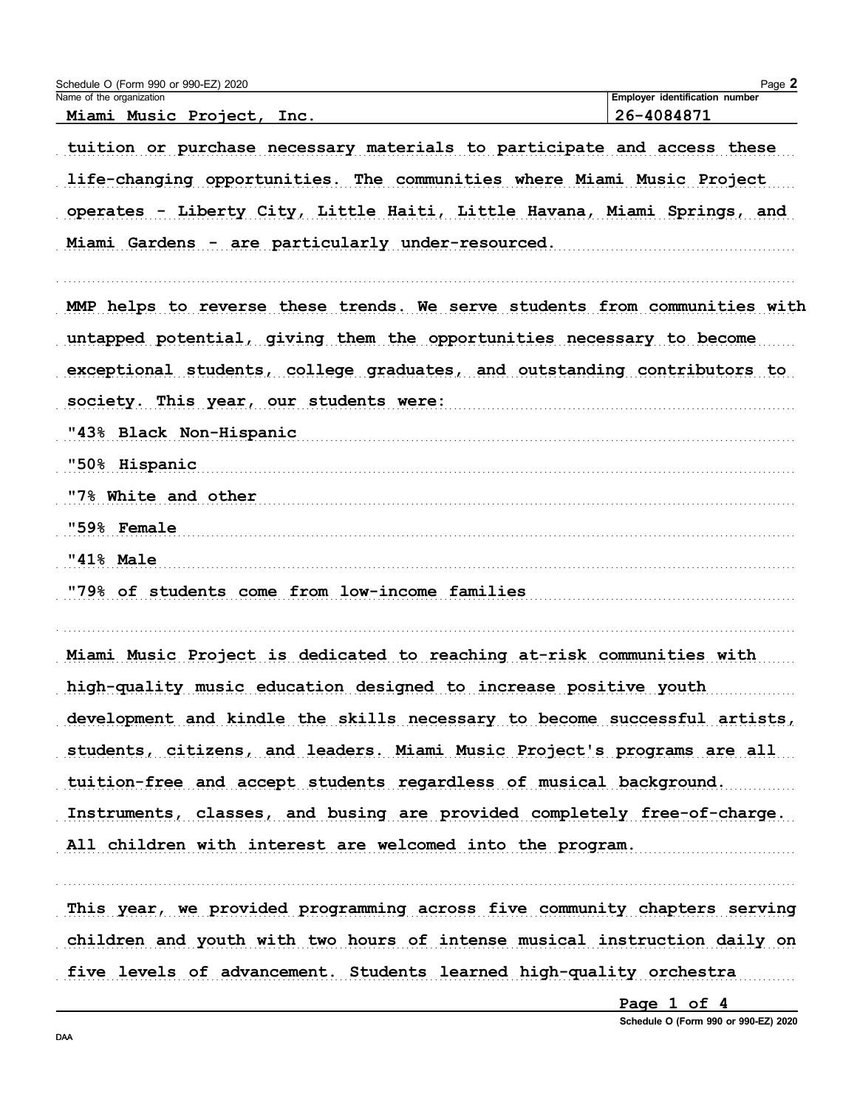| Schedule O (Form 990 or 990-EZ) 2020                                                                                                                                                                                                                                               | Page 2                                       |
|------------------------------------------------------------------------------------------------------------------------------------------------------------------------------------------------------------------------------------------------------------------------------------|----------------------------------------------|
| Name of the organization<br>Miami Music Project, Inc.                                                                                                                                                                                                                              | Employer identification number<br>26-4084871 |
| tuition or purchase necessary materials to participate and access these<br>life-changing opportunities. The communities where Miami Music Project<br>operates - Liberty City, Little Haiti, Little Havana, Miami Springs, and<br>Miami Gardens - are particularly under-resourced. |                                              |
| MMP helps to reverse these trends. We serve students from communities with<br>untapped potential, giving them the opportunities necessary to become                                                                                                                                |                                              |
| exceptional students, college graduates, and outstanding contributors to                                                                                                                                                                                                           |                                              |
| society. This year, our students were:                                                                                                                                                                                                                                             |                                              |
| "43% Black Non-Hispanic                                                                                                                                                                                                                                                            |                                              |
| "50% Hispanic                                                                                                                                                                                                                                                                      |                                              |
| "7% White and other                                                                                                                                                                                                                                                                |                                              |
| "59% Female                                                                                                                                                                                                                                                                        |                                              |
| "41% Male                                                                                                                                                                                                                                                                          |                                              |
| "79% of students come from low-income families                                                                                                                                                                                                                                     |                                              |
|                                                                                                                                                                                                                                                                                    |                                              |
| Miami Music Project is dedicated to reaching at-risk communities with                                                                                                                                                                                                              |                                              |

high-quality music education designed to increase positive youth development and kindle the skills necessary to become successful artists, students, citizens, and leaders. Miami Music Project's programs are all tuition-free and accept students regardless of musical background. Instruments, classes, and busing are provided completely free-of-charge. All children with interest are welcomed into the program.

This year, we provided programming across five community chapters serving children and youth with two hours of intense musical instruction daily on five levels of advancement. Students learned high-quality orchestra

Page 1 of 4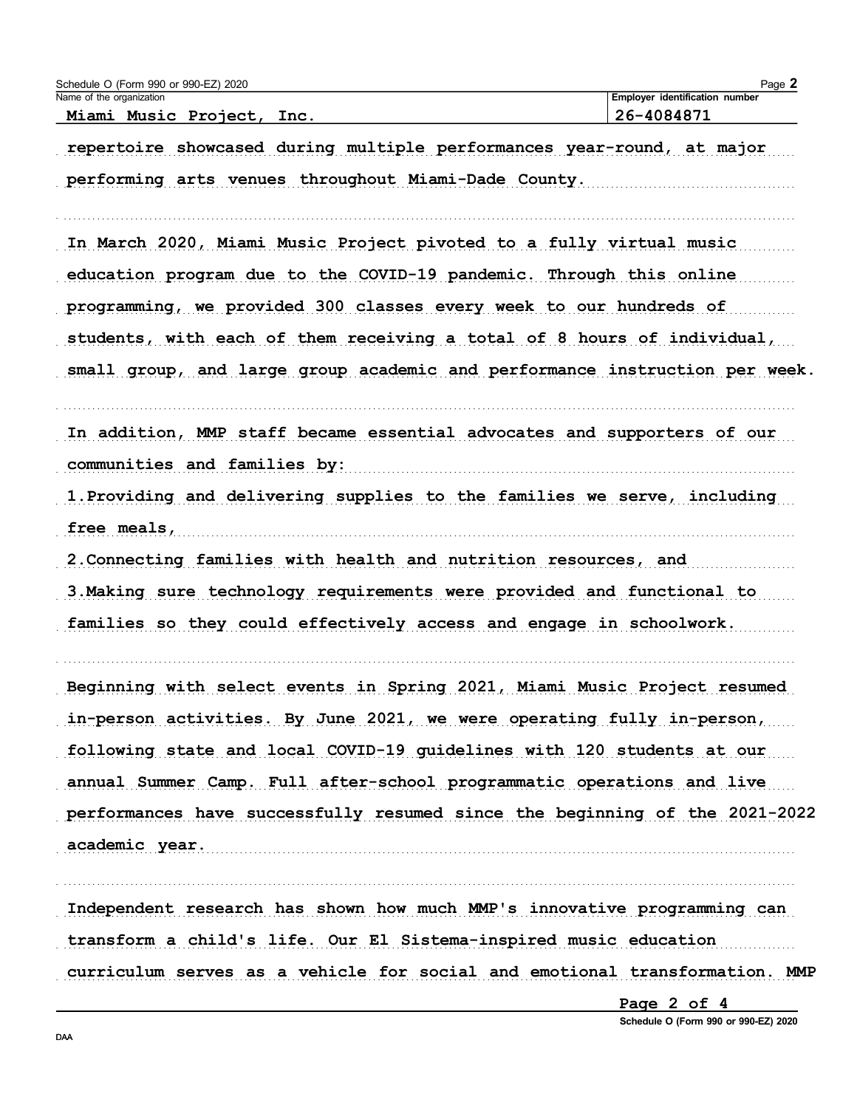| Schedule O (Form 990 or 990-EZ) 2020<br>Name of the organization                                                                                                                                                                                                                                                                                                                                                       | Page 2<br>Employer identification number |
|------------------------------------------------------------------------------------------------------------------------------------------------------------------------------------------------------------------------------------------------------------------------------------------------------------------------------------------------------------------------------------------------------------------------|------------------------------------------|
| Miami Music Project, Inc.                                                                                                                                                                                                                                                                                                                                                                                              | 26-4084871                               |
| repertoire showcased during multiple performances year-round, at major<br>performing arts venues throughout Miami-Dade County.<br>In March 2020, Miami Music Project pivoted to a fully virtual music<br>education program due to the COVID-19 pandemic. Through this online<br>programming, we provided 300 classes every week to our hundreds of                                                                     |                                          |
| students, with each of them receiving a total of 8 hours of individual,                                                                                                                                                                                                                                                                                                                                                |                                          |
| small group, and large group academic and performance instruction per week.                                                                                                                                                                                                                                                                                                                                            |                                          |
| In addition, MMP staff became essential advocates and supporters of our<br>communities and families by:<br>1. Providing and delivering supplies to the families we serve, including<br>free meals,<br>2. Connecting families with health and nutrition resources, and<br>3. Making sure technology requirements were provided and functional to<br>families so they could effectively access and engage in schoolwork. |                                          |
| Beginning with select events in Spring 2021, Miami Music Project resumed<br>in-person activities. By June 2021, we were operating fully in-person,<br>following state and local COVID-19 guidelines with 120 students at our<br>annual Summer Camp. Full after-school programmatic operations and live<br>performances have successfully resumed since the beginning of the 2021-2022<br>academic year.                |                                          |
| Independent research has shown how much MMP's innovative programming can<br>transform a child's life. Our El Sistema-inspired music education<br>curriculum serves as a vehicle for social and emotional transformation. MMP                                                                                                                                                                                           |                                          |

Page 2 of 4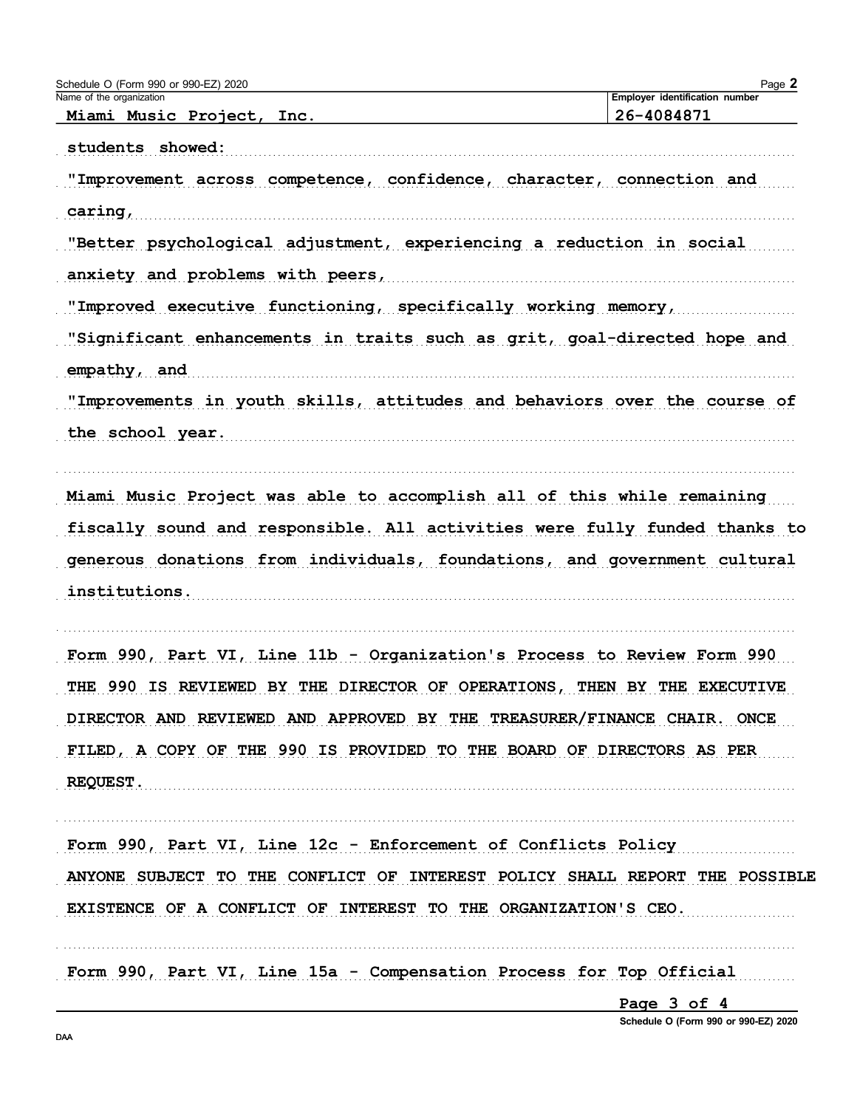| Schedule O (Form 990 or 990-EZ) 2020<br>Name of the organization            | Page 2<br>Employer identification number |
|-----------------------------------------------------------------------------|------------------------------------------|
| Miami Music Project, Inc.                                                   | 26-4084871                               |
| students showed:                                                            |                                          |
| "Improvement across competence, confidence, character, connection and       |                                          |
| caring,                                                                     |                                          |
| "Better psychological adjustment, experiencing a reduction in social        |                                          |
| anxiety and problems with peers,                                            |                                          |
| "Improved executive functioning, specifically working memory,               |                                          |
| "Significant enhancements in traits such as grit, goal-directed hope and    |                                          |
| empathy, and                                                                |                                          |
| "Improvements in youth skills, attitudes and behaviors over the course of   |                                          |
| the school year.                                                            |                                          |
|                                                                             |                                          |
| Miami Music Project was able to accomplish all of this while remaining      |                                          |
| fiscally sound and responsible. All activities were fully funded thanks to  |                                          |
| generous donations from individuals, foundations, and government cultural   |                                          |
| institutions.                                                               |                                          |
| Form 990, Part VI, Line 11b - Organization's Process to Review Form 990     |                                          |
| THE 990 IS REVIEWED BY THE DIRECTOR OF OPERATIONS, THEN BY THE EXECUTIVE    |                                          |
| DIRECTOR AND REVIEWED AND APPROVED BY THE TREASURER/FINANCE CHAIR. ONCE     |                                          |
| FILED, A COPY OF THE 990 IS PROVIDED TO THE BOARD OF DIRECTORS AS PER       |                                          |
| <b>REQUEST.</b>                                                             |                                          |
|                                                                             |                                          |
| Form 990, Part VI, Line 12c - Enforcement of Conflicts Policy               |                                          |
| ANYONE SUBJECT TO THE CONFLICT OF INTEREST POLICY SHALL REPORT THE POSSIBLE |                                          |
| EXISTENCE OF A CONFLICT OF INTEREST TO THE ORGANIZATION'S CEO.              |                                          |
| Form 990, Part VI, Line 15a - Compensation Process for Top Official         |                                          |
|                                                                             | Page 3 of 4                              |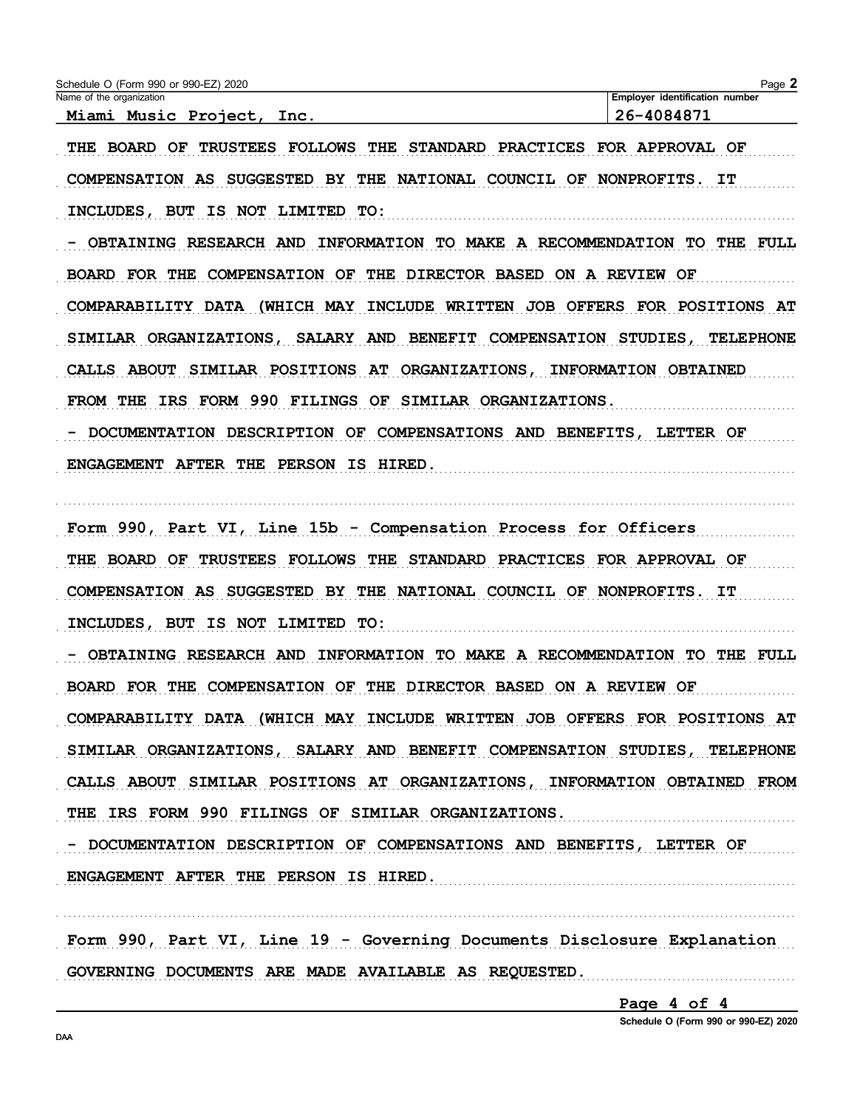| Schedule O (Form 990 or 990-EZ) 2020<br>Name of the organization               | Page 2<br>Employer identification number |
|--------------------------------------------------------------------------------|------------------------------------------|
| Miami Music Project, Inc.                                                      | 26-4084871                               |
| THE BOARD OF TRUSTEES FOLLOWS THE STANDARD PRACTICES FOR APPROVAL OF           |                                          |
| COMPENSATION AS SUGGESTED BY THE NATIONAL COUNCIL OF                           | <b>NONPROFITS.</b><br>IT                 |
| INCLUDES, BUT IS NOT LIMITED TO:                                               |                                          |
| OBTAINING RESEARCH AND INFORMATION TO MAKE A RECOMMENDATION TO THE FULL        |                                          |
| BOARD FOR THE COMPENSATION OF THE DIRECTOR BASED ON A REVIEW OF                |                                          |
| COMPARABILITY DATA (WHICH MAY INCLUDE WRITTEN JOB OFFERS FOR POSITIONS AT      |                                          |
| SIMILAR ORGANIZATIONS, SALARY AND BENEFIT COMPENSATION STUDIES,                | <b>TELEPHONE</b>                         |
| CALLS ABOUT SIMILAR POSITIONS AT ORGANIZATIONS, INFORMATION OBTAINED           |                                          |
| FROM THE IRS FORM 990 FILINGS OF SIMILAR ORGANIZATIONS.                        |                                          |
| DOCUMENTATION DESCRIPTION OF COMPENSATIONS AND BENEFITS, LETTER OF             |                                          |
| ENGAGEMENT AFTER THE PERSON IS HIRED.                                          |                                          |
|                                                                                |                                          |
| Form 990, Part VI, Line 15b - Compensation Process for Officers                |                                          |
| TRUSTEES FOLLOWS THE STANDARD PRACTICES FOR APPROVAL OF<br><b>THE BOARD OF</b> |                                          |
| COMPENSATION AS SUGGESTED BY THE NATIONAL COUNCIL OF NONPROFITS. IT            |                                          |
| INCLUDES, BUT IS NOT LIMITED TO:                                               |                                          |
| OBTAINING RESEARCH AND INFORMATION TO MAKE A RECOMMENDATION TO THE FULL        |                                          |
| BOARD FOR THE COMPENSATION OF THE DIRECTOR BASED ON A REVIEW OF                |                                          |
| COMPARABILITY DATA (WHICH MAY INCLUDE WRITTEN JOB OFFERS FOR POSITIONS AT      |                                          |
| SIMILAR ORGANIZATIONS, SALARY AND BENEFIT COMPENSATION STUDIES, TELEPHONE      |                                          |
| CALLS ABOUT SIMILAR POSITIONS AT ORGANIZATIONS, INFORMATION OBTAINED FROM      |                                          |
| THE IRS FORM 990 FILINGS OF SIMILAR ORGANIZATIONS.                             |                                          |
| - DOCUMENTATION DESCRIPTION OF COMPENSATIONS AND BENEFITS, LETTER OF           |                                          |
| ENGAGEMENT AFTER THE PERSON IS HIRED.                                          |                                          |
|                                                                                |                                          |
| Form 990, Part VI, Line 19 - Governing Documents Disclosure Explanation        |                                          |

GOVERNING DOCUMENTS ARE MADE AVAILABLE AS REQUESTED.

Page 4 of 4